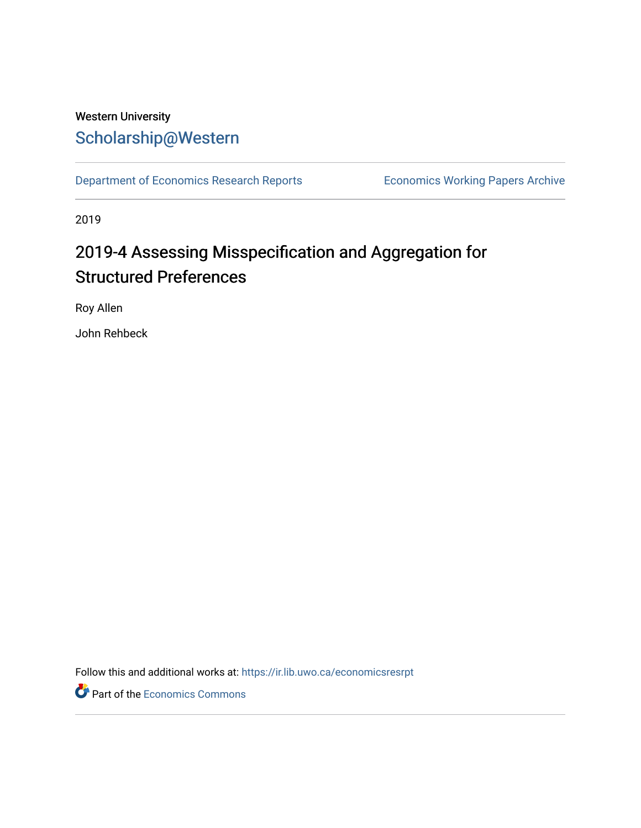## Western University [Scholarship@Western](https://ir.lib.uwo.ca/)

[Department of Economics Research Reports](https://ir.lib.uwo.ca/economicsresrpt) [Economics Working Papers Archive](https://ir.lib.uwo.ca/econwpa) 

2019

# 2019-4 Assessing Misspecification and Aggregation for Structured Preferences

Roy Allen

John Rehbeck

Follow this and additional works at: [https://ir.lib.uwo.ca/economicsresrpt](https://ir.lib.uwo.ca/economicsresrpt?utm_source=ir.lib.uwo.ca%2Feconomicsresrpt%2F831&utm_medium=PDF&utm_campaign=PDFCoverPages)

Part of the [Economics Commons](http://network.bepress.com/hgg/discipline/340?utm_source=ir.lib.uwo.ca%2Feconomicsresrpt%2F831&utm_medium=PDF&utm_campaign=PDFCoverPages)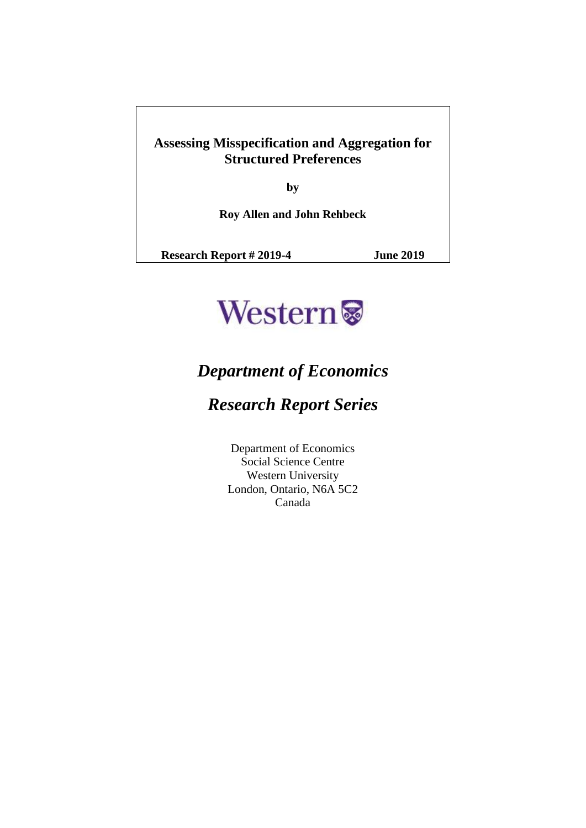### **Assessing Misspecification and Aggregation for Structured Preferences**

**by**

**Roy Allen and John Rehbeck**

**Research Report # 2019-4 June 2019**



# *Department of Economics*

# *Research Report Series*

Department of Economics Social Science Centre Western University London, Ontario, N6A 5C2 Canada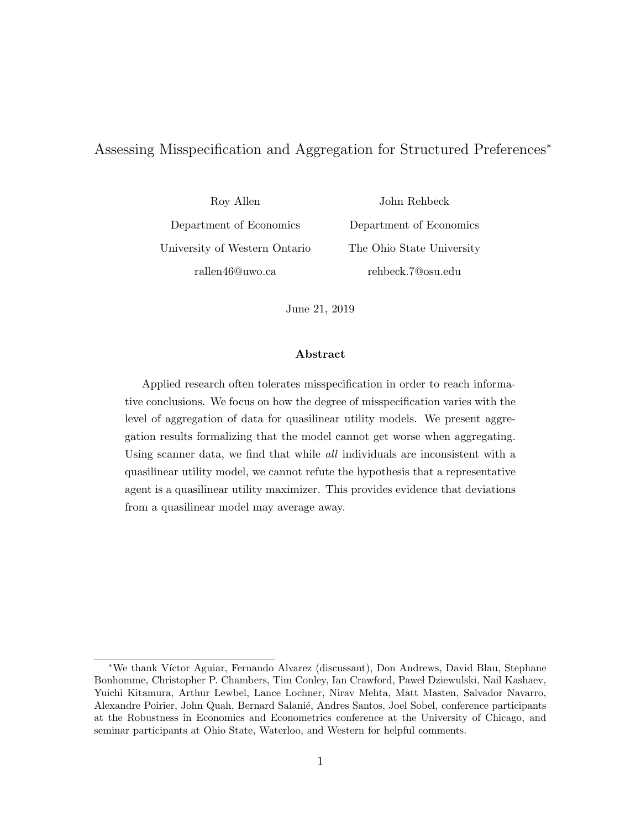#### <span id="page-2-0"></span>Assessing Misspecification and Aggregation for Structured Preferences<sup>∗</sup>

Roy Allen Department of Economics University of Western Ontario rallen46@uwo.ca

John Rehbeck Department of Economics The Ohio State University rehbeck.7@osu.edu

June 21, 2019

#### Abstract

Applied research often tolerates misspecification in order to reach informative conclusions. We focus on how the degree of misspecification varies with the level of aggregation of data for quasilinear utility models. We present aggregation results formalizing that the model cannot get worse when aggregating. Using scanner data, we find that while all individuals are inconsistent with a quasilinear utility model, we cannot refute the hypothesis that a representative agent is a quasilinear utility maximizer. This provides evidence that deviations from a quasilinear model may average away.

<sup>∗</sup>We thank V´ıctor Aguiar, Fernando Alvarez (discussant), Don Andrews, David Blau, Stephane Bonhomme, Christopher P. Chambers, Tim Conley, Ian Crawford, Pawe l Dziewulski, Nail Kashaev, Yuichi Kitamura, Arthur Lewbel, Lance Lochner, Nirav Mehta, Matt Masten, Salvador Navarro, Alexandre Poirier, John Quah, Bernard Salanié, Andres Santos, Joel Sobel, conference participants at the Robustness in Economics and Econometrics conference at the University of Chicago, and seminar participants at Ohio State, Waterloo, and Western for helpful comments.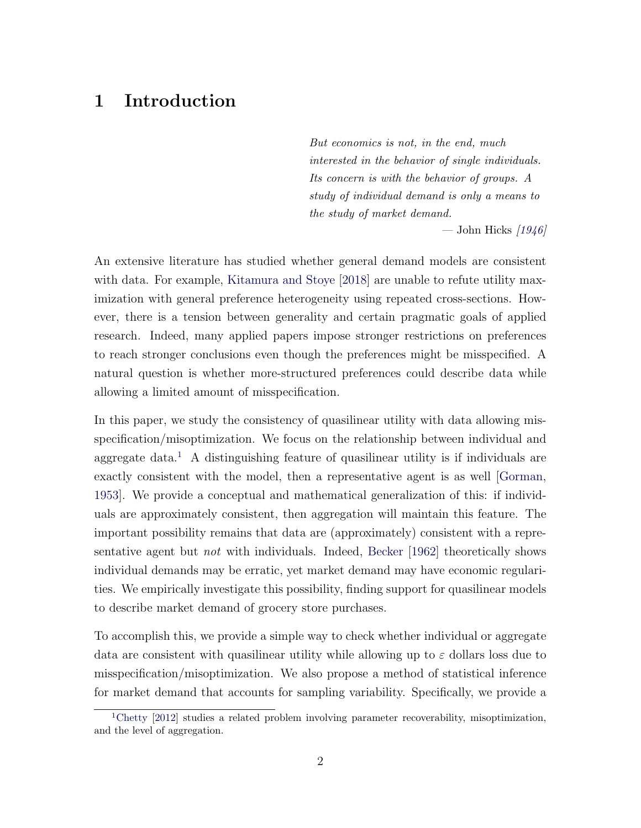## 1 Introduction

But economics is not, in the end, much interested in the behavior of single individuals. Its concern is with the behavior of groups. A study of individual demand is only a means to the study of market demand.

— John Hicks  $1946$ 

An extensive literature has studied whether general demand models are consistent with data. For example, [Kitamura and Stoye](#page-55-1) [\[2018\]](#page-55-1) are unable to refute utility maximization with general preference heterogeneity using repeated cross-sections. However, there is a tension between generality and certain pragmatic goals of applied research. Indeed, many applied papers impose stronger restrictions on preferences to reach stronger conclusions even though the preferences might be misspecified. A natural question is whether more-structured preferences could describe data while allowing a limited amount of misspecification.

In this paper, we study the consistency of quasilinear utility with data allowing misspecification/misoptimization. We focus on the relationship between individual and aggregate data.<sup>[1](#page-3-0)</sup> A distinguishing feature of quasilinear utility is if individuals are exactly consistent with the model, then a representative agent is as well [\[Gorman,](#page-54-0) [1953\]](#page-54-0). We provide a conceptual and mathematical generalization of this: if individuals are approximately consistent, then aggregation will maintain this feature. The important possibility remains that data are (approximately) consistent with a representative agent but *not* with individuals. Indeed, [Becker](#page-52-0) [\[1962\]](#page-52-0) theoretically shows individual demands may be erratic, yet market demand may have economic regularities. We empirically investigate this possibility, finding support for quasilinear models to describe market demand of grocery store purchases.

To accomplish this, we provide a simple way to check whether individual or aggregate data are consistent with quasilinear utility while allowing up to  $\varepsilon$  dollars loss due to misspecification/misoptimization. We also propose a method of statistical inference for market demand that accounts for sampling variability. Specifically, we provide a

<span id="page-3-0"></span><sup>&</sup>lt;sup>1</sup>[Chetty](#page-53-0) [\[2012\]](#page-53-0) studies a related problem involving parameter recoverability, misoptimization, and the level of aggregation.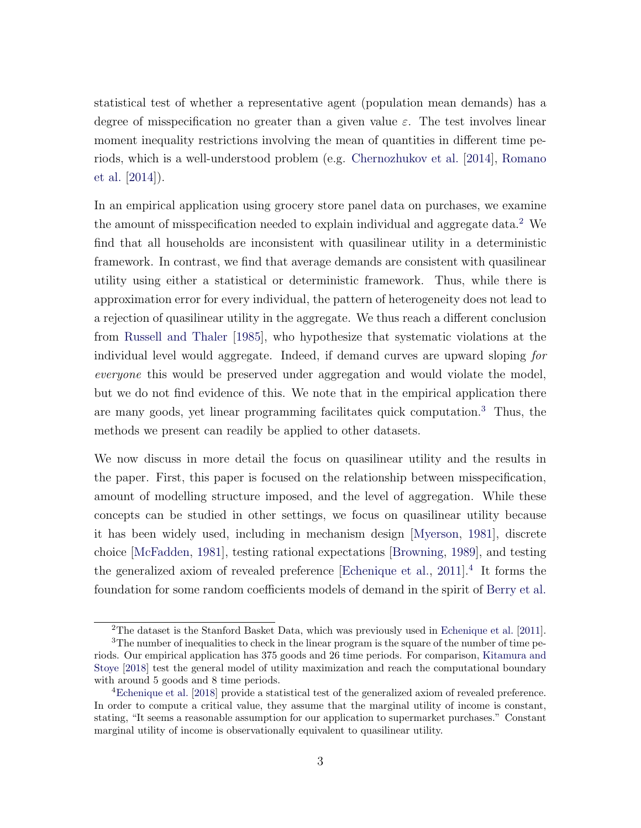statistical test of whether a representative agent (population mean demands) has a degree of misspecification no greater than a given value  $\varepsilon$ . The test involves linear moment inequality restrictions involving the mean of quantities in different time periods, which is a well-understood problem (e.g. [Chernozhukov et al.](#page-53-1) [\[2014\]](#page-53-1), [Romano](#page-56-0) [et al.](#page-56-0) [\[2014\]](#page-56-0)).

In an empirical application using grocery store panel data on purchases, we examine the amount of misspecification needed to explain individual and aggregate data.<sup>[2](#page-4-0)</sup> We find that all households are inconsistent with quasilinear utility in a deterministic framework. In contrast, we find that average demands are consistent with quasilinear utility using either a statistical or deterministic framework. Thus, while there is approximation error for every individual, the pattern of heterogeneity does not lead to a rejection of quasilinear utility in the aggregate. We thus reach a different conclusion from [Russell and Thaler](#page-56-1) [\[1985\]](#page-56-1), who hypothesize that systematic violations at the individual level would aggregate. Indeed, if demand curves are upward sloping for everyone this would be preserved under aggregation and would violate the model, but we do not find evidence of this. We note that in the empirical application there are many goods, yet linear programming facilitates quick computation.[3](#page-4-1) Thus, the methods we present can readily be applied to other datasets.

We now discuss in more detail the focus on quasilinear utility and the results in the paper. First, this paper is focused on the relationship between misspecification, amount of modelling structure imposed, and the level of aggregation. While these concepts can be studied in other settings, we focus on quasilinear utility because it has been widely used, including in mechanism design [\[Myerson,](#page-56-2) [1981\]](#page-56-2), discrete choice [\[McFadden,](#page-56-3) [1981\]](#page-56-3), testing rational expectations [\[Browning,](#page-53-2) [1989\]](#page-53-2), and testing the generalized axiom of revealed preference [\[Echenique et al.,](#page-54-1) [2011\]](#page-54-1).<sup>[4](#page-4-2)</sup> It forms the foundation for some random coefficients models of demand in the spirit of [Berry et al.](#page-52-1)

<span id="page-4-1"></span><span id="page-4-0"></span><sup>&</sup>lt;sup>2</sup>The dataset is the Stanford Basket Data, which was previously used in [Echenique et al.](#page-54-1) [\[2011\]](#page-54-1).

<sup>&</sup>lt;sup>3</sup>The number of inequalities to check in the linear program is the square of the number of time periods. Our empirical application has 375 goods and 26 time periods. For comparison, [Kitamura and](#page-55-1) [Stoye](#page-55-1) [\[2018\]](#page-55-1) test the general model of utility maximization and reach the computational boundary with around 5 goods and 8 time periods.

<span id="page-4-2"></span><sup>4</sup>[Echenique et al.](#page-54-2) [\[2018\]](#page-54-2) provide a statistical test of the generalized axiom of revealed preference. In order to compute a critical value, they assume that the marginal utility of income is constant, stating, "It seems a reasonable assumption for our application to supermarket purchases." Constant marginal utility of income is observationally equivalent to quasilinear utility.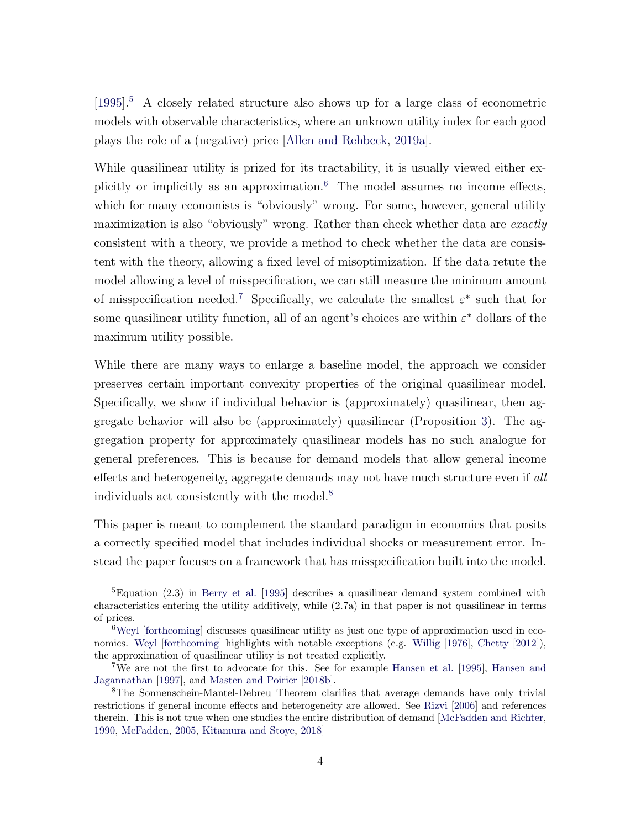[\[1995\]](#page-52-1).[5](#page-5-0) A closely related structure also shows up for a large class of econometric models with observable characteristics, where an unknown utility index for each good plays the role of a (negative) price [\[Allen and Rehbeck,](#page-52-2) [2019a\]](#page-52-2).

While quasilinear utility is prized for its tractability, it is usually viewed either explicitly or implicitly as an approximation.[6](#page-5-1) The model assumes no income effects, which for many economists is "obviously" wrong. For some, however, general utility maximization is also "obviously" wrong. Rather than check whether data are exactly consistent with a theory, we provide a method to check whether the data are consistent with the theory, allowing a fixed level of misoptimization. If the data retute the model allowing a level of misspecification, we can still measure the minimum amount of misspecification needed.<sup>[7](#page-5-2)</sup> Specifically, we calculate the smallest  $\varepsilon^*$  such that for some quasilinear utility function, all of an agent's choices are within  $\varepsilon^*$  dollars of the maximum utility possible.

While there are many ways to enlarge a baseline model, the approach we consider preserves certain important convexity properties of the original quasilinear model. Specifically, we show if individual behavior is (approximately) quasilinear, then aggregate behavior will also be (approximately) quasilinear (Proposition [3\)](#page-2-0). The aggregation property for approximately quasilinear models has no such analogue for general preferences. This is because for demand models that allow general income effects and heterogeneity, aggregate demands may not have much structure even if all individuals act consistently with the model.[8](#page-5-3)

This paper is meant to complement the standard paradigm in economics that posits a correctly specified model that includes individual shocks or measurement error. Instead the paper focuses on a framework that has misspecification built into the model.

<span id="page-5-0"></span> ${}^{5}$ Equation (2.3) in [Berry et al.](#page-52-1) [\[1995\]](#page-52-1) describes a quasilinear demand system combined with characteristics entering the utility additively, while (2.7a) in that paper is not quasilinear in terms of prices.

<span id="page-5-1"></span><sup>&</sup>lt;sup>6</sup>[Weyl](#page-57-0) [\[forthcoming\]](#page-57-0) discusses quasilinear utility as just one type of approximation used in eco-nomics. [Weyl](#page-57-0) [\[forthcoming\]](#page-57-0) highlights with notable exceptions (e.g. [Willig](#page-57-1) [\[1976\]](#page-57-1), [Chetty](#page-53-0) [\[2012\]](#page-53-0)), the approximation of quasilinear utility is not treated explicitly.

<span id="page-5-2"></span><sup>7</sup>We are not the first to advocate for this. See for example [Hansen et al.](#page-55-2) [\[1995\]](#page-55-2), [Hansen and](#page-55-3) [Jagannathan](#page-55-3) [\[1997\]](#page-55-3), and [Masten and Poirier](#page-55-4) [\[2018b\]](#page-55-4).

<span id="page-5-3"></span><sup>8</sup>The Sonnenschein-Mantel-Debreu Theorem clarifies that average demands have only trivial restrictions if general income effects and heterogeneity are allowed. See [Rizvi](#page-56-4) [\[2006\]](#page-56-4) and references therein. This is not true when one studies the entire distribution of demand [\[McFadden and Richter,](#page-56-5) [1990,](#page-56-5) [McFadden,](#page-56-6) [2005,](#page-56-6) [Kitamura and Stoye,](#page-55-1) [2018\]](#page-55-1)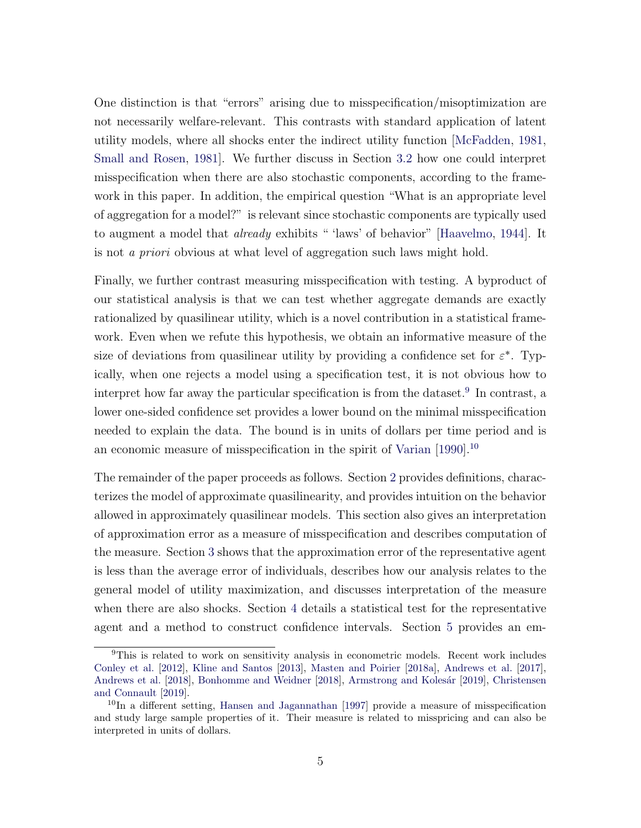One distinction is that "errors" arising due to misspecification/misoptimization are not necessarily welfare-relevant. This contrasts with standard application of latent utility models, where all shocks enter the indirect utility function [\[McFadden,](#page-56-3) [1981,](#page-56-3) [Small and Rosen,](#page-56-7) [1981\]](#page-56-7). We further discuss in Section [3.2](#page-16-0) how one could interpret misspecification when there are also stochastic components, according to the framework in this paper. In addition, the empirical question "What is an appropriate level of aggregation for a model?" is relevant since stochastic components are typically used to augment a model that *already* exhibits " 'laws' of behavior" [\[Haavelmo,](#page-54-3) [1944\]](#page-54-3). It is not a priori obvious at what level of aggregation such laws might hold.

Finally, we further contrast measuring misspecification with testing. A byproduct of our statistical analysis is that we can test whether aggregate demands are exactly rationalized by quasilinear utility, which is a novel contribution in a statistical framework. Even when we refute this hypothesis, we obtain an informative measure of the size of deviations from quasilinear utility by providing a confidence set for  $\varepsilon^*$ . Typically, when one rejects a model using a specification test, it is not obvious how to interpret how far away the particular specification is from the dataset.<sup>[9](#page-6-0)</sup> In contrast, a lower one-sided confidence set provides a lower bound on the minimal misspecification needed to explain the data. The bound is in units of dollars per time period and is an economic measure of misspecification in the spirit of [Varian](#page-57-2) [\[1990\]](#page-57-2).[10](#page-6-1)

The remainder of the paper proceeds as follows. Section [2](#page-7-0) provides definitions, characterizes the model of approximate quasilinearity, and provides intuition on the behavior allowed in approximately quasilinear models. This section also gives an interpretation of approximation error as a measure of misspecification and describes computation of the measure. Section [3](#page-12-0) shows that the approximation error of the representative agent is less than the average error of individuals, describes how our analysis relates to the general model of utility maximization, and discusses interpretation of the measure when there are also shocks. Section [4](#page-18-0) details a statistical test for the representative agent and a method to construct confidence intervals. Section [5](#page-25-0) provides an em-

<span id="page-6-0"></span><sup>&</sup>lt;sup>9</sup>This is related to work on sensitivity analysis in econometric models. Recent work includes [Conley et al.](#page-54-4) [\[2012\]](#page-54-4), [Kline and Santos](#page-55-5) [\[2013\]](#page-55-5), [Masten and Poirier](#page-55-6) [\[2018a\]](#page-55-6), [Andrews et al.](#page-52-3) [\[2017\]](#page-52-3), [Andrews et al.](#page-52-4) [\[2018\]](#page-53-3), [Bonhomme and Weidner](#page-53-3) [2018], Armstrong and Kolesár [\[2019\]](#page-52-5), [Christensen](#page-53-4) [and Connault](#page-53-4) [\[2019\]](#page-53-4).

<span id="page-6-1"></span><sup>10</sup>In a different setting, [Hansen and Jagannathan](#page-55-3) [\[1997\]](#page-55-3) provide a measure of misspecification and study large sample properties of it. Their measure is related to misspricing and can also be interpreted in units of dollars.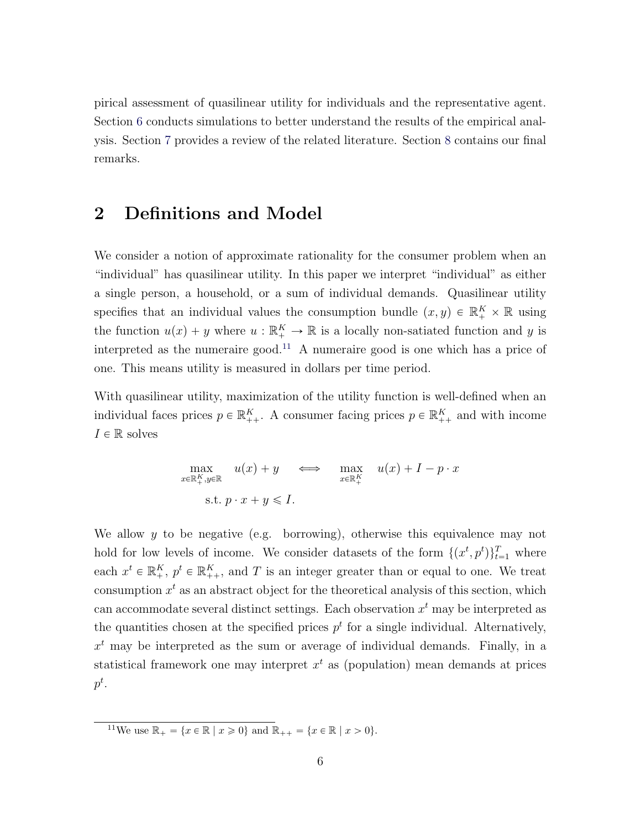pirical assessment of quasilinear utility for individuals and the representative agent. Section [6](#page-27-0) conducts simulations to better understand the results of the empirical analysis. Section [7](#page-31-0) provides a review of the related literature. Section [8](#page-33-0) contains our final remarks.

### <span id="page-7-0"></span>2 Definitions and Model

We consider a notion of approximate rationality for the consumer problem when an "individual" has quasilinear utility. In this paper we interpret "individual" as either a single person, a household, or a sum of individual demands. Quasilinear utility specifies that an individual values the consumption bundle  $(x, y) \in \mathbb{R}_+^K \times \mathbb{R}$  using the function  $u(x) + y$  where  $u : \mathbb{R}_+^K \to \mathbb{R}$  is a locally non-satiated function and y is interpreted as the numeraire good.<sup>[11](#page-7-1)</sup> A numeraire good is one which has a price of one. This means utility is measured in dollars per time period.

With quasilinear utility, maximization of the utility function is well-defined when an individual faces prices  $p \in \mathbb{R}_{++}^K$ . A consumer facing prices  $p \in \mathbb{R}_{++}^K$  and with income  $I \in \mathbb{R}$  solves

$$
\max_{x \in \mathbb{R}_+^K, y \in \mathbb{R}} u(x) + y \iff \max_{x \in \mathbb{R}_+^K} u(x) + I - p \cdot x
$$
  
s.t.  $p \cdot x + y \le I$ .

We allow  $y$  to be negative (e.g. borrowing), otherwise this equivalence may not hold for low levels of income. We consider datasets of the form  $\{(x^t, p^t)\}_{t=1}^T$  where each  $x^t \in \mathbb{R}_+^K$ ,  $p^t \in \mathbb{R}_{++}^K$ , and T is an integer greater than or equal to one. We treat consumption  $x^t$  as an abstract object for the theoretical analysis of this section, which can accommodate several distinct settings. Each observation  $x<sup>t</sup>$  may be interpreted as the quantities chosen at the specified prices  $p<sup>t</sup>$  for a single individual. Alternatively,  $x<sup>t</sup>$  may be interpreted as the sum or average of individual demands. Finally, in a statistical framework one may interpret  $x<sup>t</sup>$  as (population) mean demands at prices  $p^t$ .

<span id="page-7-1"></span><sup>11</sup>We use  $\mathbb{R}_+ = \{x \in \mathbb{R} \mid x \geq 0\}$  and  $\mathbb{R}_{++} = \{x \in \mathbb{R} \mid x > 0\}.$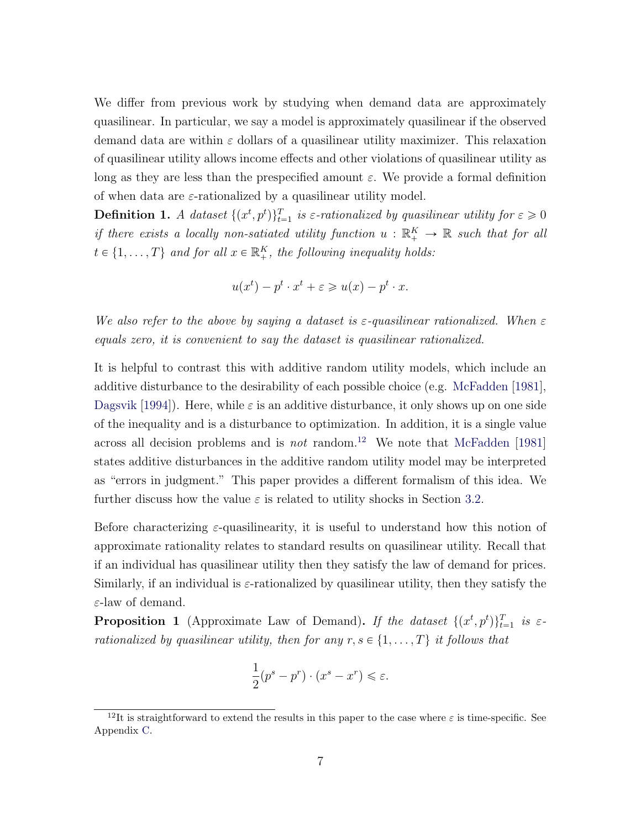We differ from previous work by studying when demand data are approximately quasilinear. In particular, we say a model is approximately quasilinear if the observed demand data are within  $\varepsilon$  dollars of a quasilinear utility maximizer. This relaxation of quasilinear utility allows income effects and other violations of quasilinear utility as long as they are less than the prespecified amount  $\varepsilon$ . We provide a formal definition of when data are  $\varepsilon$ -rationalized by a quasilinear utility model.

**Definition 1.** A dataset  $\{(x^t, p^t)\}_{t=1}^T$  is  $\varepsilon$ -rationalized by quasilinear utility for  $\varepsilon \geq 0$ if there exists a locally non-satiated utility function  $u : \mathbb{R}_+^K \to \mathbb{R}$  such that for all  $t \in \{1, ..., T\}$  and for all  $x \in \mathbb{R}^K_+$ , the following inequality holds:

$$
u(x^{t}) - p^{t} \cdot x^{t} + \varepsilon \geqslant u(x) - p^{t} \cdot x.
$$

We also refer to the above by saying a dataset is  $\varepsilon$ -quasilinear rationalized. When  $\varepsilon$ equals zero, it is convenient to say the dataset is quasilinear rationalized.

It is helpful to contrast this with additive random utility models, which include an additive disturbance to the desirability of each possible choice (e.g. [McFadden](#page-56-3) [\[1981\]](#page-56-3), [Dagsvik](#page-54-5) [\[1994\]](#page-54-5)). Here, while  $\varepsilon$  is an additive disturbance, it only shows up on one side of the inequality and is a disturbance to optimization. In addition, it is a single value across all decision problems and is *not* random.<sup>[12](#page-8-0)</sup> We note that [McFadden](#page-56-3) [\[1981\]](#page-56-3) states additive disturbances in the additive random utility model may be interpreted as "errors in judgment." This paper provides a different formalism of this idea. We further discuss how the value  $\varepsilon$  is related to utility shocks in Section [3.2.](#page-16-0)

Before characterizing  $\varepsilon$ -quasilinearity, it is useful to understand how this notion of approximate rationality relates to standard results on quasilinear utility. Recall that if an individual has quasilinear utility then they satisfy the law of demand for prices. Similarly, if an individual is  $\varepsilon$ -rationalized by quasilinear utility, then they satisfy the ε-law of demand.

<span id="page-8-1"></span>**Proposition 1** (Approximate Law of Demand). If the dataset  $\{(x^t, p^t)\}_{t=1}^T$  is  $\varepsilon$ rationalized by quasilinear utility, then for any  $r, s \in \{1, \ldots, T\}$  it follows that

$$
\frac{1}{2}(p^s - p^r) \cdot (x^s - x^r) \le \varepsilon.
$$

<span id="page-8-0"></span><sup>&</sup>lt;sup>12</sup>It is straightforward to extend the results in this paper to the case where  $\varepsilon$  is time-specific. See Appendix [C.](#page-50-0)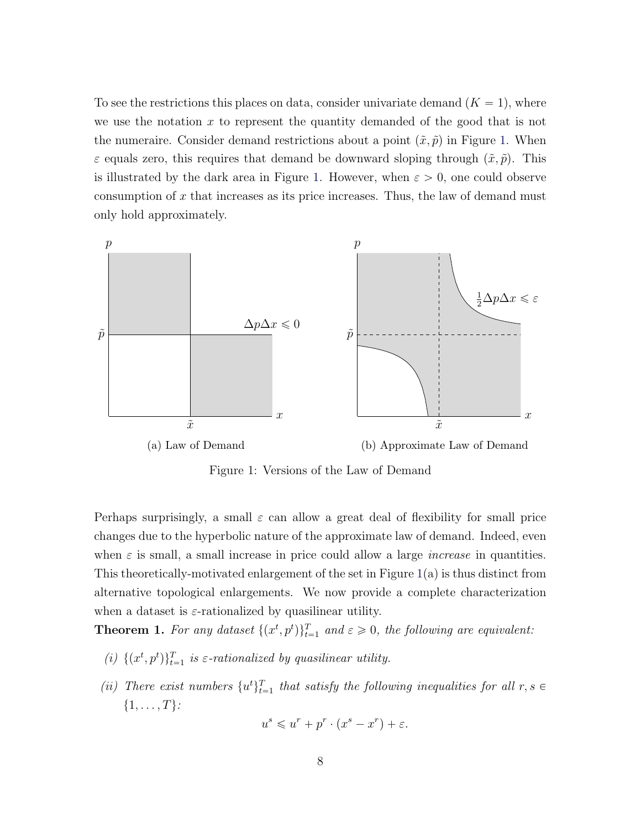To see the restrictions this places on data, consider univariate demand  $(K = 1)$ , where we use the notation  $x$  to represent the quantity demanded of the good that is not the numeraire. Consider demand restrictions about a point  $(\tilde{x}, \tilde{p})$  in Figure [1.](#page-9-0) When  $\varepsilon$  equals zero, this requires that demand be downward sloping through  $(\tilde{x}, \tilde{p})$ . This is illustrated by the dark area in Figure [1.](#page-9-0) However, when  $\varepsilon > 0$ , one could observe consumption of  $x$  that increases as its price increases. Thus, the law of demand must only hold approximately.

<span id="page-9-0"></span>

Figure 1: Versions of the Law of Demand

Perhaps surprisingly, a small  $\varepsilon$  can allow a great deal of flexibility for small price changes due to the hyperbolic nature of the approximate law of demand. Indeed, even when  $\varepsilon$  is small, a small increase in price could allow a large *increase* in quantities. This theoretically-motivated enlargement of the set in Figure [1\(](#page-9-0)a) is thus distinct from alternative topological enlargements. We now provide a complete characterization when a dataset is  $\varepsilon$ -rationalized by quasilinear utility.

<span id="page-9-1"></span>**Theorem 1.** For any dataset  $\{(x^t, p^t)\}_{t=1}^T$  and  $\varepsilon \geq 0$ , the following are equivalent:

- (i)  $\{(x^t, p^t)\}_{t=1}^T$  is  $\varepsilon$ -rationalized by quasilinear utility.
- (ii) There exist numbers  $\{u^t\}_{t=1}^T$  that satisfy the following inequalities for all  $r, s \in$  $\{1, \ldots, T\}$ :

$$
u^s \leqslant u^r + p^r \cdot (x^s - x^r) + \varepsilon.
$$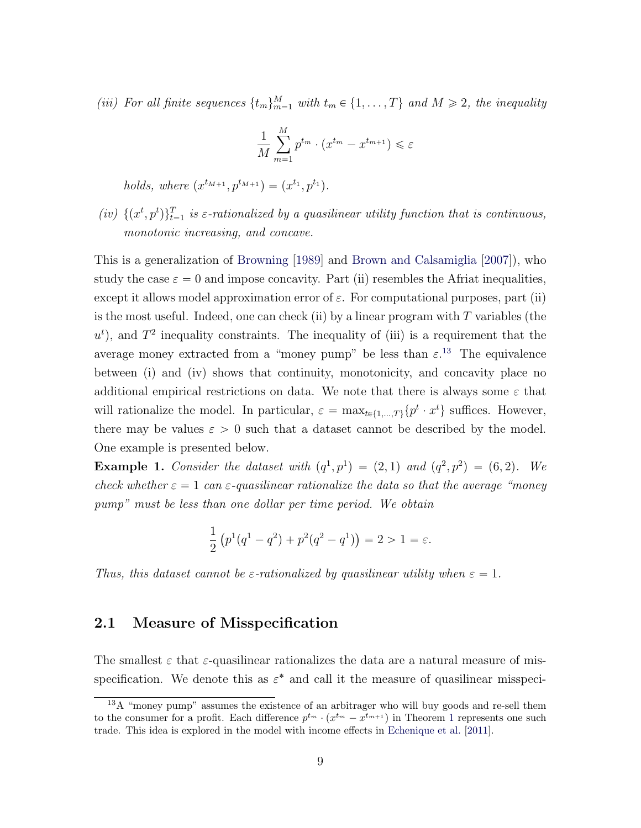(iii) For all finite sequences  $\{t_m\}_{m=1}^M$  with  $t_m \in \{1, ..., T\}$  and  $M \geq 2$ , the inequality

$$
\frac{1}{M} \sum_{m=1}^{M} p^{t_m} \cdot (x^{t_m} - x^{t_{m+1}}) \leq \varepsilon
$$

holds, where  $(x^{t_{M+1}}, p^{t_{M+1}}) = (x^{t_1}, p^{t_1}).$ 

(iv)  $\{(x^t, p^t)\}_{t=1}^T$  is  $\varepsilon$ -rationalized by a quasilinear utility function that is continuous, monotonic increasing, and concave.

This is a generalization of [Browning](#page-53-2) [\[1989\]](#page-53-2) and [Brown and Calsamiglia](#page-53-5) [\[2007\]](#page-53-5)), who study the case  $\varepsilon = 0$  and impose concavity. Part (ii) resembles the Afriat inequalities, except it allows model approximation error of  $\varepsilon$ . For computational purposes, part (ii) is the most useful. Indeed, one can check (ii) by a linear program with  $T$  variables (the  $u<sup>t</sup>$ ), and  $T<sup>2</sup>$  inequality constraints. The inequality of (iii) is a requirement that the average money extracted from a "money pump" be less than  $\varepsilon$ <sup>[13](#page-10-0)</sup>. The equivalence between (i) and (iv) shows that continuity, monotonicity, and concavity place no additional empirical restrictions on data. We note that there is always some  $\varepsilon$  that will rationalize the model. In particular,  $\varepsilon = \max_{t \in \{1,\dots,T\}} \{p^t \cdot x^t\}$  suffices. However, there may be values  $\varepsilon > 0$  such that a dataset cannot be described by the model. One example is presented below.

**Example 1.** Consider the dataset with  $(q^1, p^1) = (2, 1)$  and  $(q^2, p^2) = (6, 2)$ . We check whether  $\varepsilon = 1$  can  $\varepsilon$ -quasilinear rationalize the data so that the average "money" pump" must be less than one dollar per time period. We obtain

$$
\frac{1}{2} (p^{1}(q^{1}-q^{2}) + p^{2}(q^{2}-q^{1})) = 2 > 1 = \varepsilon.
$$

Thus, this dataset cannot be  $\varepsilon$ -rationalized by quasilinear utility when  $\varepsilon = 1$ .

#### 2.1 Measure of Misspecification

The smallest  $\varepsilon$  that  $\varepsilon$ -quasilinear rationalizes the data are a natural measure of misspecification. We denote this as  $\varepsilon^*$  and call it the measure of quasilinear misspeci-

<span id="page-10-0"></span><sup>&</sup>lt;sup>13</sup>A "money pump" assumes the existence of an arbitrager who will buy goods and re-sell them to the consumer for a profit. Each difference  $p^{t_m} \cdot (x^{t_m} - x^{t_{m+1}})$  $p^{t_m} \cdot (x^{t_m} - x^{t_{m+1}})$  $p^{t_m} \cdot (x^{t_m} - x^{t_{m+1}})$  in Theorem 1 represents one such trade. This idea is explored in the model with income effects in [Echenique et al.](#page-54-1) [\[2011\]](#page-54-1).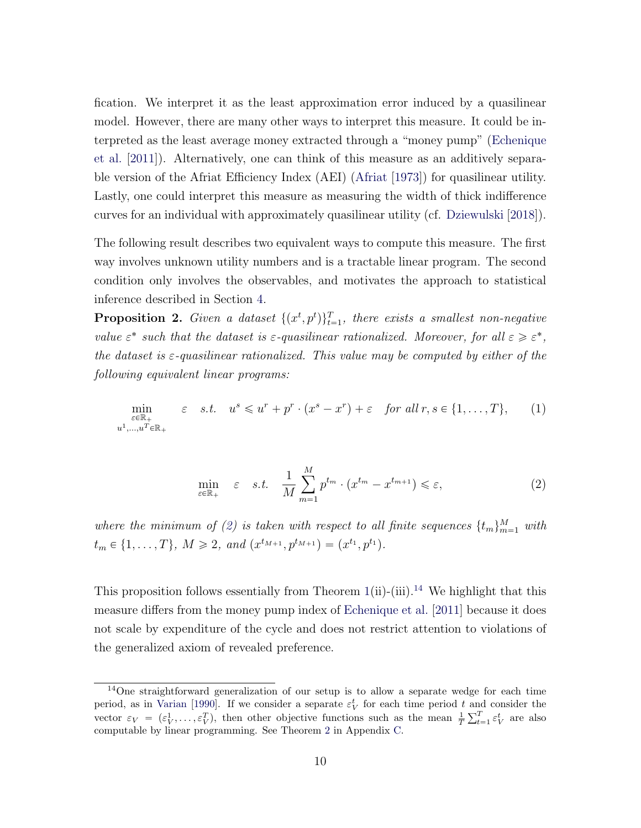fication. We interpret it as the least approximation error induced by a quasilinear model. However, there are many other ways to interpret this measure. It could be interpreted as the least average money extracted through a "money pump" [\(Echenique](#page-54-1) [et al.](#page-54-1) [\[2011\]](#page-54-1)). Alternatively, one can think of this measure as an additively separable version of the Afriat Efficiency Index (AEI) [\(Afriat](#page-51-0) [\[1973\]](#page-51-0)) for quasilinear utility. Lastly, one could interpret this measure as measuring the width of thick indifference curves for an individual with approximately quasilinear utility (cf. [Dziewulski](#page-54-6) [\[2018\]](#page-54-6)).

The following result describes two equivalent ways to compute this measure. The first way involves unknown utility numbers and is a tractable linear program. The second condition only involves the observables, and motivates the approach to statistical inference described in Section [4.](#page-18-0)

<span id="page-11-2"></span>**Proposition 2.** Given a dataset  $\{(x^t, p^t)\}_{t=1}^T$ , there exists a smallest non-negative value  $\varepsilon^*$  such that the dataset is  $\varepsilon$ -quasilinear rationalized. Moreover, for all  $\varepsilon \geqslant \varepsilon^*$ , the dataset is  $\varepsilon$ -quasilinear rationalized. This value may be computed by either of the following equivalent linear programs:

$$
\min_{\substack{\varepsilon \in \mathbb{R}_+ \\ u^1, \dots, u^T \in \mathbb{R}_+}} \varepsilon \quad s.t. \quad u^s \leq u^r + p^r \cdot (x^s - x^r) + \varepsilon \quad \text{for all } r, s \in \{1, \dots, T\}, \tag{1}
$$

<span id="page-11-0"></span>
$$
\min_{\varepsilon \in \mathbb{R}_+} \varepsilon \quad \varepsilon. \quad \frac{1}{M} \sum_{m=1}^M p^{t_m} \cdot (x^{t_m} - x^{t_{m+1}}) \leqslant \varepsilon,\tag{2}
$$

where the minimum of [\(2\)](#page-11-0) is taken with respect to all finite sequences  $\{t_m\}_{m=1}^M$  with  $t_m \in \{1, \ldots, T\}, M \geqslant 2, and (x^{t_{M+1}}, p^{t_{M+1}}) = (x^{t_1}, p^{t_1}).$ 

This proposition follows essentially from Theorem  $1(ii)-(ii)$  $1(ii)-(ii)$ .<sup>[14](#page-11-1)</sup> We highlight that this measure differs from the money pump index of [Echenique et al.](#page-54-1) [\[2011\]](#page-54-1) because it does not scale by expenditure of the cycle and does not restrict attention to violations of the generalized axiom of revealed preference.

<span id="page-11-1"></span><sup>&</sup>lt;sup>14</sup>One straightforward generalization of our setup is to allow a separate wedge for each time period, as in [Varian](#page-57-2) [\[1990\]](#page-57-2). If we consider a separate  $\varepsilon_V^t$  for each time period t and consider the vector  $\varepsilon_V = (\varepsilon_V^1, \ldots, \varepsilon_V^T)$ , then other objective functions such as the mean  $\frac{1}{T}$ an $\frac{a}{\nabla^T}$  $_{t=1}^{T} \varepsilon_{V}^{t}$  are also computable by linear programming. See Theorem [2](#page-51-1) in Appendix [C.](#page-50-0)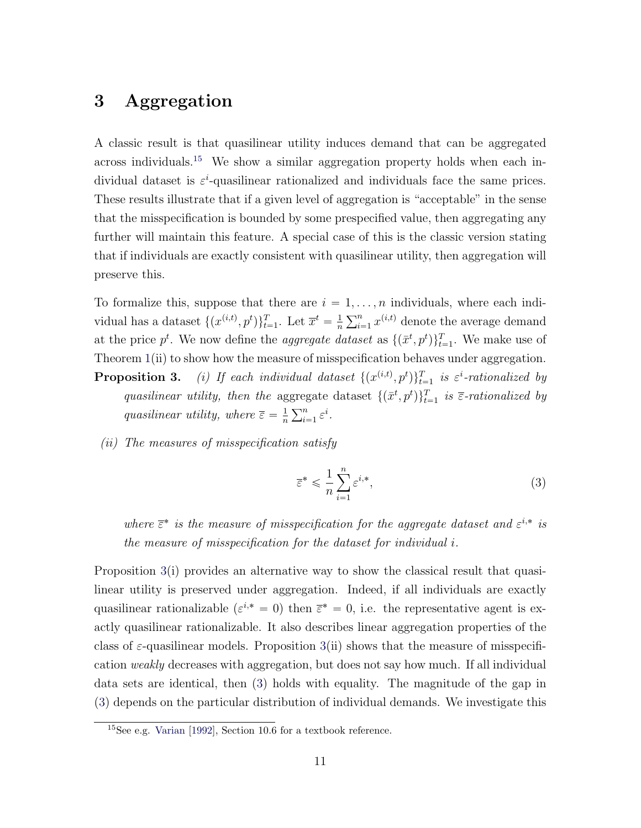## <span id="page-12-0"></span>3 Aggregation

A classic result is that quasilinear utility induces demand that can be aggregated across individuals.<sup>[15](#page-12-1)</sup> We show a similar aggregation property holds when each individual dataset is  $\varepsilon^i$ -quasilinear rationalized and individuals face the same prices. These results illustrate that if a given level of aggregation is "acceptable" in the sense that the misspecification is bounded by some prespecified value, then aggregating any further will maintain this feature. A special case of this is the classic version stating that if individuals are exactly consistent with quasilinear utility, then aggregation will preserve this.

To formalize this, suppose that there are  $i = 1, \ldots, n$  individuals, where each individual has a dataset  $\{(x^{(i,t)}, p^t)\}_{t=1}^T$ . Let  $\overline{x}^t = \frac{1}{n}$ n  $\frac{1}{\sqrt{n}}$  $\sum_{i=1}^{n} x^{(i,t)}$  denote the average demand at the price  $p^t$ . We now define the *aggregate dataset* as  $\{(\bar{x}^t, p^t)\}_{t=1}^T$ . We make use of Theorem [1\(](#page-9-1)ii) to show how the measure of misspecification behaves under aggregation.

- **Proposition 3.** (i) If each individual dataset  $\{(x^{(i,t)}, p^t)\}_{t=1}^T$  is  $\varepsilon^i$ -rationalized by quasilinear utility, then the aggregate dataset  $\{(\bar{x}^t, p^t)\}_{t=1}^T$  is  $\bar{\varepsilon}$ -rationalized by quasilinear utility, where  $\overline{\varepsilon} = \frac{1}{n}$ n  $\mathcal{F}^{n}$  $\sum_{i=1}^n \varepsilon^i$ .
- (ii) The measures of misspecification satisfy

<span id="page-12-2"></span>
$$
\overline{\varepsilon}^* \leqslant \frac{1}{n} \sum_{i=1}^n \varepsilon^{i,*},\tag{3}
$$

where  $\bar{\epsilon}^*$  is the measure of misspecification for the aggregate dataset and  $\varepsilon^{i,*}$  is the measure of misspecification for the dataset for individual i.

Proposition [3\(](#page-2-0)i) provides an alternative way to show the classical result that quasilinear utility is preserved under aggregation. Indeed, if all individuals are exactly quasilinear rationalizable  $(\varepsilon^{i,*} = 0)$  then  $\overline{\varepsilon}^* = 0$ , i.e. the representative agent is exactly quasilinear rationalizable. It also describes linear aggregation properties of the class of  $\varepsilon$ -quasilinear models. Proposition [3\(](#page-2-0)ii) shows that the measure of misspecification weakly decreases with aggregation, but does not say how much. If all individual data sets are identical, then [\(3\)](#page-12-2) holds with equality. The magnitude of the gap in [\(3\)](#page-12-2) depends on the particular distribution of individual demands. We investigate this

<span id="page-12-1"></span><sup>15</sup>See e.g. [Varian](#page-57-3) [\[1992\]](#page-57-3), Section 10.6 for a textbook reference.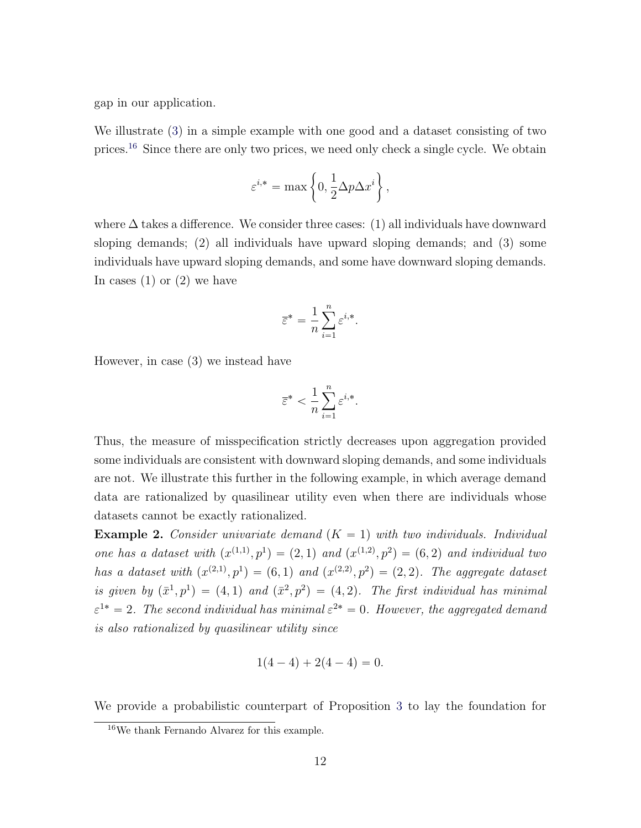gap in our application.

We illustrate [\(3\)](#page-12-2) in a simple example with one good and a dataset consisting of two prices.[16](#page-13-0) Since there are only two prices, we need only check a single cycle. We obtain

$$
\varepsilon^{i,*} = \max\left\{0, \frac{1}{2}\Delta p \Delta x^i\right\},\,
$$

where  $\Delta$  takes a difference. We consider three cases: (1) all individuals have downward sloping demands; (2) all individuals have upward sloping demands; and (3) some individuals have upward sloping demands, and some have downward sloping demands. In cases  $(1)$  or  $(2)$  we have

$$
\overline{\varepsilon}^* = \frac{1}{n} \sum_{i=1}^n \varepsilon^{i,*}.
$$

However, in case (3) we instead have

$$
\overline{\varepsilon}^* < \frac{1}{n} \sum_{i=1}^n \varepsilon^{i,*}.
$$

Thus, the measure of misspecification strictly decreases upon aggregation provided some individuals are consistent with downward sloping demands, and some individuals are not. We illustrate this further in the following example, in which average demand data are rationalized by quasilinear utility even when there are individuals whose datasets cannot be exactly rationalized.

**Example 2.** Consider univariate demand  $(K = 1)$  with two individuals. Individual one has a dataset with  $(x^{(1,1)}, p^{1}) = (2, 1)$  and  $(x^{(1,2)}, p^{2}) = (6, 2)$  and individual two has a dataset with  $(x^{(2,1)}, p^{1}) = (6, 1)$  and  $(x^{(2,2)}, p^{2}) = (2, 2)$ . The aggregate dataset is given by  $(\bar{x}^1, p^1) = (4, 1)$  and  $(\bar{x}^2, p^2) = (4, 2)$ . The first individual has minimal  $\varepsilon^{1*} = 2$ . The second individual has minimal  $\varepsilon^{2*} = 0$ . However, the aggregated demand is also rationalized by quasilinear utility since

$$
1(4-4) + 2(4-4) = 0.
$$

We provide a probabilistic counterpart of Proposition [3](#page-2-0) to lay the foundation for

<span id="page-13-0"></span><sup>16</sup>We thank Fernando Alvarez for this example.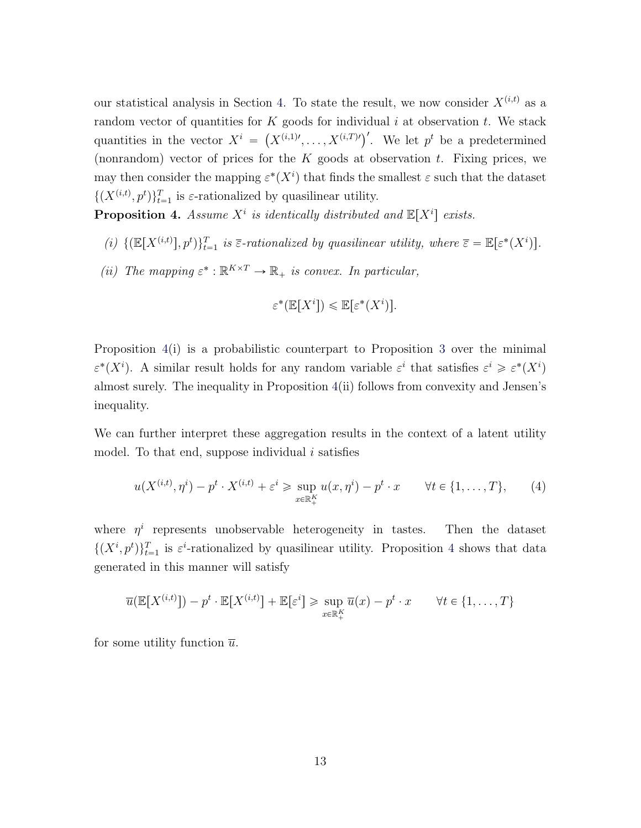our statistical analysis in Section [4.](#page-18-0) To state the result, we now consider  $X^{(i,t)}$  as a random vector of quantities for  $K$  goods for individual i at observation t. We stack random vector of quantities for  $K$  goods for marvioural *t* at observation *t*. We stack<br>quantities in the vector  $X^i = (X^{(i,1)}, \ldots, X^{(i,T)})'$ . We let  $p^t$  be a predetermined (nonrandom) vector of prices for the  $K$  goods at observation  $t$ . Fixing prices, we may then consider the mapping  $\varepsilon^*(X^i)$  that finds the smallest  $\varepsilon$  such that the dataset  $\{(X^{(i,t)}, p^t)\}_{t=1}^T$  is  $\varepsilon$ -rationalized by quasilinear utility.

<span id="page-14-0"></span>**Proposition 4.** Assume  $X^i$  is identically distributed and  $\mathbb{E}[X^i]$  exists.

- (i)  $\{(\mathbb{E}[X^{(i,t)}], p^t)\}_{t=1}^T$  is  $\overline{\varepsilon}$ -rationalized by quasilinear utility, where  $\overline{\varepsilon} = \mathbb{E}[\varepsilon^*(X^i)].$
- (ii) The mapping  $\varepsilon^* : \mathbb{R}^{K \times T} \to \mathbb{R}_+$  is convex. In particular,

$$
\varepsilon^*(\mathbb{E}[X^i]) \le \mathbb{E}[\varepsilon^*(X^i)].
$$

Proposition [4\(](#page-14-0)i) is a probabilistic counterpart to Proposition [3](#page-2-0) over the minimal  $\varepsilon^*(X^i)$ . A similar result holds for any random variable  $\varepsilon^i$  that satisfies  $\varepsilon^i \geqslant \varepsilon^*(X^i)$ almost surely. The inequality in Proposition [4\(](#page-14-0)ii) follows from convexity and Jensen's inequality.

We can further interpret these aggregation results in the context of a latent utility model. To that end, suppose individual  $i$  satisfies

$$
u(X^{(i,t)}, \eta^i) - p^t \cdot X^{(i,t)} + \varepsilon^i \ge \sup_{x \in \mathbb{R}_+^K} u(x, \eta^i) - p^t \cdot x \qquad \forall t \in \{1, \dots, T\},\qquad(4)
$$

where  $\eta^i$  represents unobservable heterogeneity in tastes. Then the dataset  $\{(X^i, p^t)\}_{t=1}^T$  is  $\varepsilon^i$ -rationalized by quasilinear utility. Proposition [4](#page-14-0) shows that data generated in this manner will satisfy

$$
\overline{u}(\mathbb{E}[X^{(i,t)}]) - p^t \cdot \mathbb{E}[X^{(i,t)}] + \mathbb{E}[\varepsilon^i] \ge \sup_{x \in \mathbb{R}_+^K} \overline{u}(x) - p^t \cdot x \qquad \forall t \in \{1, \dots, T\}
$$

for some utility function  $\overline{u}$ .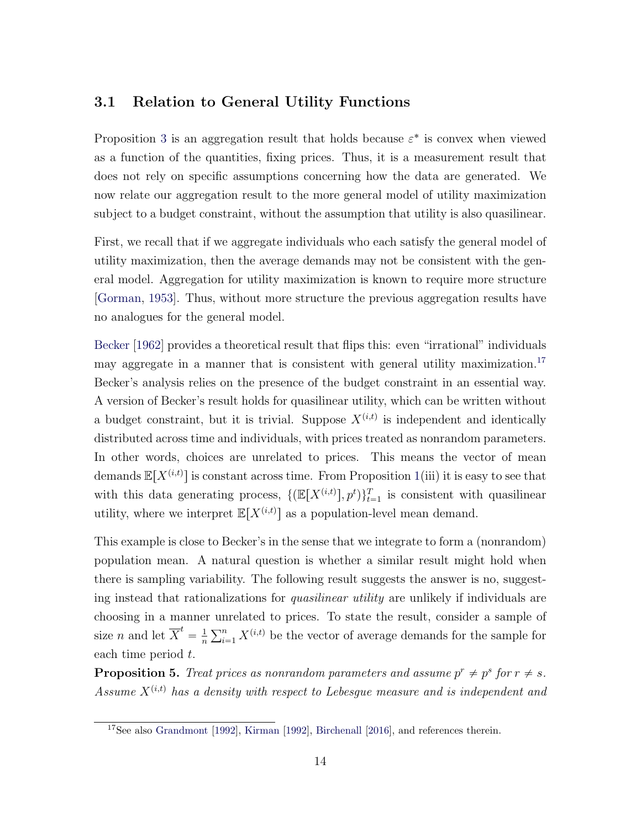#### <span id="page-15-2"></span>3.1 Relation to General Utility Functions

Proposition [3](#page-2-0) is an aggregation result that holds because  $\varepsilon^*$  is convex when viewed as a function of the quantities, fixing prices. Thus, it is a measurement result that does not rely on specific assumptions concerning how the data are generated. We now relate our aggregation result to the more general model of utility maximization subject to a budget constraint, without the assumption that utility is also quasilinear.

First, we recall that if we aggregate individuals who each satisfy the general model of utility maximization, then the average demands may not be consistent with the general model. Aggregation for utility maximization is known to require more structure [\[Gorman,](#page-54-0) [1953\]](#page-54-0). Thus, without more structure the previous aggregation results have no analogues for the general model.

[Becker](#page-52-0) [\[1962\]](#page-52-0) provides a theoretical result that flips this: even "irrational" individuals may aggregate in a manner that is consistent with general utility maximization.<sup>[17](#page-15-0)</sup> Becker's analysis relies on the presence of the budget constraint in an essential way. A version of Becker's result holds for quasilinear utility, which can be written without a budget constraint, but it is trivial. Suppose  $X^{(i,t)}$  is independent and identically distributed across time and individuals, with prices treated as nonrandom parameters. In other words, choices are unrelated to prices. This means the vector of mean demands  $\mathbb{E}[X^{(i,t)}]$  is constant across time. From Proposition [1\(](#page-9-1)iii) it is easy to see that with this data generating process,  $\{(\mathbb{E}[X^{(i,t)}], p^t)\}_{t=1}^T$  is consistent with quasilinear utility, where we interpret  $\mathbb{E}[X^{(i,t)}]$  as a population-level mean demand.

This example is close to Becker's in the sense that we integrate to form a (nonrandom) population mean. A natural question is whether a similar result might hold when there is sampling variability. The following result suggests the answer is no, suggesting instead that rationalizations for quasilinear utility are unlikely if individuals are choosing in a manner unrelated to prices. To state the result, consider a sample of size *n* and let  $\overline{X}^t = \frac{1}{n}$ n un $\sum$  $\sum_{i=1}^{n} X^{(i,t)}$  be the vector of average demands for the sample for each time period t.

<span id="page-15-1"></span>**Proposition 5.** Treat prices as nonrandom parameters and assume  $p^r \neq p^s$  for  $r \neq s$ . Assume  $X^{(i,t)}$  has a density with respect to Lebesgue measure and is independent and

<span id="page-15-0"></span><sup>&</sup>lt;sup>17</sup>See also [Grandmont](#page-54-7) [\[1992\]](#page-55-7), [Kirman](#page-55-7) [1992], [Birchenall](#page-52-6) [\[2016\]](#page-52-6), and references therein.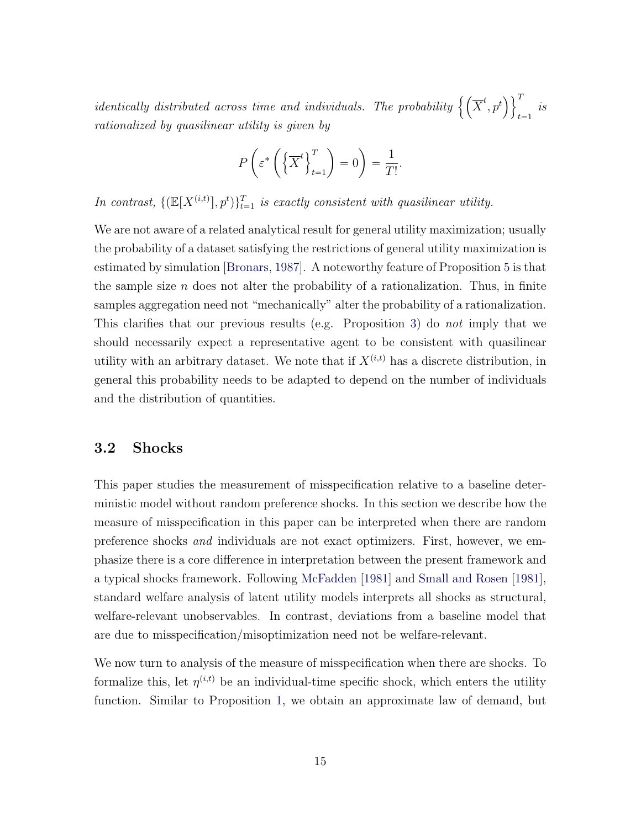identically distributed across time and individuals. The probability  $\big\{\left(\overline{X}\right)$  $t, p^t$  $\sqrt{1}$  $t = 1$ is rationalized by quasilinear utility is given by

$$
P\left(\varepsilon^* \left(\left\{\overline{X}^t\right\}_{t=1}^T\right) = 0\right) = \frac{1}{T!}.
$$

In contrast,  $\{(\mathbb{E}[X^{(i,t)}], p^t)\}_{t=1}^T$  is exactly consistent with quasilinear utility.

We are not aware of a related analytical result for general utility maximization; usually the probability of a dataset satisfying the restrictions of general utility maximization is estimated by simulation [\[Bronars,](#page-53-6) [1987\]](#page-53-6). A noteworthy feature of Proposition [5](#page-15-1) is that the sample size  $n$  does not alter the probability of a rationalization. Thus, in finite samples aggregation need not "mechanically" alter the probability of a rationalization. This clarifies that our previous results (e.g. Proposition [3\)](#page-2-0) do not imply that we should necessarily expect a representative agent to be consistent with quasilinear utility with an arbitrary dataset. We note that if  $X^{(i,t)}$  has a discrete distribution, in general this probability needs to be adapted to depend on the number of individuals and the distribution of quantities.

#### <span id="page-16-0"></span>3.2 Shocks

This paper studies the measurement of misspecification relative to a baseline deterministic model without random preference shocks. In this section we describe how the measure of misspecification in this paper can be interpreted when there are random preference shocks and individuals are not exact optimizers. First, however, we emphasize there is a core difference in interpretation between the present framework and a typical shocks framework. Following [McFadden](#page-56-3) [\[1981\]](#page-56-3) and [Small and Rosen](#page-56-7) [\[1981\]](#page-56-7), standard welfare analysis of latent utility models interprets all shocks as structural, welfare-relevant unobservables. In contrast, deviations from a baseline model that are due to misspecification/misoptimization need not be welfare-relevant.

We now turn to analysis of the measure of misspecification when there are shocks. To formalize this, let  $\eta^{(i,t)}$  be an individual-time specific shock, which enters the utility function. Similar to Proposition [1,](#page-8-1) we obtain an approximate law of demand, but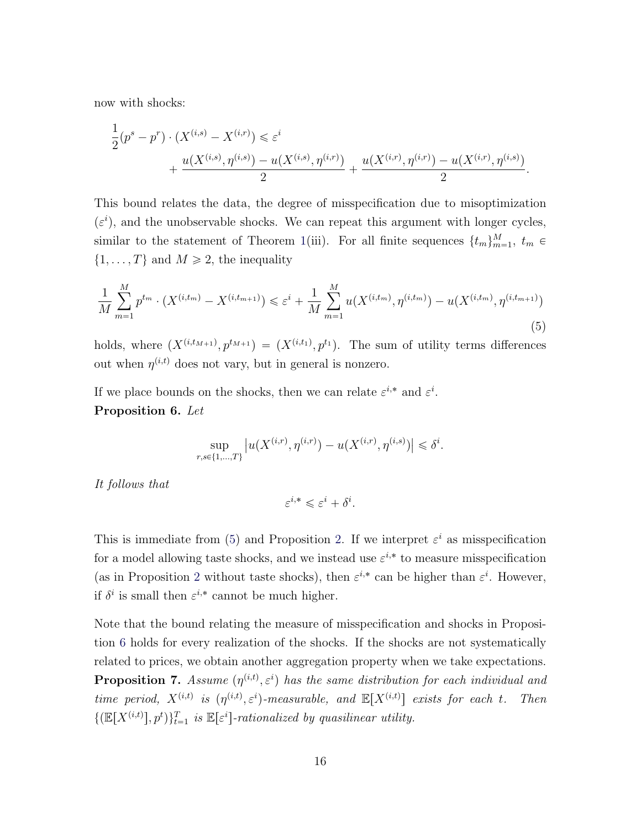now with shocks:

$$
\frac{1}{2}(p^s - p^r) \cdot (X^{(i,s)} - X^{(i,r)}) \leq \varepsilon^i
$$
  
+ 
$$
\frac{u(X^{(i,s)}, \eta^{(i,s)}) - u(X^{(i,s)}, \eta^{(i,r)})}{2} + \frac{u(X^{(i,r)}, \eta^{(i,r)}) - u(X^{(i,r)}, \eta^{(i,s)})}{2}.
$$

This bound relates the data, the degree of misspecification due to misoptimization  $(\varepsilon^i)$ , and the unobservable shocks. We can repeat this argument with longer cycles, similar to the statement of Theorem [1\(](#page-9-1)iii). For all finite sequences  $\{t_m\}_{m=1}^M$ ,  $t_m \in$  $\{1, \ldots, T\}$  and  $M \ge 2$ , the inequality

<span id="page-17-0"></span>
$$
\frac{1}{M} \sum_{m=1}^{M} p^{t_m} \cdot (X^{(i,t_m)} - X^{(i,t_{m+1})}) \leq \varepsilon^i + \frac{1}{M} \sum_{m=1}^{M} u(X^{(i,t_m)}, \eta^{(i,t_m)}) - u(X^{(i,t_m)}, \eta^{(i,t_{m+1})})
$$
\n(5)

holds, where  $(X^{(i,t_{M+1})}, p^{t_{M+1}}) = (X^{(i,t_1)}, p^{t_1})$ . The sum of utility terms differences out when  $\eta^{(i,t)}$  does not vary, but in general is nonzero.

<span id="page-17-1"></span>If we place bounds on the shocks, then we can relate  $\varepsilon^{i,*}$  and  $\varepsilon^i$ . Proposition 6. Let

$$
\sup_{r,s\in\{1,\ldots,T\}}\left|u(X^{(i,r)},\eta^{(i,r)})-u(X^{(i,r)},\eta^{(i,s)})\right|\leqslant\delta^i.
$$

It follows that

$$
\varepsilon^{i,*} \leqslant \varepsilon^i + \delta^i.
$$

This is immediate from [\(5\)](#page-17-0) and Proposition [2.](#page-11-2) If we interpret  $\varepsilon^i$  as misspecification for a model allowing taste shocks, and we instead use  $\varepsilon^{i,*}$  to measure misspecification (as in Proposition [2](#page-11-2) without taste shocks), then  $\varepsilon^{i,*}$  can be higher than  $\varepsilon^i$ . However, if  $\delta^i$  is small then  $\varepsilon^{i,*}$  cannot be much higher.

<span id="page-17-2"></span>Note that the bound relating the measure of misspecification and shocks in Proposition [6](#page-17-1) holds for every realization of the shocks. If the shocks are not systematically related to prices, we obtain another aggregation property when we take expectations. **Proposition 7.** Assume  $(\eta^{(i,t)}, \varepsilon^i)$  has the same distribution for each individual and time period,  $X^{(i,t)}$  is  $(\eta^{(i,t)}, \varepsilon^i)$ -measurable, and  $\mathbb{E}[X^{(i,t)}]$  exists for each t. Then  $\{(\mathbb{E}[X^{(i,t)}], p^t)\}_{t=1}^T$  is  $\mathbb{E}[\varepsilon^i]$ -rationalized by quasilinear utility.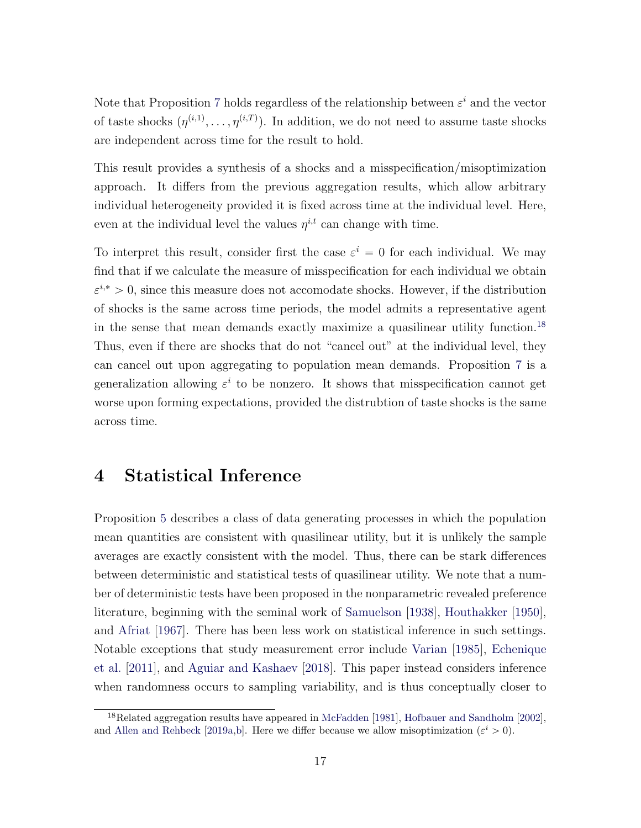Note that Proposition [7](#page-17-2) holds regardless of the relationship between  $\varepsilon^i$  and the vector of taste shocks  $(\eta^{(i,1)}, \ldots, \eta^{(i,T)})$ . In addition, we do not need to assume taste shocks are independent across time for the result to hold.

This result provides a synthesis of a shocks and a misspecification/misoptimization approach. It differs from the previous aggregation results, which allow arbitrary individual heterogeneity provided it is fixed across time at the individual level. Here, even at the individual level the values  $\eta^{i,t}$  can change with time.

To interpret this result, consider first the case  $\varepsilon^i = 0$  for each individual. We may find that if we calculate the measure of misspecification for each individual we obtain  $\varepsilon^{i,*} > 0$ , since this measure does not accomodate shocks. However, if the distribution of shocks is the same across time periods, the model admits a representative agent in the sense that mean demands exactly maximize a quasilinear utility function.[18](#page-18-1) Thus, even if there are shocks that do not "cancel out" at the individual level, they can cancel out upon aggregating to population mean demands. Proposition [7](#page-17-2) is a generalization allowing  $\varepsilon^i$  to be nonzero. It shows that misspecification cannot get worse upon forming expectations, provided the distrubtion of taste shocks is the same across time.

## <span id="page-18-0"></span>4 Statistical Inference

Proposition [5](#page-15-1) describes a class of data generating processes in which the population mean quantities are consistent with quasilinear utility, but it is unlikely the sample averages are exactly consistent with the model. Thus, there can be stark differences between deterministic and statistical tests of quasilinear utility. We note that a number of deterministic tests have been proposed in the nonparametric revealed preference literature, beginning with the seminal work of [Samuelson](#page-56-8) [\[1938\]](#page-56-8), [Houthakker](#page-55-8) [\[1950\]](#page-55-8), and [Afriat](#page-51-2) [\[1967\]](#page-51-2). There has been less work on statistical inference in such settings. Notable exceptions that study measurement error include [Varian](#page-57-4) [\[1985\]](#page-57-4), [Echenique](#page-54-1) [et al.](#page-54-1) [\[2011\]](#page-54-1), and [Aguiar and Kashaev](#page-52-7) [\[2018\]](#page-52-7). This paper instead considers inference when randomness occurs to sampling variability, and is thus conceptually closer to

<span id="page-18-1"></span><sup>&</sup>lt;sup>18</sup>Related aggregation results have appeared in [McFadden](#page-56-3) [\[1981\]](#page-56-3), [Hofbauer and Sandholm](#page-55-9) [\[2002\]](#page-55-9), and [Allen and Rehbeck](#page-52-2) [\[2019a,](#page-52-2)[b\]](#page-52-8). Here we differ because we allow misoptimization  $(\varepsilon^i > 0)$ .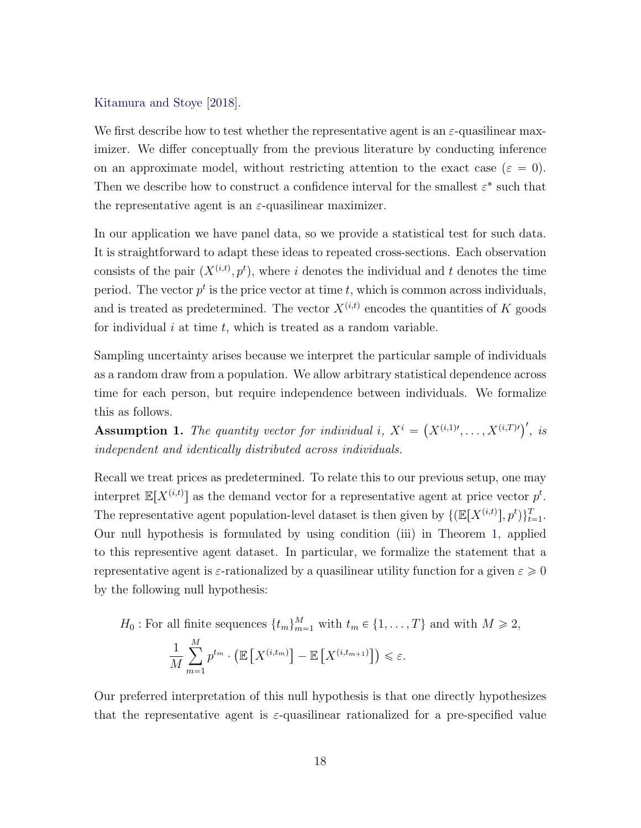#### [Kitamura and Stoye](#page-55-1) [\[2018\]](#page-55-1).

We first describe how to test whether the representative agent is an  $\varepsilon$ -quasilinear maximizer. We differ conceptually from the previous literature by conducting inference on an approximate model, without restricting attention to the exact case ( $\varepsilon = 0$ ). Then we describe how to construct a confidence interval for the smallest  $\varepsilon^*$  such that the representative agent is an  $\varepsilon$ -quasilinear maximizer.

In our application we have panel data, so we provide a statistical test for such data. It is straightforward to adapt these ideas to repeated cross-sections. Each observation consists of the pair  $(X^{(i,t)}, p^t)$ , where i denotes the individual and t denotes the time period. The vector  $p^t$  is the price vector at time t, which is common across individuals, and is treated as predetermined. The vector  $X^{(i,t)}$  encodes the quantities of K goods for individual  $i$  at time  $t$ , which is treated as a random variable.

Sampling uncertainty arises because we interpret the particular sample of individuals as a random draw from a population. We allow arbitrary statistical dependence across time for each person, but require independence between individuals. We formalize this as follows.

**Assumption 1.** The quantity vector for individual i,  $X^i =$  $(X^{(i,1)\prime}, \ldots, X^{(i,T)\prime})'$ , is independent and identically distributed across individuals.

Recall we treat prices as predetermined. To relate this to our previous setup, one may interpret  $\mathbb{E}[X^{(i,t)}]$  as the demand vector for a representative agent at price vector  $p^t$ . The representative agent population-level dataset is then given by  $\{(\mathbb{E}[X^{(i,t)}], p^t)\}_{t=1}^T$ . Our null hypothesis is formulated by using condition (iii) in Theorem [1,](#page-9-1) applied to this representive agent dataset. In particular, we formalize the statement that a representative agent is  $\varepsilon$ -rationalized by a quasilinear utility function for a given  $\varepsilon \geqslant 0$ by the following null hypothesis:

$$
H_0: \text{For all finite sequences } \{t_m\}_{m=1}^M \text{ with } t_m \in \{1, \dots, T\} \text{ and with } M \ge 2,
$$

$$
\frac{1}{M} \sum_{m=1}^M p^{t_m} \cdot \left(\mathbb{E}\left[X^{(i,t_m)}\right] - \mathbb{E}\left[X^{(i,t_{m+1})}\right]\right) \le \varepsilon.
$$

Our preferred interpretation of this null hypothesis is that one directly hypothesizes that the representative agent is  $\varepsilon$ -quasilinear rationalized for a pre-specified value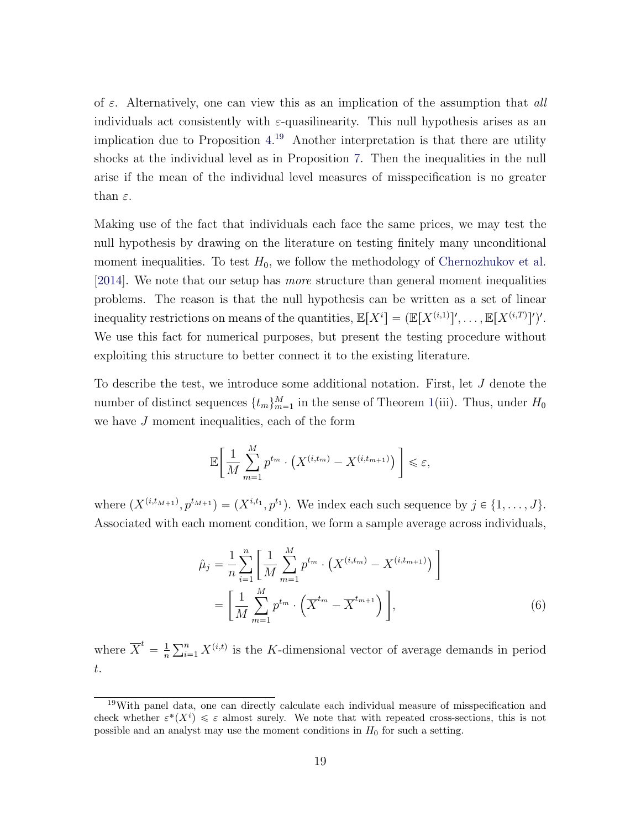of  $\varepsilon$ . Alternatively, one can view this as an implication of the assumption that all individuals act consistently with  $\varepsilon$ -quasilinearity. This null hypothesis arises as an implication due to Proposition [4.](#page-14-0) [19](#page-20-0) Another interpretation is that there are utility shocks at the individual level as in Proposition [7.](#page-17-2) Then the inequalities in the null arise if the mean of the individual level measures of misspecification is no greater than  $\varepsilon$ .

Making use of the fact that individuals each face the same prices, we may test the null hypothesis by drawing on the literature on testing finitely many unconditional moment inequalities. To test  $H_0$ , we follow the methodology of [Chernozhukov et al.](#page-53-1) [\[2014\]](#page-53-1). We note that our setup has more structure than general moment inequalities problems. The reason is that the null hypothesis can be written as a set of linear inequality restrictions on means of the quantities,  $\mathbb{E}[X^i] = (\mathbb{E}[X^{(i,1)}]', \dots, \mathbb{E}[X^{(i,T)}]')'.$ We use this fact for numerical purposes, but present the testing procedure without exploiting this structure to better connect it to the existing literature.

To describe the test, we introduce some additional notation. First, let J denote the number of distinct sequences  $\{t_m\}_{m=1}^M$  in the sense of Theorem [1\(](#page-9-1)iii). Thus, under  $H_0$ we have J moment inequalities, each of the form

$$
\mathbb{E}\bigg[\frac{1}{M}\sum_{m=1}^{M}p^{t_m}\cdot\big(X^{(i,t_m)}-X^{(i,t_{m+1})}\big)\bigg]\leq \varepsilon,
$$

where  $(X^{(i,t_{M+1})}, p^{t_{M+1}}) = (X^{i,t_1}, p^{t_1})$ . We index each such sequence by  $j \in \{1, ..., J\}$ . Associated with each moment condition, we form a sample average across individuals,

<span id="page-20-1"></span>
$$
\hat{\mu}_j = \frac{1}{n} \sum_{i=1}^n \left[ \frac{1}{M} \sum_{m=1}^M p^{t_m} \cdot \left( X^{(i,t_m)} - X^{(i,t_{m+1})} \right) \right]
$$
\n
$$
= \left[ \frac{1}{M} \sum_{m=1}^M p^{t_m} \cdot \left( \overline{X}^{t_m} - \overline{X}^{t_{m+1}} \right) \right],
$$
\n(6)

where  $\overline{X}^t = \frac{1}{n}$ n  $\sum_{n}$  $\sum_{i=1}^{n} X^{(i,t)}$  is the K-dimensional vector of average demands in period t.

<span id="page-20-0"></span><sup>19</sup>With panel data, one can directly calculate each individual measure of misspecification and check whether  $\varepsilon^*(X^i) \leq \varepsilon$  almost surely. We note that with repeated cross-sections, this is not possible and an analyst may use the moment conditions in  $H_0$  for such a setting.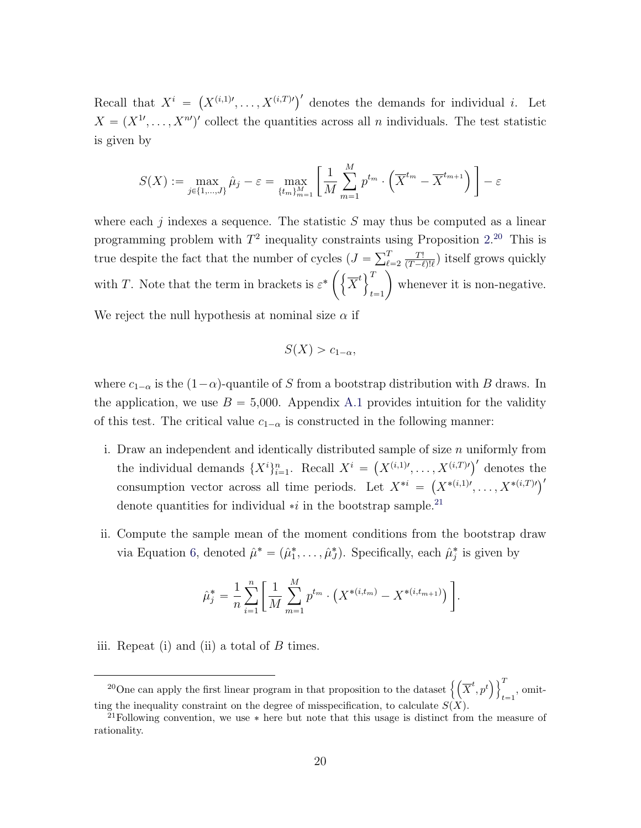Recall that  $X^i$  =  $(X^{(i,1)}, \ldots, X^{(i,T)'})'$  denotes the demands for individual *i*. Let  $X = (X^{1}, \ldots, X^{n})'$  collect the quantities across all n individuals. The test statistic is given by

$$
S(X) := \max_{j \in \{1, ..., J\}} \hat{\mu}_j - \varepsilon = \max_{\{t_m\}_{m=1}^M} \left[ \frac{1}{M} \sum_{m=1}^M p^{t_m} \cdot \left( \overline{X}^{t_m} - \overline{X}^{t_{m+1}} \right) \right] - \varepsilon
$$

where each j indexes a sequence. The statistic  $S$  may thus be computed as a linear programming problem with  $T^2$  inequality constraints using Proposition [2.](#page-11-2)<sup>[20](#page-21-0)</sup> This is programming problem with  $T$  inequality constraints in the despite the fact that the number of cycles  $(J = \sum_{\ell}^{T}$  $_{\ell=2}$ T! es  $(J = \sum_{\ell=2}^{T} \frac{T!}{(T-\ell)! \ell})$  itself grows quickly with T. Note that the term in brackets is  $\varepsilon^* \left( \left\{ \overline{X}^t \right\}^T \right)$  $t = 1$ whenever it is non-negative.

We reject the null hypothesis at nominal size  $\alpha$  if

$$
S(X) > c_{1-\alpha},
$$

where  $c_{1-\alpha}$  is the  $(1-\alpha)$ -quantile of S from a bootstrap distribution with B draws. In the application, we use  $B = 5,000$ . Appendix [A.1](#page-41-0) provides intuition for the validity of this test. The critical value  $c_{1-\alpha}$  is constructed in the following manner:

- i. Draw an independent and identically distributed sample of size  $n$  uniformly from Draw an independent and identically distributed sample of size *n* uniformly from<br>the individual demands  $\{X^i\}_{i=1}^n$ . Recall  $X^i = (X^{(i,1)}, \ldots, X^{(i,T)'})'$  denotes the the individual definance  $\{X^*\}_{i=1}$ . Recall  $X^* = (X^{(i)}, \ldots, X^{(i)})$  denotes the consumption vector across all time periods. Let  $X^{*i} = (X^{*(i,1)}, \ldots, X^{*(i,T)})'$ denote quantities for individual  $\ast i$  in the bootstrap sample.<sup>[21](#page-21-1)</sup>
- ii. Compute the sample mean of the moment conditions from the bootstrap draw via Equation [6,](#page-20-1) denoted  $\hat{\mu}^* = (\hat{\mu}_1^*, \dots, \hat{\mu}_J^*)$ . Specifically, each  $\hat{\mu}_j^*$  is given by

$$
\hat{\mu}_j^* = \frac{1}{n} \sum_{i=1}^n \left[ \frac{1}{M} \sum_{m=1}^M p^{t_m} \cdot \left( X^{*(i, t_m)} - X^{*(i, t_{m+1})} \right) \right].
$$

iii. Repeat (i) and (ii) a total of  $B$  times.

<span id="page-21-0"></span><sup>&</sup>lt;sup>20</sup>One can apply the first linear program in that proposition to the dataset  $\left\{ \left( \overline{X}^{t},p^{t}\right) \right\}$  $\sqrt{1}$  $_{t=1}$ , omitting the inequality constraint on the degree of misspecification, to calculate  $S(X)$ .

<span id="page-21-1"></span><sup>&</sup>lt;sup>21</sup>Following convention, we use  $*$  here but note that this usage is distinct from the measure of rationality.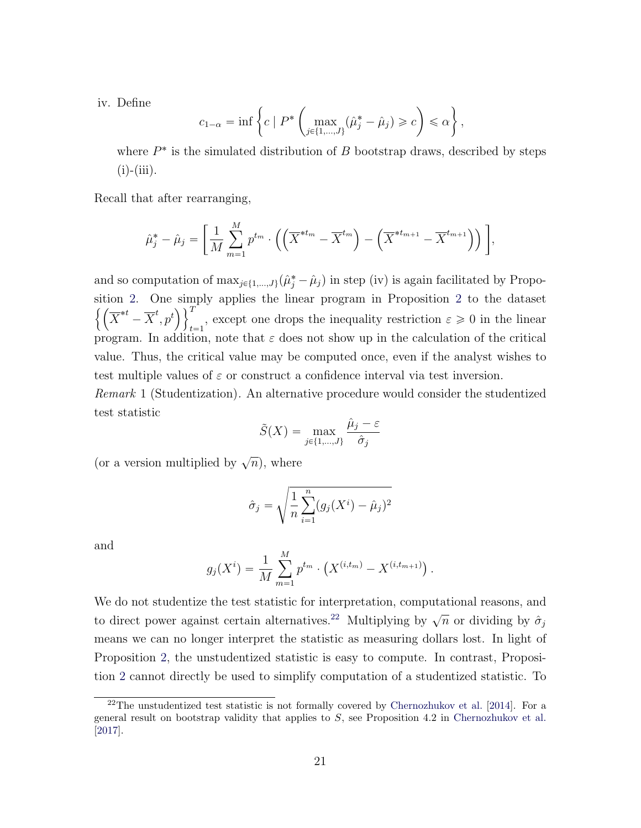iv. Define

$$
c_{1-\alpha} = \inf \left\{ c \mid P^* \left( \max_{j \in \{1, \dots, J\}} (\hat{\mu}_j^* - \hat{\mu}_j) \geqslant c \right) \leqslant \alpha \right\},\
$$

where  $P^*$  is the simulated distribution of  $B$  bootstrap draws, described by steps  $(i)$ - $(iii)$ .

Recall that after rearranging,

$$
\hat{\mu}_j^* - \hat{\mu}_j = \left[ \frac{1}{M} \sum_{m=1}^M p^{t_m} \cdot \left( \left( \overline{X}^{*t_m} - \overline{X}^{t_m} \right) - \left( \overline{X}^{*t_{m+1}} - \overline{X}^{t_{m+1}} \right) \right) \right],
$$

and so computation of  $\max_{j\in\{1,\ldots,J\}} (\hat{\mu}_j^* - \hat{\mu}_j)$  in step (iv) is again facilitated by Propo-sition [2.](#page-11-2) One simply applies the linear program in Proposition [2](#page-11-2) to the dataset  $\overline{X}^{*t} - \overline{X}^t, p^t$  $t=1$ , except one drops the inequality restriction  $\varepsilon \geq 0$  in the linear program. In addition, note that  $\varepsilon$  does not show up in the calculation of the critical value. Thus, the critical value may be computed once, even if the analyst wishes to test multiple values of  $\varepsilon$  or construct a confidence interval via test inversion.

Remark 1 (Studentization). An alternative procedure would consider the studentized test statistic

$$
\tilde{S}(X) = \max_{j \in \{1, \dots, J\}} \frac{\hat{\mu}_j - \varepsilon}{\hat{\sigma}_j}
$$

(or a version multiplied by  $\sqrt{n}$ ), where

$$
\hat{\sigma}_j = \sqrt{\frac{1}{n} \sum_{i=1}^n (g_j(X^i) - \hat{\mu}_j)^2}
$$

and

$$
g_j(X^i) = \frac{1}{M} \sum_{m=1}^{M} p^{t_m} \cdot (X^{(i,t_m)} - X^{(i,t_{m+1})}).
$$

We do not studentize the test statistic for interpretation, computational reasons, and to direct power against certain alternatives.<sup>[22](#page-22-0)</sup> Multiplying by  $\sqrt{n}$  or dividing by  $\hat{\sigma}_j$ means we can no longer interpret the statistic as measuring dollars lost. In light of Proposition [2,](#page-11-2) the unstudentized statistic is easy to compute. In contrast, Proposition [2](#page-11-2) cannot directly be used to simplify computation of a studentized statistic. To

<span id="page-22-0"></span> $22$ The unstudentized test statistic is not formally covered by [Chernozhukov et al.](#page-53-1) [\[2014\]](#page-53-1). For a general result on bootstrap validity that applies to  $S$ , see Proposition 4.2 in [Chernozhukov et al.](#page-53-7) [\[2017\]](#page-53-7).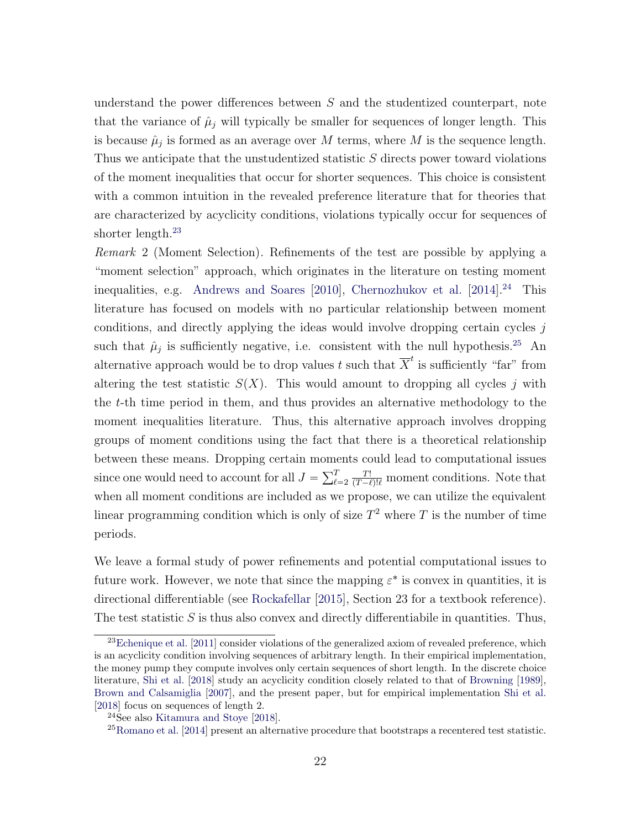understand the power differences between  $S$  and the studentized counterpart, note that the variance of  $\hat{\mu}_j$  will typically be smaller for sequences of longer length. This is because  $\hat{\mu}_j$  is formed as an average over M terms, where M is the sequence length. Thus we anticipate that the unstudentized statistic S directs power toward violations of the moment inequalities that occur for shorter sequences. This choice is consistent with a common intuition in the revealed preference literature that for theories that are characterized by acyclicity conditions, violations typically occur for sequences of shorter length.<sup>[23](#page-23-0)</sup>

Remark 2 (Moment Selection). Refinements of the test are possible by applying a "moment selection" approach, which originates in the literature on testing moment inequalities, e.g. [Andrews and Soares](#page-52-9)  $[2010]$ , [Chernozhukov et al.](#page-53-1)  $[2014]$ <sup>[24](#page-23-1)</sup> This literature has focused on models with no particular relationship between moment conditions, and directly applying the ideas would involve dropping certain cycles  $j$ such that  $\hat{\mu}_j$  is sufficiently negative, i.e. consistent with the null hypothesis.<sup>[25](#page-23-2)</sup> An alternative approach would be to drop values  $t$  such that  $\overline{X}^t$  is sufficiently "far" from altering the test statistic  $S(X)$ . This would amount to dropping all cycles j with the t-th time period in them, and thus provides an alternative methodology to the moment inequalities literature. Thus, this alternative approach involves dropping groups of moment conditions using the fact that there is a theoretical relationship between these means. Dropping certain moments could lead to computational issues since one would need to account for all  $J = \sum_{\ell}^{T}$  $_{\ell=2}$  $\frac{T!}{(T-\ell)! \ell}$  moment conditions. Note that when all moment conditions are included as we propose, we can utilize the equivalent linear programming condition which is only of size  $T^2$  where T is the number of time periods.

We leave a formal study of power refinements and potential computational issues to future work. However, we note that since the mapping  $\varepsilon^*$  is convex in quantities, it is directional differentiable (see [Rockafellar](#page-56-9) [\[2015\]](#page-56-9), Section 23 for a textbook reference). The test statistic  $S$  is thus also convex and directly differentiabile in quantities. Thus,

<span id="page-23-0"></span> $^{23}$ [Echenique et al.](#page-54-1) [\[2011\]](#page-54-1) consider violations of the generalized axiom of revealed preference, which is an acyclicity condition involving sequences of arbitrary length. In their empirical implementation, the money pump they compute involves only certain sequences of short length. In the discrete choice literature, [Shi et al.](#page-56-10) [\[2018\]](#page-56-10) study an acyclicity condition closely related to that of [Browning](#page-53-2) [\[1989\]](#page-53-2), [Brown and Calsamiglia](#page-53-5) [\[2007\]](#page-53-5), and the present paper, but for empirical implementation [Shi et al.](#page-56-10) [\[2018\]](#page-56-10) focus on sequences of length 2.

<span id="page-23-1"></span><sup>24</sup>See also [Kitamura and Stoye](#page-55-1) [\[2018\]](#page-55-1).

<span id="page-23-2"></span><sup>25</sup>[Romano et al.](#page-56-0) [\[2014\]](#page-56-0) present an alternative procedure that bootstraps a recentered test statistic.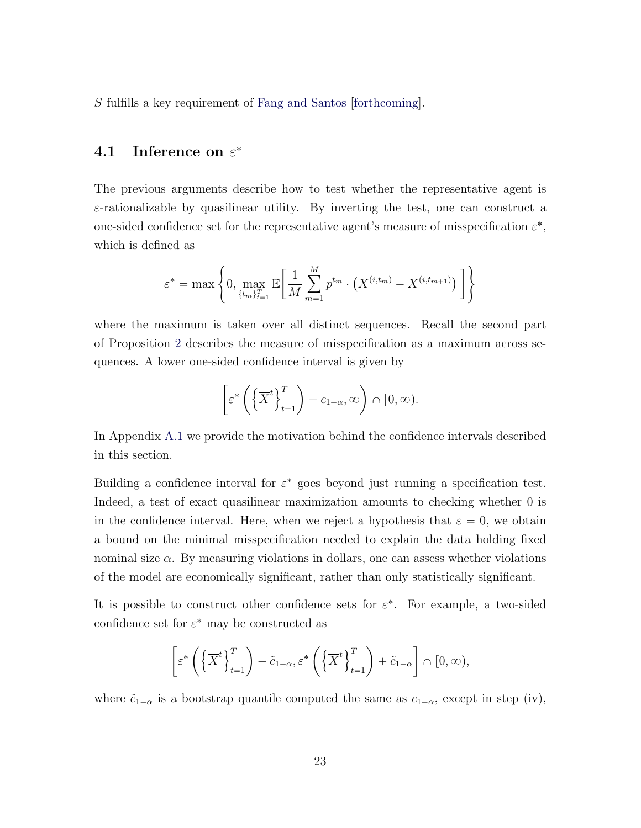S fulfills a key requirement of [Fang and Santos](#page-54-8) [\[forthcoming\]](#page-54-8).

#### <span id="page-24-0"></span>4.1 Inference on  $\varepsilon^*$

The previous arguments describe how to test whether the representative agent is  $\varepsilon$ -rationalizable by quasilinear utility. By inverting the test, one can construct a one-sided confidence set for the representative agent's measure of misspecification  $\varepsilon^*$ , which is defined as

$$
\varepsilon^* = \max \left\{ 0, \max_{\{t_m\}_{t=1}^T} \mathbb{E} \bigg[ \frac{1}{M} \sum_{m=1}^M p^{t_m} \cdot \big(X^{(i,t_m)} - X^{(i,t_{m+1})}\big) \bigg] \right\}
$$

where the maximum is taken over all distinct sequences. Recall the second part of Proposition [2](#page-11-2) describes the measure of misspecification as a maximum across sequences. A lower one-sided confidence interval is given by

$$
\[ \varepsilon^* \left( \left\{ \overline{X}^t \right\}_{t=1}^T \right) - c_{1-\alpha}, \infty \right) \cap [0, \infty).
$$

In Appendix [A.1](#page-41-0) we provide the motivation behind the confidence intervals described in this section.

Building a confidence interval for  $\varepsilon^*$  goes beyond just running a specification test. Indeed, a test of exact quasilinear maximization amounts to checking whether 0 is in the confidence interval. Here, when we reject a hypothesis that  $\varepsilon = 0$ , we obtain a bound on the minimal misspecification needed to explain the data holding fixed nominal size  $\alpha$ . By measuring violations in dollars, one can assess whether violations of the model are economically significant, rather than only statistically significant.

It is possible to construct other confidence sets for  $\varepsilon^*$ . For example, a two-sided confidence set for  $\varepsilon^*$  may be constructed as

$$
\left[\varepsilon^* \left(\left\{\overline{X}^t\right\}_{t=1}^T\right) - \tilde{c}_{1-\alpha}, \varepsilon^* \left(\left\{\overline{X}^t\right\}_{t=1}^T\right) + \tilde{c}_{1-\alpha}\right] \cap [0, \infty),
$$

where  $\tilde{c}_{1-\alpha}$  is a bootstrap quantile computed the same as  $c_{1-\alpha}$ , except in step (iv),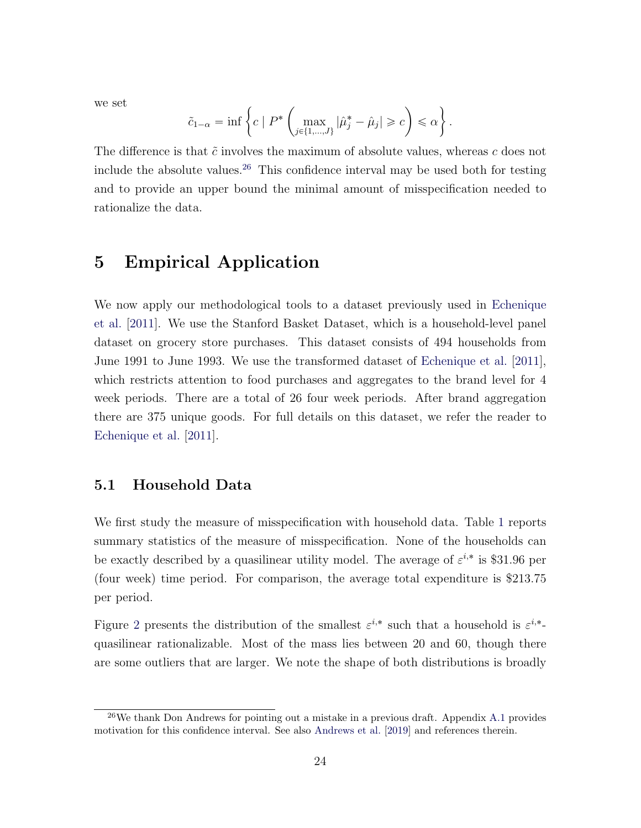we set

$$
\tilde{c}_{1-\alpha} = \inf \left\{ c \mid P^* \left( \max_{j \in \{1, \dots, J\}} |\hat{\mu}_j^* - \hat{\mu}_j| \geqslant c \right) \leqslant \alpha \right\}.
$$

The difference is that  $\tilde{c}$  involves the maximum of absolute values, whereas c does not include the absolute values.<sup>[26](#page-25-1)</sup> This confidence interval may be used both for testing and to provide an upper bound the minimal amount of misspecification needed to rationalize the data.

### <span id="page-25-0"></span>5 Empirical Application

We now apply our methodological tools to a dataset previously used in [Echenique](#page-54-1) [et al.](#page-54-1) [\[2011\]](#page-54-1). We use the Stanford Basket Dataset, which is a household-level panel dataset on grocery store purchases. This dataset consists of 494 households from June 1991 to June 1993. We use the transformed dataset of [Echenique et al.](#page-54-1) [\[2011\]](#page-54-1), which restricts attention to food purchases and aggregates to the brand level for 4 week periods. There are a total of 26 four week periods. After brand aggregation there are 375 unique goods. For full details on this dataset, we refer the reader to [Echenique et al.](#page-54-1) [\[2011\]](#page-54-1).

#### 5.1 Household Data

We first study the measure of misspecification with household data. Table [1](#page-26-0) reports summary statistics of the measure of misspecification. None of the households can be exactly described by a quasilinear utility model. The average of  $\varepsilon^{i,*}$  is \$31.96 per (four week) time period. For comparison, the average total expenditure is \$213.75 per period.

Figure [2](#page-26-1) presents the distribution of the smallest  $\varepsilon^{i,*}$  such that a household is  $\varepsilon^{i,*}$ quasilinear rationalizable. Most of the mass lies between 20 and 60, though there are some outliers that are larger. We note the shape of both distributions is broadly

<span id="page-25-1"></span><sup>26</sup>We thank Don Andrews for pointing out a mistake in a previous draft. Appendix [A.1](#page-41-0) provides motivation for this confidence interval. See also [Andrews et al.](#page-52-10) [\[2019\]](#page-52-10) and references therein.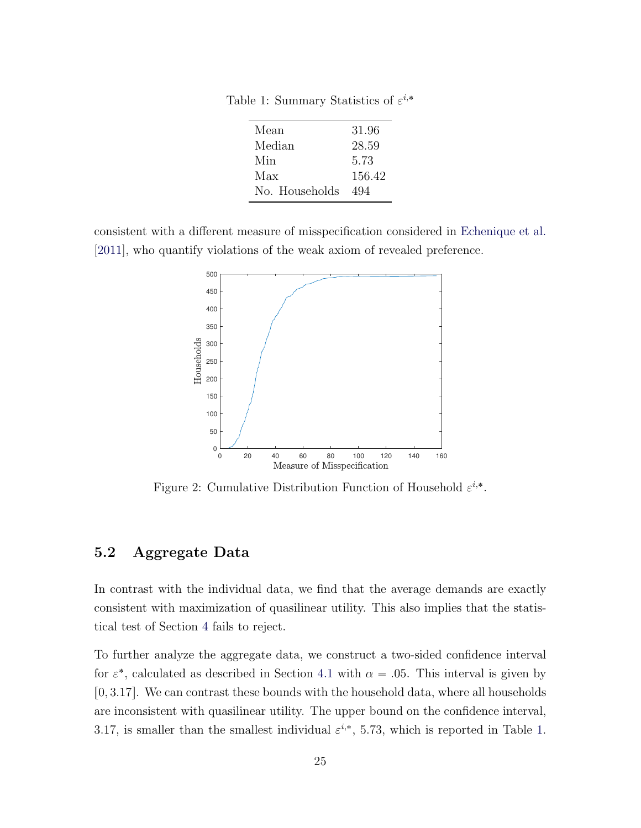<span id="page-26-0"></span>Table 1: Summary Statistics of  $\varepsilon^{i,*}$ 

| Mean           | 31.96  |
|----------------|--------|
| Median         | 28.59  |
| Min            | 5.73   |
| Max            | 156.42 |
| No. Households | 494    |

<span id="page-26-1"></span>consistent with a different measure of misspecification considered in [Echenique et al.](#page-54-1) [\[2011\]](#page-54-1), who quantify violations of the weak axiom of revealed preference.



Figure 2: Cumulative Distribution Function of Household  $\varepsilon^{i,*}$ .

#### 5.2 Aggregate Data

In contrast with the individual data, we find that the average demands are exactly consistent with maximization of quasilinear utility. This also implies that the statistical test of Section [4](#page-18-0) fails to reject.

To further analyze the aggregate data, we construct a two-sided confidence interval for  $\varepsilon^*$ , calculated as described in Section [4.1](#page-24-0) with  $\alpha = .05$ . This interval is given by  $[0, 3.17]$ . We can contrast these bounds with the household data, where all households are inconsistent with quasilinear utility. The upper bound on the confidence interval, 3.17, is smaller than the smallest individual  $\varepsilon^{i,*}$ , 5.73, which is reported in Table [1.](#page-26-0)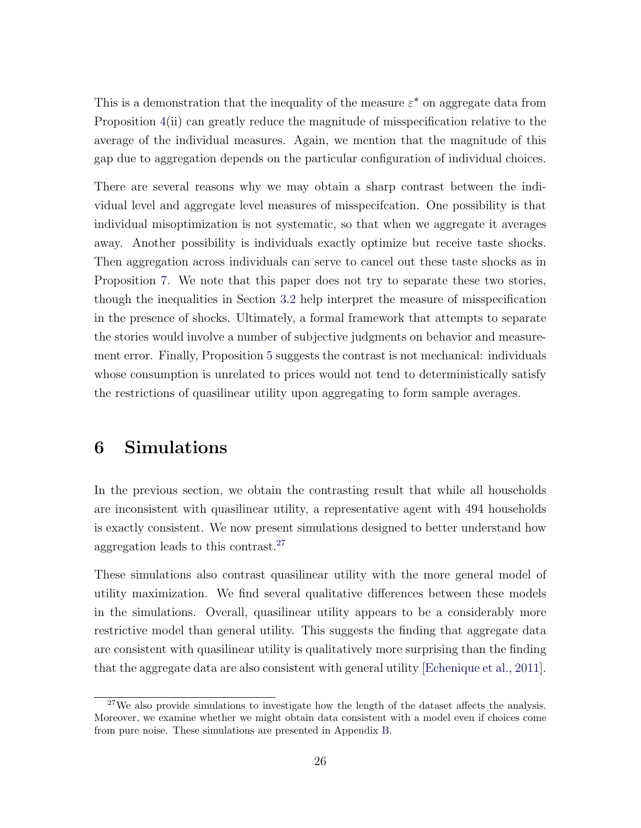This is a demonstration that the inequality of the measure  $\varepsilon^*$  on aggregate data from Proposition [4\(](#page-14-0)ii) can greatly reduce the magnitude of misspecification relative to the average of the individual measures. Again, we mention that the magnitude of this gap due to aggregation depends on the particular configuration of individual choices.

There are several reasons why we may obtain a sharp contrast between the individual level and aggregate level measures of misspecifcation. One possibility is that individual misoptimization is not systematic, so that when we aggregate it averages away. Another possibility is individuals exactly optimize but receive taste shocks. Then aggregation across individuals can serve to cancel out these taste shocks as in Proposition [7.](#page-17-2) We note that this paper does not try to separate these two stories, though the inequalities in Section [3.2](#page-16-0) help interpret the measure of misspecification in the presence of shocks. Ultimately, a formal framework that attempts to separate the stories would involve a number of subjective judgments on behavior and measurement error. Finally, Proposition [5](#page-15-1) suggests the contrast is not mechanical: individuals whose consumption is unrelated to prices would not tend to deterministically satisfy the restrictions of quasilinear utility upon aggregating to form sample averages.

### <span id="page-27-0"></span>6 Simulations

In the previous section, we obtain the contrasting result that while all households are inconsistent with quasilinear utility, a representative agent with 494 households is exactly consistent. We now present simulations designed to better understand how aggregation leads to this contrast.[27](#page-27-1)

These simulations also contrast quasilinear utility with the more general model of utility maximization. We find several qualitative differences between these models in the simulations. Overall, quasilinear utility appears to be a considerably more restrictive model than general utility. This suggests the finding that aggregate data are consistent with quasilinear utility is qualitatively more surprising than the finding that the aggregate data are also consistent with general utility [\[Echenique et al.,](#page-54-1) [2011\]](#page-54-1).

<span id="page-27-1"></span><sup>&</sup>lt;sup>27</sup>We also provide simulations to investigate how the length of the dataset affects the analysis. Moreover, we examine whether we might obtain data consistent with a model even if choices come from pure noise. These simulations are presented in Appendix [B.](#page-43-0)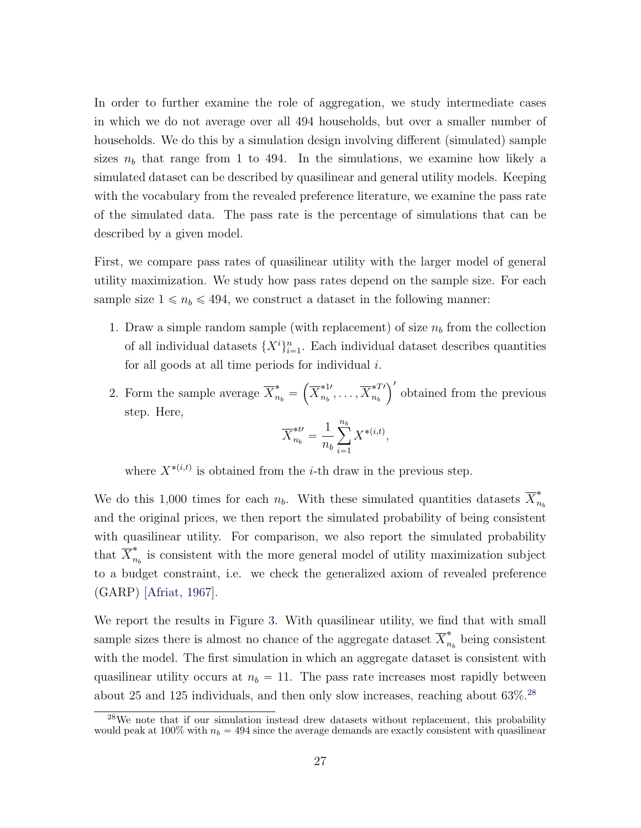In order to further examine the role of aggregation, we study intermediate cases in which we do not average over all 494 households, but over a smaller number of households. We do this by a simulation design involving different (simulated) sample sizes  $n_b$  that range from 1 to 494. In the simulations, we examine how likely a simulated dataset can be described by quasilinear and general utility models. Keeping with the vocabulary from the revealed preference literature, we examine the pass rate of the simulated data. The pass rate is the percentage of simulations that can be described by a given model.

First, we compare pass rates of quasilinear utility with the larger model of general utility maximization. We study how pass rates depend on the sample size. For each sample size  $1 \le n_b \le 494$ , we construct a dataset in the following manner:

- 1. Draw a simple random sample (with replacement) of size  $n_b$  from the collection of all individual datasets  $\{X^i\}_{i=1}^n$ . Each individual dataset describes quantities for all goods at all time periods for individual  $i$ .  $\mathbb{R}^2$
- 2. Form the sample average  $\overline{X}_{n_b}^* =$  $\overline{X}^{*1 \prime}_{n \iota}$  $_{n_b}^{*1},\ldots,\overline{X}_{n_b}^{*T}{}'$  $n_b$  $\sqrt{2}$ obtained from the previous step. Here,

$$
\overline{X}_{n_b}^{*t\prime} = \frac{1}{n_b} \sum_{i=1}^{n_b} X^{*(i,t)},
$$

where  $X^{*(i,t)}$  is obtained from the *i*-th draw in the previous step.

We do this 1,000 times for each  $n_b$ . With these simulated quantities datasets  $\overline{X}_n^*$  $n_b$ and the original prices, we then report the simulated probability of being consistent with quasilinear utility. For comparison, we also report the simulated probability that  $\overline{X}_n^*$  $n_h$  is consistent with the more general model of utility maximization subject to a budget constraint, i.e. we check the generalized axiom of revealed preference (GARP) [\[Afriat,](#page-51-2) [1967\]](#page-51-2).

We report the results in Figure [3.](#page-29-0) With quasilinear utility, we find that with small sample sizes there is almost no chance of the aggregate dataset  $\overline{X}_n^*$  $n_b$  being consistent with the model. The first simulation in which an aggregate dataset is consistent with quasilinear utility occurs at  $n_b = 11$ . The pass rate increases most rapidly between about 25 and 125 individuals, and then only slow increases, reaching about 63%.[28](#page-28-0)

<span id="page-28-0"></span> $28$ We note that if our simulation instead drew datasets without replacement, this probability would peak at 100% with  $n_b = 494$  since the average demands are exactly consistent with quasilinear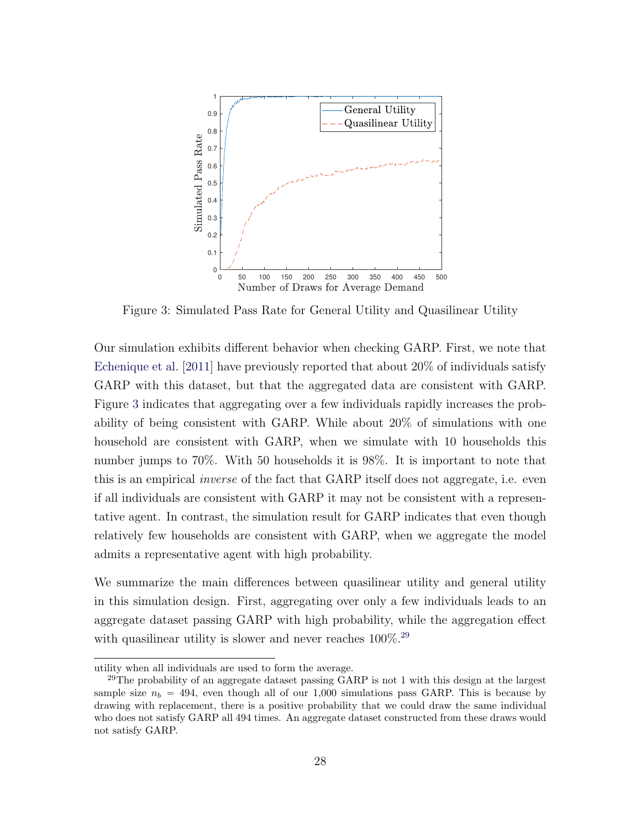<span id="page-29-0"></span>

Figure 3: Simulated Pass Rate for General Utility and Quasilinear Utility

Our simulation exhibits different behavior when checking GARP. First, we note that [Echenique et al.](#page-54-1) [\[2011\]](#page-54-1) have previously reported that about 20% of individuals satisfy GARP with this dataset, but that the aggregated data are consistent with GARP. Figure [3](#page-29-0) indicates that aggregating over a few individuals rapidly increases the probability of being consistent with GARP. While about 20% of simulations with one household are consistent with GARP, when we simulate with 10 households this number jumps to 70%. With 50 households it is 98%. It is important to note that this is an empirical *inverse* of the fact that GARP itself does not aggregate, i.e. even if all individuals are consistent with GARP it may not be consistent with a representative agent. In contrast, the simulation result for GARP indicates that even though relatively few households are consistent with GARP, when we aggregate the model admits a representative agent with high probability.

We summarize the main differences between quasilinear utility and general utility in this simulation design. First, aggregating over only a few individuals leads to an aggregate dataset passing GARP with high probability, while the aggregation effect with quasilinear utility is slower and never reaches  $100\%$ <sup>[29](#page-29-1)</sup>

utility when all individuals are used to form the average.

<span id="page-29-1"></span><sup>&</sup>lt;sup>29</sup>The probability of an aggregate dataset passing GARP is not 1 with this design at the largest sample size  $n_b = 494$ , even though all of our 1,000 simulations pass GARP. This is because by drawing with replacement, there is a positive probability that we could draw the same individual who does not satisfy GARP all 494 times. An aggregate dataset constructed from these draws would not satisfy GARP.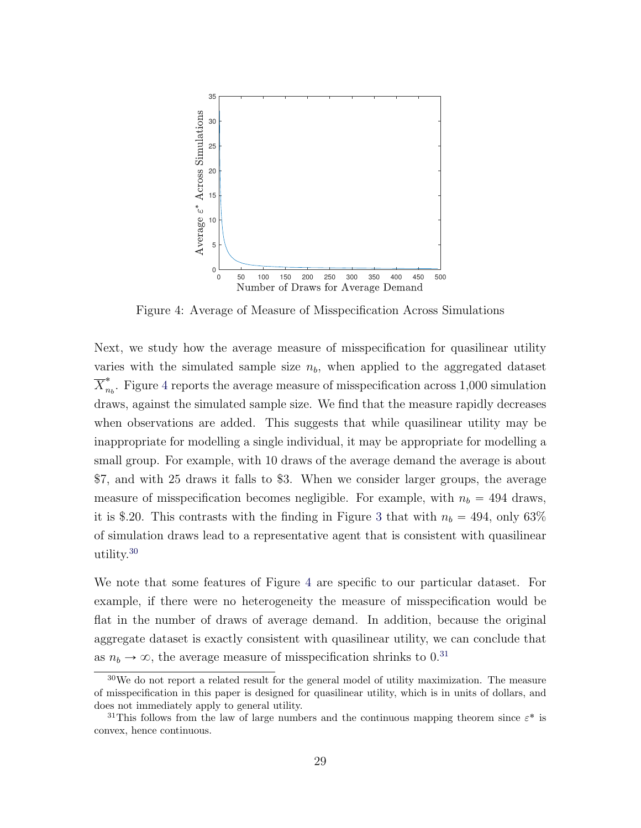<span id="page-30-0"></span>

Figure 4: Average of Measure of Misspecification Across Simulations

Next, we study how the average measure of misspecification for quasilinear utility varies with the simulated sample size  $n_b$ , when applied to the aggregated dataset  $\overline{X}_n^*$  $n_b$ . Figure [4](#page-30-0) reports the average measure of misspecification across 1,000 simulation draws, against the simulated sample size. We find that the measure rapidly decreases when observations are added. This suggests that while quasilinear utility may be inappropriate for modelling a single individual, it may be appropriate for modelling a small group. For example, with 10 draws of the average demand the average is about \$7, and with 25 draws it falls to \$3. When we consider larger groups, the average measure of misspecification becomes negligible. For example, with  $n_b = 494$  draws, it is \$.20. This contrasts with the finding in Figure [3](#page-29-0) that with  $n_b = 494$ , only 63% of simulation draws lead to a representative agent that is consistent with quasilinear utility.[30](#page-30-1)

We note that some features of Figure [4](#page-30-0) are specific to our particular dataset. For example, if there were no heterogeneity the measure of misspecification would be flat in the number of draws of average demand. In addition, because the original aggregate dataset is exactly consistent with quasilinear utility, we can conclude that as  $n_b \rightarrow \infty$ , the average measure of misspecification shrinks to 0.<sup>[31](#page-30-2)</sup>

<span id="page-30-1"></span> $30\,\text{We}$  do not report a related result for the general model of utility maximization. The measure of misspecification in this paper is designed for quasilinear utility, which is in units of dollars, and does not immediately apply to general utility.

<span id="page-30-2"></span><sup>&</sup>lt;sup>31</sup>This follows from the law of large numbers and the continuous mapping theorem since  $\varepsilon^*$  is convex, hence continuous.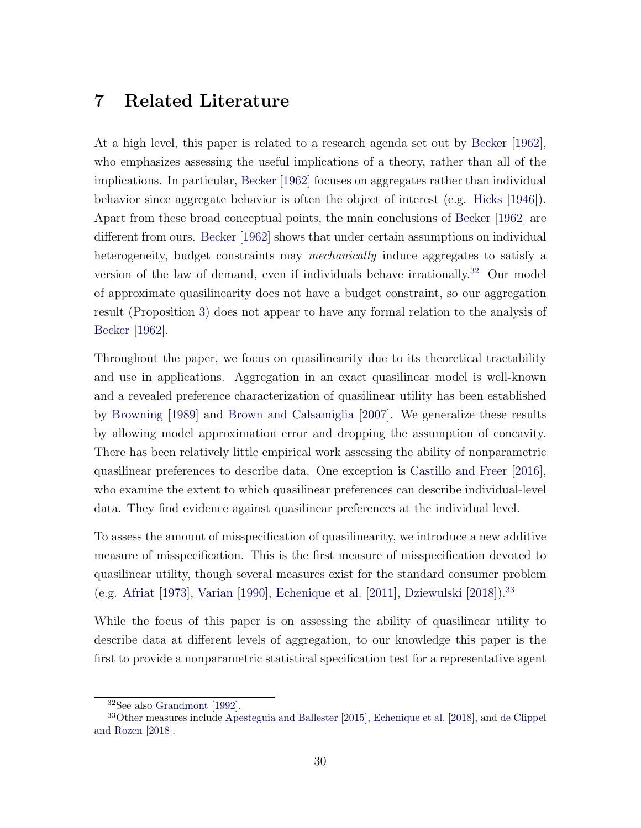## <span id="page-31-0"></span>7 Related Literature

At a high level, this paper is related to a research agenda set out by [Becker](#page-52-0) [\[1962\]](#page-52-0), who emphasizes assessing the useful implications of a theory, rather than all of the implications. In particular, [Becker](#page-52-0) [\[1962\]](#page-52-0) focuses on aggregates rather than individual behavior since aggregate behavior is often the object of interest (e.g. [Hicks](#page-55-0) [\[1946\]](#page-55-0)). Apart from these broad conceptual points, the main conclusions of [Becker](#page-52-0) [\[1962\]](#page-52-0) are different from ours. [Becker](#page-52-0) [\[1962\]](#page-52-0) shows that under certain assumptions on individual heterogeneity, budget constraints may mechanically induce aggregates to satisfy a version of the law of demand, even if individuals behave irrationally.<sup>[32](#page-31-1)</sup> Our model of approximate quasilinearity does not have a budget constraint, so our aggregation result (Proposition [3\)](#page-2-0) does not appear to have any formal relation to the analysis of [Becker](#page-52-0) [\[1962\]](#page-52-0).

Throughout the paper, we focus on quasilinearity due to its theoretical tractability and use in applications. Aggregation in an exact quasilinear model is well-known and a revealed preference characterization of quasilinear utility has been established by [Browning](#page-53-2) [\[1989\]](#page-53-2) and [Brown and Calsamiglia](#page-53-5) [\[2007\]](#page-53-5). We generalize these results by allowing model approximation error and dropping the assumption of concavity. There has been relatively little empirical work assessing the ability of nonparametric quasilinear preferences to describe data. One exception is [Castillo and Freer](#page-53-8) [\[2016\]](#page-53-8), who examine the extent to which quasilinear preferences can describe individual-level data. They find evidence against quasilinear preferences at the individual level.

To assess the amount of misspecification of quasilinearity, we introduce a new additive measure of misspecification. This is the first measure of misspecification devoted to quasilinear utility, though several measures exist for the standard consumer problem (e.g. [Afriat](#page-51-0) [\[1973\]](#page-51-0), [Varian](#page-57-2) [\[1990\]](#page-57-2), [Echenique et al.](#page-54-1) [\[2011\]](#page-54-1), [Dziewulski](#page-54-6) [\[2018\]](#page-54-6)).[33](#page-31-2)

While the focus of this paper is on assessing the ability of quasilinear utility to describe data at different levels of aggregation, to our knowledge this paper is the first to provide a nonparametric statistical specification test for a representative agent

<span id="page-31-2"></span><span id="page-31-1"></span><sup>32</sup>See also [Grandmont](#page-54-7) [\[1992\]](#page-54-7).

<sup>33</sup>Other measures include [Apesteguia and Ballester](#page-52-11) [\[2015\]](#page-52-11), [Echenique et al.](#page-54-2) [\[2018\]](#page-54-2), and [de Clippel](#page-54-9) [and Rozen](#page-54-9) [\[2018\]](#page-54-9).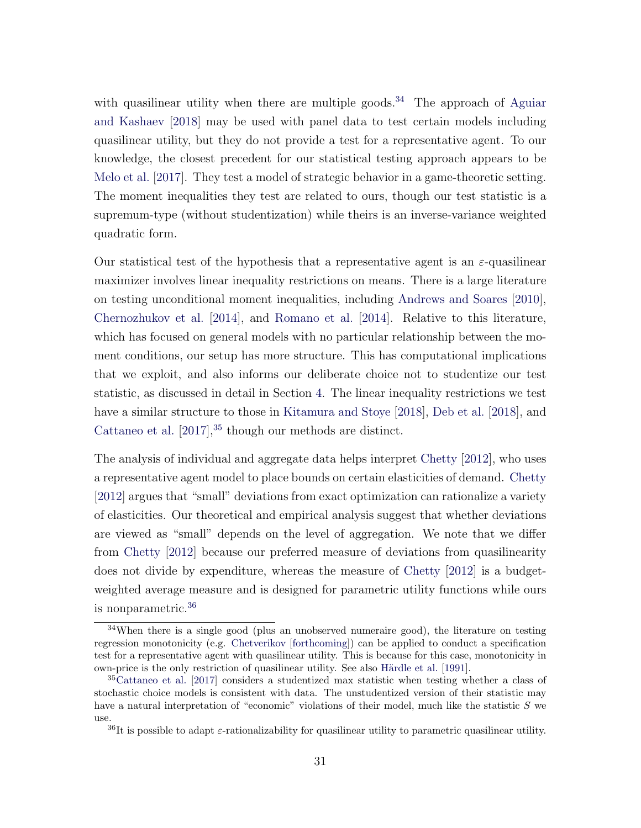with quasilinear utility when there are multiple goods.<sup>[34](#page-32-0)</sup> The approach of [Aguiar](#page-52-7) [and Kashaev](#page-52-7) [\[2018\]](#page-52-7) may be used with panel data to test certain models including quasilinear utility, but they do not provide a test for a representative agent. To our knowledge, the closest precedent for our statistical testing approach appears to be [Melo et al.](#page-56-11) [\[2017\]](#page-56-11). They test a model of strategic behavior in a game-theoretic setting. The moment inequalities they test are related to ours, though our test statistic is a supremum-type (without studentization) while theirs is an inverse-variance weighted quadratic form.

Our statistical test of the hypothesis that a representative agent is an  $\varepsilon$ -quasilinear maximizer involves linear inequality restrictions on means. There is a large literature on testing unconditional moment inequalities, including [Andrews and Soares](#page-52-9) [\[2010\]](#page-52-9), [Chernozhukov et al.](#page-53-1) [\[2014\]](#page-53-1), and [Romano et al.](#page-56-0) [\[2014\]](#page-56-0). Relative to this literature, which has focused on general models with no particular relationship between the moment conditions, our setup has more structure. This has computational implications that we exploit, and also informs our deliberate choice not to studentize our test statistic, as discussed in detail in Section [4.](#page-18-0) The linear inequality restrictions we test have a similar structure to those in [Kitamura and Stoye](#page-55-1) [\[2018\]](#page-55-1), [Deb et al.](#page-54-10) [\[2018\]](#page-54-10), and [Cattaneo et al.](#page-53-9)  $[2017]$ ,<sup>[35](#page-32-1)</sup> though our methods are distinct.

The analysis of individual and aggregate data helps interpret [Chetty](#page-53-0) [\[2012\]](#page-53-0), who uses a representative agent model to place bounds on certain elasticities of demand. [Chetty](#page-53-0) [\[2012\]](#page-53-0) argues that "small" deviations from exact optimization can rationalize a variety of elasticities. Our theoretical and empirical analysis suggest that whether deviations are viewed as "small" depends on the level of aggregation. We note that we differ from [Chetty](#page-53-0) [\[2012\]](#page-53-0) because our preferred measure of deviations from quasilinearity does not divide by expenditure, whereas the measure of [Chetty](#page-53-0) [\[2012\]](#page-53-0) is a budgetweighted average measure and is designed for parametric utility functions while ours is nonparametric.[36](#page-32-2)

<span id="page-32-0"></span><sup>&</sup>lt;sup>34</sup>When there is a single good (plus an unobserved numeraire good), the literature on testing regression monotonicity (e.g. [Chetverikov](#page-53-10) [\[forthcoming\]](#page-53-10)) can be applied to conduct a specification test for a representative agent with quasilinear utility. This is because for this case, monotonicity in own-price is the only restriction of quasilinear utility. See also Härdle et al. [\[1991\]](#page-55-10).

<span id="page-32-1"></span><sup>35</sup>[Cattaneo et al.](#page-53-9) [\[2017\]](#page-53-9) considers a studentized max statistic when testing whether a class of stochastic choice models is consistent with data. The unstudentized version of their statistic may have a natural interpretation of "economic" violations of their model, much like the statistic S we use.

<span id="page-32-2"></span><sup>&</sup>lt;sup>36</sup>It is possible to adapt  $\varepsilon$ -rationalizability for quasilinear utility to parametric quasilinear utility.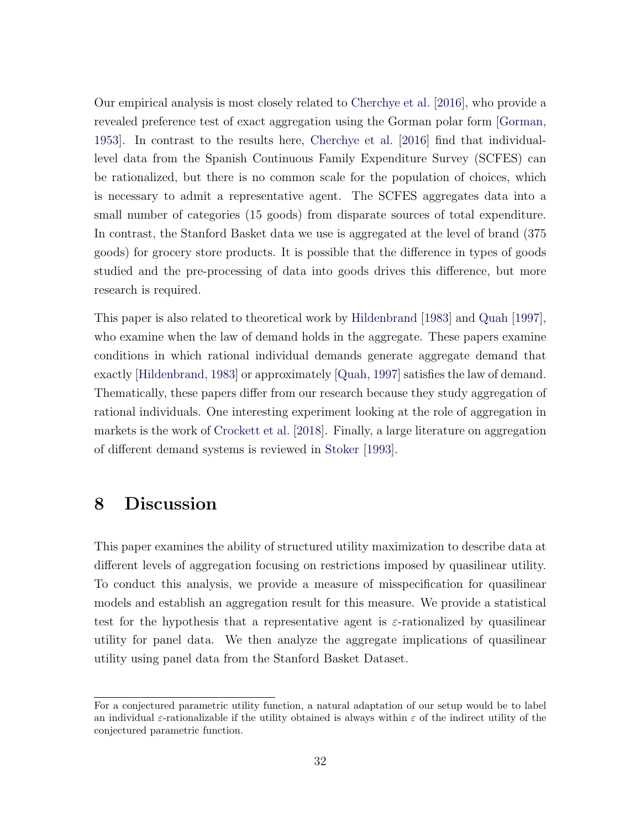Our empirical analysis is most closely related to [Cherchye et al.](#page-53-11) [\[2016\]](#page-53-11), who provide a revealed preference test of exact aggregation using the Gorman polar form [\[Gorman,](#page-54-0) [1953\]](#page-54-0). In contrast to the results here, [Cherchye et al.](#page-53-11) [\[2016\]](#page-53-11) find that individuallevel data from the Spanish Continuous Family Expenditure Survey (SCFES) can be rationalized, but there is no common scale for the population of choices, which is necessary to admit a representative agent. The SCFES aggregates data into a small number of categories (15 goods) from disparate sources of total expenditure. In contrast, the Stanford Basket data we use is aggregated at the level of brand (375 goods) for grocery store products. It is possible that the difference in types of goods studied and the pre-processing of data into goods drives this difference, but more research is required.

This paper is also related to theoretical work by [Hildenbrand](#page-55-11) [\[1983\]](#page-55-11) and [Quah](#page-56-12) [\[1997\]](#page-56-12), who examine when the law of demand holds in the aggregate. These papers examine conditions in which rational individual demands generate aggregate demand that exactly [\[Hildenbrand,](#page-55-11) [1983\]](#page-55-11) or approximately [\[Quah,](#page-56-12) [1997\]](#page-56-12) satisfies the law of demand. Thematically, these papers differ from our research because they study aggregation of rational individuals. One interesting experiment looking at the role of aggregation in markets is the work of [Crockett et al.](#page-54-11) [\[2018\]](#page-54-11). Finally, a large literature on aggregation of different demand systems is reviewed in [Stoker](#page-57-5) [\[1993\]](#page-57-5).

## <span id="page-33-0"></span>8 Discussion

This paper examines the ability of structured utility maximization to describe data at different levels of aggregation focusing on restrictions imposed by quasilinear utility. To conduct this analysis, we provide a measure of misspecification for quasilinear models and establish an aggregation result for this measure. We provide a statistical test for the hypothesis that a representative agent is  $\varepsilon$ -rationalized by quasilinear utility for panel data. We then analyze the aggregate implications of quasilinear utility using panel data from the Stanford Basket Dataset.

For a conjectured parametric utility function, a natural adaptation of our setup would be to label an individual  $\varepsilon$ -rationalizable if the utility obtained is always within  $\varepsilon$  of the indirect utility of the conjectured parametric function.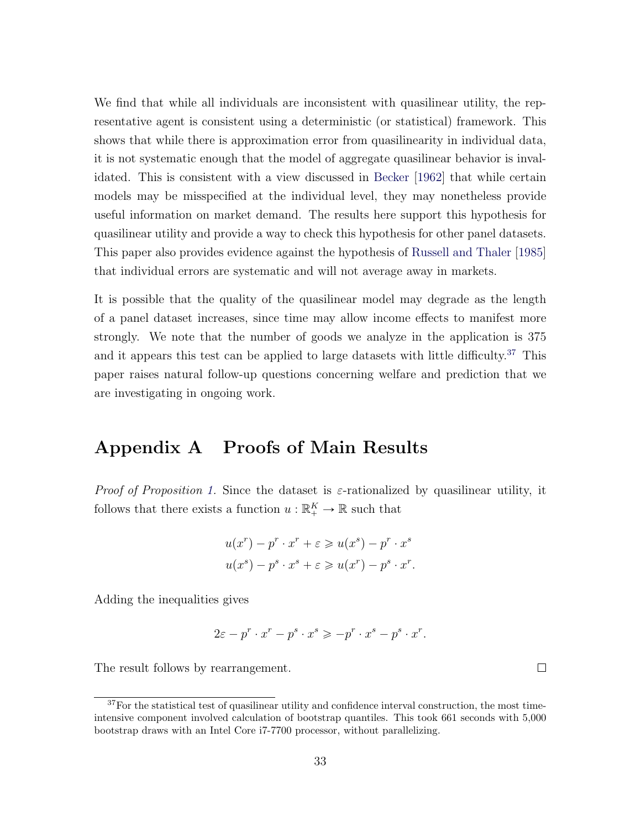We find that while all individuals are inconsistent with quasilinear utility, the representative agent is consistent using a deterministic (or statistical) framework. This shows that while there is approximation error from quasilinearity in individual data, it is not systematic enough that the model of aggregate quasilinear behavior is invalidated. This is consistent with a view discussed in [Becker](#page-52-0) [\[1962\]](#page-52-0) that while certain models may be misspecified at the individual level, they may nonetheless provide useful information on market demand. The results here support this hypothesis for quasilinear utility and provide a way to check this hypothesis for other panel datasets. This paper also provides evidence against the hypothesis of [Russell and Thaler](#page-56-1) [\[1985\]](#page-56-1) that individual errors are systematic and will not average away in markets.

It is possible that the quality of the quasilinear model may degrade as the length of a panel dataset increases, since time may allow income effects to manifest more strongly. We note that the number of goods we analyze in the application is 375 and it appears this test can be applied to large datasets with little difficulty.<sup>[37](#page-34-0)</sup> This paper raises natural follow-up questions concerning welfare and prediction that we are investigating in ongoing work.

### Appendix A Proofs of Main Results

*Proof of Proposition [1.](#page-8-1)* Since the dataset is  $\varepsilon$ -rationalized by quasilinear utility, it follows that there exists a function  $u : \mathbb{R}^K_+ \to \mathbb{R}$  such that

$$
u(x^r) - p^r \cdot x^r + \varepsilon \geqslant u(x^s) - p^r \cdot x^s
$$
  

$$
u(x^s) - p^s \cdot x^s + \varepsilon \geqslant u(x^r) - p^s \cdot x^r.
$$

Adding the inequalities gives

$$
2\varepsilon - p^r \cdot x^r - p^s \cdot x^s \geqslant -p^r \cdot x^s - p^s \cdot x^r.
$$

The result follows by rearrangement.

 $\Box$ 

<span id="page-34-0"></span><sup>&</sup>lt;sup>37</sup>For the statistical test of quasilinear utility and confidence interval construction, the most timeintensive component involved calculation of bootstrap quantiles. This took 661 seconds with 5,000 bootstrap draws with an Intel Core i7-7700 processor, without parallelizing.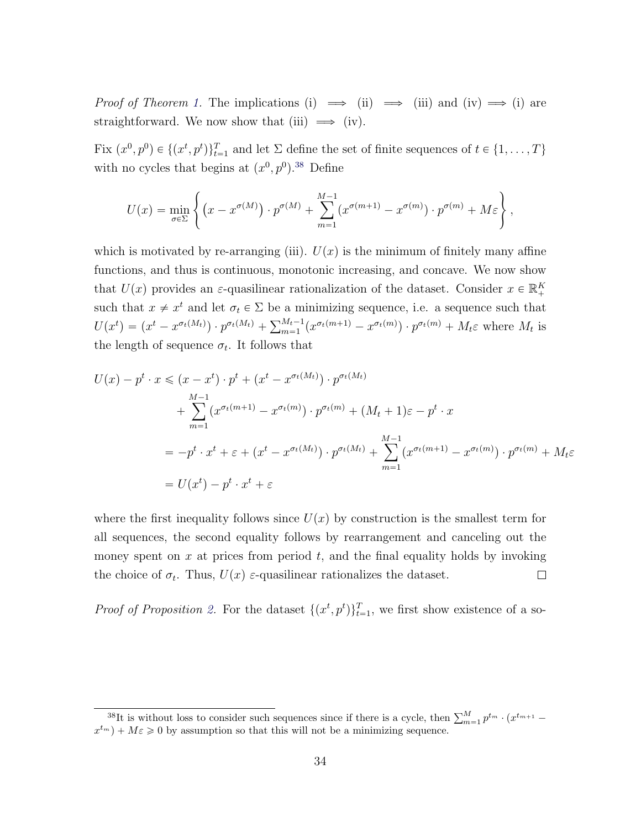*Proof of Theorem [1.](#page-9-1)* The implications (i)  $\implies$  (ii)  $\implies$  (iii) and (iv)  $\implies$  (i) are straightforward. We now show that (iii)  $\implies$  (iv).

Fix  $(x^0, p^0) \in \{(x^t, p^t)\}_{t=1}^T$  and let  $\Sigma$  define the set of finite sequences of  $t \in \{1, ..., T\}$ with no cycles that begins at  $(x^0, p^0)$ .<sup>[38](#page-35-0)</sup> Define

$$
U(x) = \min_{\sigma \in \Sigma} \left\{ (x - x^{\sigma(M)}) \cdot p^{\sigma(M)} + \sum_{m=1}^{M-1} (x^{\sigma(m+1)} - x^{\sigma(m)}) \cdot p^{\sigma(m)} + M\varepsilon \right\},\,
$$

which is motivated by re-arranging (iii).  $U(x)$  is the minimum of finitely many affine functions, and thus is continuous, monotonic increasing, and concave. We now show that  $U(x)$  provides an  $\varepsilon$ -quasilinear rationalization of the dataset. Consider  $x \in \mathbb{R}^K_+$ such that  $x \neq x^t$  and let  $\sigma_t \in \Sigma$  be a minimizing sequence, i.e. a sequence such that Such that  $x \neq x$  and let  $\sigma_t \in \Sigma$  be a m<br>  $U(x^t) = (x^t - x^{\sigma_t(M_t)}) \cdot p^{\sigma_t(M_t)} + \sum_{m=1}^{M_t-1}$  $_{m=1}^{M_t-1}(x^{\sigma_t(m+1)}-x^{\sigma_t(m)})\cdot p^{\sigma_t(m)}+M_t\varepsilon$  where  $M_t$  is the length of sequence  $\sigma_t$ . It follows that

$$
U(x) - p^t \cdot x \le (x - x^t) \cdot p^t + (x^t - x^{\sigma_t(M_t)}) \cdot p^{\sigma_t(M_t)}
$$
  
+ 
$$
\sum_{m=1}^{M-1} (x^{\sigma_t(m+1)} - x^{\sigma_t(m)}) \cdot p^{\sigma_t(m)} + (M_t + 1)\varepsilon - p^t \cdot x
$$
  
= 
$$
-p^t \cdot x^t + \varepsilon + (x^t - x^{\sigma_t(M_t)}) \cdot p^{\sigma_t(M_t)} + \sum_{m=1}^{M-1} (x^{\sigma_t(m+1)} - x^{\sigma_t(m)}) \cdot p^{\sigma_t(m)} + M_t\varepsilon
$$
  
= 
$$
U(x^t) - p^t \cdot x^t + \varepsilon
$$

where the first inequality follows since  $U(x)$  by construction is the smallest term for all sequences, the second equality follows by rearrangement and canceling out the money spent on  $x$  at prices from period  $t$ , and the final equality holds by invoking the choice of  $\sigma_t$ . Thus,  $U(x)$  ε-quasilinear rationalizes the dataset.  $\Box$ 

*Proof of Proposition [2.](#page-11-2)* For the dataset  $\{(x^t, p^t)\}_{t=1}^T$ , we first show existence of a so-

<span id="page-35-0"></span><sup>&</sup>lt;sup>38</sup>It is without loss to consider such sequences since if there is a cycle, then  $\sum_{m=1}^{M} p^{t_m} \cdot (x^{t_{m+1}}$  $x^{t_m}$ ) +  $M\varepsilon \geq 0$  by assumption so that this will not be a minimizing sequence.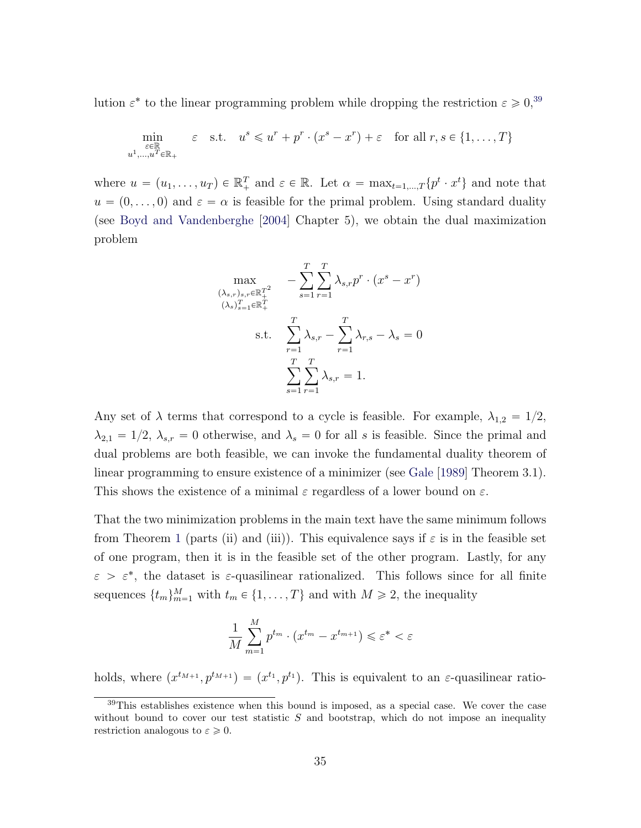lution  $\varepsilon^*$  to the linear programming problem while dropping the restriction  $\varepsilon \geqslant 0,^{39}$  $\varepsilon \geqslant 0,^{39}$  $\varepsilon \geqslant 0,^{39}$ 

$$
\min_{\substack{\varepsilon \in \mathbb{R} \\ u^1, \dots, u^T \in \mathbb{R}_+}} \varepsilon \quad \text{s.t.} \quad u^s \leqslant u^r + p^r \cdot (x^s - x^r) + \varepsilon \quad \text{for all } r, s \in \{1, \dots, T\}
$$

where  $u = (u_1, \ldots, u_T) \in \mathbb{R}_+^T$  and  $\varepsilon \in \mathbb{R}$ . Let  $\alpha = \max_{t=1,\ldots,T} \{p^t \cdot x^t\}$  and note that  $u = (0, \ldots, 0)$  and  $\varepsilon = \alpha$  is feasible for the primal problem. Using standard duality (see [Boyd and Vandenberghe](#page-53-12) [\[2004\]](#page-53-12) Chapter 5), we obtain the dual maximization problem

$$
\max_{\substack{(\lambda_s, r)_{s,r} \in \mathbb{R}_+^{T^2}\\ (\lambda_s)_{s=1}^T \in \mathbb{R}_+^T\\ \text{s.t.} \quad \sum_{r=1}^T \lambda_{s,r} - \sum_{r=1}^T \lambda_{r,s} - \lambda_s = 0\\ \sum_{s=1}^T \sum_{r=1}^T \lambda_{s,r} = 1.
$$

Any set of  $\lambda$  terms that correspond to a cycle is feasible. For example,  $\lambda_{1,2} = 1/2$ ,  $\lambda_{2,1} = 1/2$ ,  $\lambda_{s,r} = 0$  otherwise, and  $\lambda_s = 0$  for all s is feasible. Since the primal and dual problems are both feasible, we can invoke the fundamental duality theorem of linear programming to ensure existence of a minimizer (see [Gale](#page-54-12) [\[1989\]](#page-54-12) Theorem 3.1). This shows the existence of a minimal  $\varepsilon$  regardless of a lower bound on  $\varepsilon$ .

That the two minimization problems in the main text have the same minimum follows from Theorem [1](#page-9-1) (parts (ii) and (iii)). This equivalence says if  $\varepsilon$  is in the feasible set of one program, then it is in the feasible set of the other program. Lastly, for any  $\varepsilon > \varepsilon^*$ , the dataset is  $\varepsilon$ -quasilinear rationalized. This follows since for all finite sequences  $\{t_m\}_{m=1}^M$  with  $t_m \in \{1, \ldots, T\}$  and with  $M \geq 2$ , the inequality

$$
\frac{1}{M} \sum_{m=1}^{M} p^{t_m} \cdot (x^{t_m} - x^{t_{m+1}}) \leqslant \varepsilon^* < \varepsilon
$$

holds, where  $(x^{t_{M+1}}, p^{t_{M+1}}) = (x^{t_1}, p^{t_1})$ . This is equivalent to an  $\varepsilon$ -quasilinear ratio-

<span id="page-36-0"></span><sup>39</sup>This establishes existence when this bound is imposed, as a special case. We cover the case without bound to cover our test statistic  $S$  and bootstrap, which do not impose an inequality restriction analogous to  $\varepsilon \geqslant 0$ .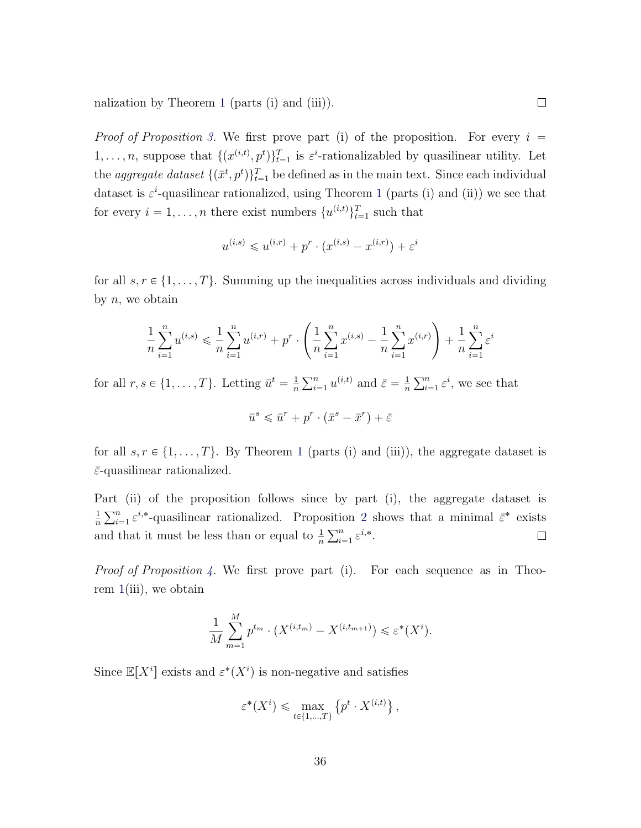nalization by Theorem [1](#page-9-1) (parts (i) and (iii)).

*Proof of Proposition [3.](#page-2-0)* We first prove part (i) of the proposition. For every  $i =$  $1,\ldots,n$ , suppose that  $\{(x^{(i,t)},p^t)\}_{t=1}^T$  is  $\varepsilon^i$ -rationalizabled by quasilinear utility. Let the *aggregate dataset*  $\{(\bar{x}^t, p^t)\}_{t=1}^T$  be defined as in the main text. Since each individual dataset is  $\varepsilon^i$ -quasilinear rationalized, using Theorem [1](#page-9-1) (parts (i) and (ii)) we see that for every  $i = 1, ..., n$  there exist numbers  $\{u^{(i,t)}\}_{t=1}^T$  such that

$$
u^{(i,s)} \leq u^{(i,r)} + p^r \cdot (x^{(i,s)} - x^{(i,r)}) + \varepsilon^i
$$

for all  $s, r \in \{1, ..., T\}$ . Summing up the inequalities across individuals and dividing by  $n$ , we obtain

$$
\frac{1}{n} \sum_{i=1}^{n} u^{(i,s)} \leq \frac{1}{n} \sum_{i=1}^{n} u^{(i,r)} + p^r \cdot \left( \frac{1}{n} \sum_{i=1}^{n} x^{(i,s)} - \frac{1}{n} \sum_{i=1}^{n} x^{(i,r)} \right) + \frac{1}{n} \sum_{i=1}^{n} \varepsilon^i
$$

for all  $r, s \in \{1, \ldots, T\}$ . Letting  $\bar{u}^t = \frac{1}{n}$ n  $\sum_{n=1}^{\infty}$  $_{i=1}^{n} u^{(i,t)}$  and  $\bar{\varepsilon} = \frac{1}{n}$ n  $\sum_{n=1}^{\infty}$  $_{i=1}^{n} \varepsilon^{i}$ , we see that

$$
\bar{u}^s \leqslant \bar{u}^r + p^r \cdot (\bar{x}^s - \bar{x}^r) + \bar{\varepsilon}
$$

for all  $s, r \in \{1, ..., T\}$  $s, r \in \{1, ..., T\}$  $s, r \in \{1, ..., T\}$ . By Theorem 1 (parts (i) and (iii)), the aggregate dataset is  $\bar{\varepsilon}$ -quasilinear rationalized.

Part (ii) of the proposition follows since by part (i), the aggregate dataset is  $\frac{a_1}{\nabla^n}$ 1  $_{i=1}^{n} \varepsilon^{i,*}$ -quasilinear rationalized. Proposition [2](#page-11-2) shows that a minimal  $\bar{\varepsilon}^*$  exists ינטב $\sum n$ n and that it must be less than or equal to  $\frac{1}{n}$  $\sum_{i=1}^n \varepsilon^{i,*}.$  $\Box$ 

Proof of Proposition [4.](#page-14-0) We first prove part (i). For each sequence as in Theorem  $1(iii)$  $1(iii)$ , we obtain

$$
\frac{1}{M} \sum_{m=1}^{M} p^{t_m} \cdot (X^{(i,t_m)} - X^{(i,t_{m+1})}) \leq \varepsilon^*(X^i).
$$

Since  $\mathbb{E}[X^i]$  exists and  $\varepsilon^*(X^i)$  is non-negative and satisfies

$$
\varepsilon^*(X^i) \leq \max_{t \in \{1, \dots, T\}} \left\{ p^t \cdot X^{(i,t)} \right\},
$$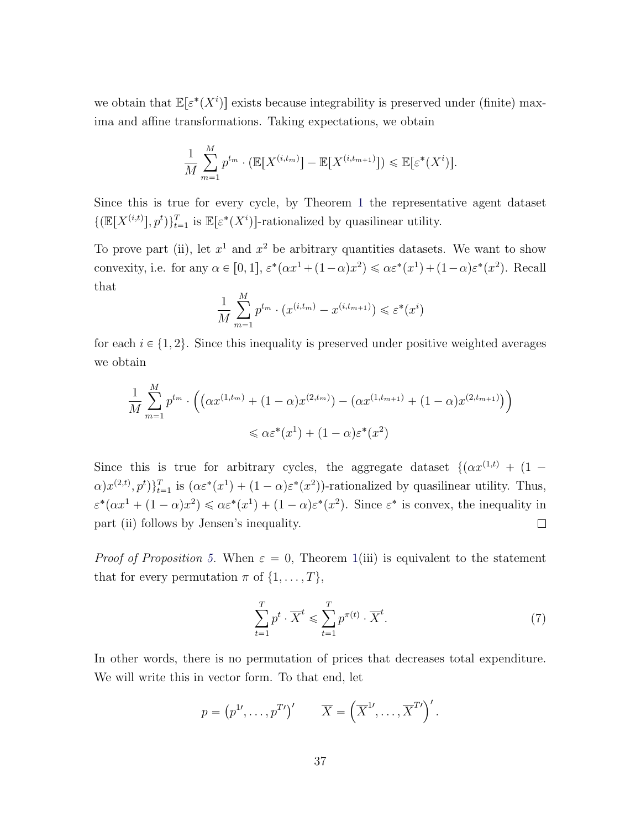we obtain that  $\mathbb{E}[\varepsilon^*(X^i)]$  exists because integrability is preserved under (finite) maxima and affine transformations. Taking expectations, we obtain

$$
\frac{1}{M} \sum_{m=1}^{M} p^{t_m} \cdot (\mathbb{E}[X^{(i,t_m)}] - \mathbb{E}[X^{(i,t_{m+1})}]) \le \mathbb{E}[\varepsilon^*(X^i)].
$$

Since this is true for every cycle, by Theorem [1](#page-9-1) the representative agent dataset  $\{(\mathbb{E}[X^{(i,t)}], p^t)\}_{t=1}^T$  is  $\mathbb{E}[\varepsilon^*(X^i)]$ -rationalized by quasilinear utility.

To prove part (ii), let  $x^1$  and  $x^2$  be arbitrary quantities datasets. We want to show convexity, i.e. for any  $\alpha \in [0, 1]$ ,  $\varepsilon^*(\alpha x^1 + (1 - \alpha)x^2) \leq \alpha \varepsilon^*(x^1) + (1 - \alpha)\varepsilon^*(x^2)$ . Recall that

$$
\frac{1}{M} \sum_{m=1}^{M} p^{t_m} \cdot (x^{(i,t_m)} - x^{(i,t_{m+1})}) \leq \varepsilon^*(x^i)
$$

for each  $i \in \{1, 2\}$ . Since this inequality is preserved under positive weighted averages we obtain

$$
\frac{1}{M} \sum_{m=1}^{M} p^{t_m} \cdot \left( \left( \alpha x^{(1,t_m)} + (1-\alpha) x^{(2,t_m)} \right) - \left( \alpha x^{(1,t_{m+1})} + (1-\alpha) x^{(2,t_{m+1})} \right) \right) \le \alpha \varepsilon^*(x^1) + (1-\alpha) \varepsilon^*(x^2)
$$

Since this is true for arbitrary cycles, the aggregate dataset  $\{(ax^{(1,t)} + (1 \alpha$ ) $x^{(2,t)}$ ,  $p^t$ ) $\}_{t=1}^T$  is  $(\alpha \varepsilon^*(x^1) + (1 - \alpha) \varepsilon^*(x^2))$ -rationalized by quasilinear utility. Thus,  $\varepsilon^*(\alpha x^1 + (1 - \alpha)x^2) \leq \alpha \varepsilon^*(x^1) + (1 - \alpha)\varepsilon^*(x^2)$ . Since  $\varepsilon^*$  is convex, the inequality in  $\Box$ part (ii) follows by Jensen's inequality.

*Proof of Proposition [5.](#page-15-1)* When  $\varepsilon = 0$ , Theorem [1\(](#page-9-1)iii) is equivalent to the statement that for every permutation  $\pi$  of  $\{1, \ldots, T\},\$ 

<span id="page-38-0"></span>
$$
\sum_{t=1}^{T} p^t \cdot \overline{X}^t \leqslant \sum_{t=1}^{T} p^{\pi(t)} \cdot \overline{X}^t. \tag{7}
$$

In other words, there is no permutation of prices that decreases total expenditure. We will write this in vector form. To that end, let

$$
p = (p^{1\prime}, \dots, p^{T\prime})' \qquad \overline{X} = (\overline{X}^{1\prime}, \dots, \overline{X}^{T\prime})'.
$$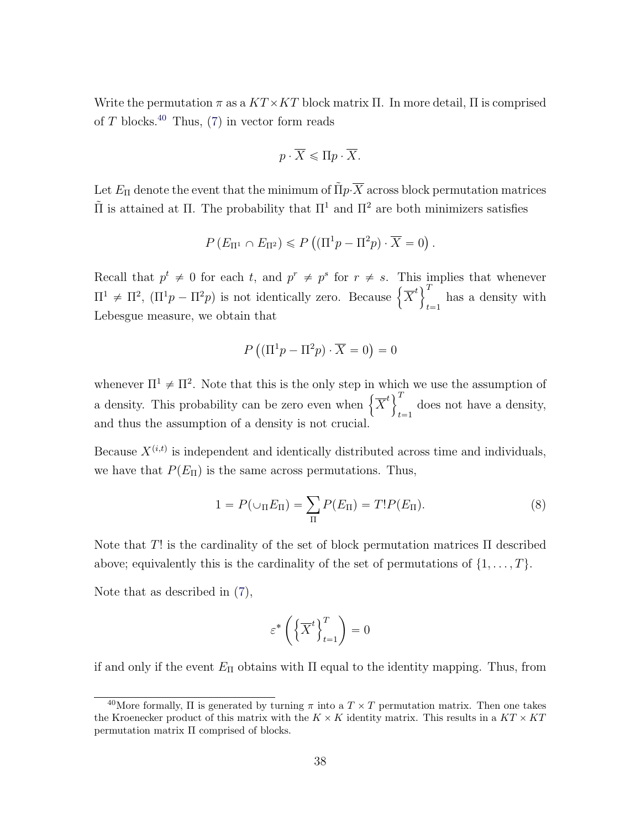Write the permutation  $\pi$  as a  $KT \times KT$  block matrix  $\Pi$ . In more detail,  $\Pi$  is comprised of  $T$  blocks.<sup>[40](#page-39-0)</sup> Thus,  $(7)$  in vector form reads

$$
p\cdot \overline{X} \leqslant \Pi p\cdot \overline{X}.
$$

Let  $E_{\Pi}$  denote the event that the minimum of  $\tilde{\Pi} p \cdot \overline{X}$  across block permutation matrices  $\tilde{\Pi}$  is attained at Π. The probability that  $\Pi^1$  and  $\Pi^2$  are both minimizers satisfies

$$
P(E_{\Pi^1} \cap E_{\Pi^2}) \leqslant P\left((\Pi^1 p - \Pi^2 p) \cdot \overline{X} = 0\right).
$$

Recall that  $p^t \neq 0$  for each t, and  $p^r \neq p^s$  for  $r \neq s$ . This implies that whenever Recall that  $p^e \neq 0$  for each t, and  $p' \neq p^e$  for  $r \neq s$ . This is  $\Pi^1 \neq \Pi^2$ ,  $(\Pi^1 p - \Pi^2 p)$  is not identically zero. Because  $\left\{ \overline{X}^t \right\}^T$  $t = 1$ has a density with Lebesgue measure, we obtain that

$$
P((\Pi^1 p - \Pi^2 p) \cdot \overline{X} = 0) = 0
$$

whenever  $\Pi^1 \neq \Pi^2$ . Note that this is the only step in which we use the assumption of whenever  $\Pi^* \neq \Pi^2$ . Note that this is the only step in when  $\left\{ \overline{X}^t \right\}$  $t = 1$ does not have a density, and thus the assumption of a density is not crucial.

Because  $X^{(i,t)}$  is independent and identically distributed across time and individuals, we have that  $P(E_{\Pi})$  is the same across permutations. Thus,

<span id="page-39-1"></span>
$$
1 = P(\cup_{\Pi} E_{\Pi}) = \sum_{\Pi} P(E_{\Pi}) = T! P(E_{\Pi}).
$$
\n(8)

Note that T! is the cardinality of the set of block permutation matrices  $\Pi$  described above; equivalently this is the cardinality of the set of permutations of  $\{1, \ldots, T\}$ .

Note that as described in [\(7\)](#page-38-0),

$$
\varepsilon^* \left( \left\{ \overline{X}^t \right\}_{t=1}^T \right) = 0
$$

if and only if the event  $E_{\Pi}$  obtains with  $\Pi$  equal to the identity mapping. Thus, from

<span id="page-39-0"></span><sup>&</sup>lt;sup>40</sup>More formally,  $\Pi$  is generated by turning  $\pi$  into a  $T \times T$  permutation matrix. Then one takes the Kroenecker product of this matrix with the  $K \times K$  identity matrix. This results in a  $KT \times KT$ permutation matrix Π comprised of blocks.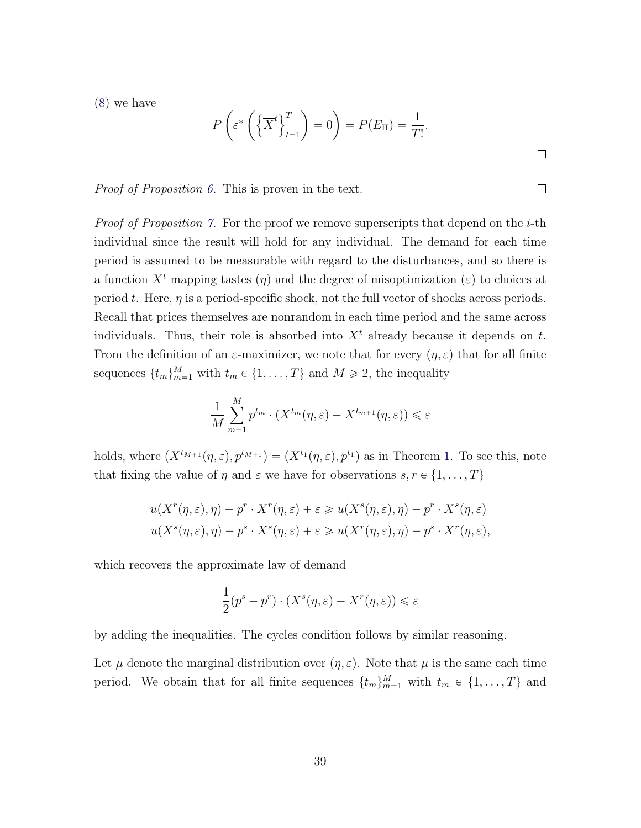[\(8\)](#page-39-1) we have

$$
P\left(\varepsilon^* \left(\left\{\overline{X}^t\right\}_{t=1}^T\right) = 0\right) = P(E_{\Pi}) = \frac{1}{T!}.
$$

Proof of Proposition [6.](#page-17-1) This is proven in the text.

*Proof of Proposition [7.](#page-17-2)* For the proof we remove superscripts that depend on the *i*-th individual since the result will hold for any individual. The demand for each time period is assumed to be measurable with regard to the disturbances, and so there is a function  $X<sup>t</sup>$  mapping tastes  $(\eta)$  and the degree of misoptimization  $(\varepsilon)$  to choices at period t. Here,  $\eta$  is a period-specific shock, not the full vector of shocks across periods. Recall that prices themselves are nonrandom in each time period and the same across individuals. Thus, their role is absorbed into  $X<sup>t</sup>$  already because it depends on t. From the definition of an  $\varepsilon$ -maximizer, we note that for every  $(\eta, \varepsilon)$  that for all finite sequences  $\{t_m\}_{m=1}^M$  with  $t_m \in \{1, \ldots, T\}$  and  $M \ge 2$ , the inequality

$$
\frac{1}{M} \sum_{m=1}^{M} p^{t_m} \cdot (X^{t_m}(\eta, \varepsilon) - X^{t_{m+1}}(\eta, \varepsilon)) \leq \varepsilon
$$

holds, where  $(X^{t_{M+1}}(\eta, \varepsilon), p^{t_{M+1}}) = (X^{t_1}(\eta, \varepsilon), p^{t_1})$  as in Theorem [1.](#page-9-1) To see this, note that fixing the value of  $\eta$  and  $\varepsilon$  we have for observations  $s, r \in \{1, \ldots, T\}$ 

$$
u(X^{r}(\eta,\varepsilon),\eta) - p^{r} \cdot X^{r}(\eta,\varepsilon) + \varepsilon \geq u(X^{s}(\eta,\varepsilon),\eta) - p^{r} \cdot X^{s}(\eta,\varepsilon)
$$
  

$$
u(X^{s}(\eta,\varepsilon),\eta) - p^{s} \cdot X^{s}(\eta,\varepsilon) + \varepsilon \geq u(X^{r}(\eta,\varepsilon),\eta) - p^{s} \cdot X^{r}(\eta,\varepsilon),
$$

which recovers the approximate law of demand

$$
\frac{1}{2}(p^s - p^r) \cdot (X^s(\eta, \varepsilon) - X^r(\eta, \varepsilon)) \leq \varepsilon
$$

by adding the inequalities. The cycles condition follows by similar reasoning.

Let  $\mu$  denote the marginal distribution over  $(\eta, \varepsilon)$ . Note that  $\mu$  is the same each time period. We obtain that for all finite sequences  $\{t_m\}_{m=1}^M$  with  $t_m \in \{1, \ldots, T\}$  and

 $\Box$ 

 $\Box$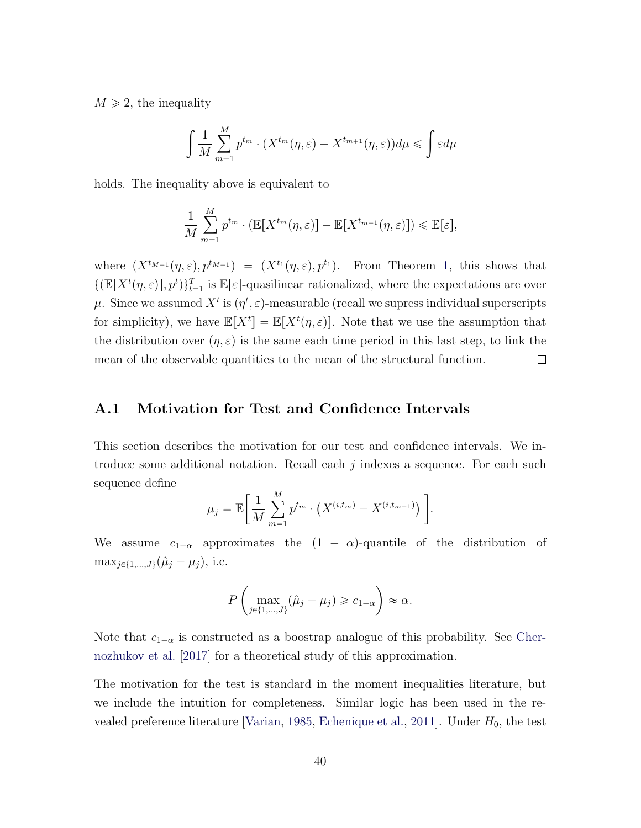$M \geq 2$ , the inequality

$$
\int \frac{1}{M} \sum_{m=1}^{M} p^{t_m} \cdot (X^{t_m}(\eta, \varepsilon) - X^{t_{m+1}}(\eta, \varepsilon)) d\mu \leq \int \varepsilon d\mu
$$

holds. The inequality above is equivalent to

$$
\frac{1}{M} \sum_{m=1}^{M} p^{t_m} \cdot (\mathbb{E}[X^{t_m}(\eta, \varepsilon)] - \mathbb{E}[X^{t_{m+1}}(\eta, \varepsilon)]) \leq \mathbb{E}[\varepsilon],
$$

where  $(X^{t_{M+1}}(\eta, \varepsilon), p^{t_{M+1}}) = (X^{t_1}(\eta, \varepsilon), p^{t_1}).$  From Theorem [1,](#page-9-1) this shows that  $\{(\mathbb{E}[X^t(\eta,\varepsilon)], p^t)\}_{t=1}^T$  is  $\mathbb{E}[\varepsilon]$ -quasilinear rationalized, where the expectations are over  $\mu.$  Since we assumed  $X^t$  is  $(\eta^t, \varepsilon)$ -measurable (recall we supress individual superscripts for simplicity), we have  $\mathbb{E}[X^t] = \mathbb{E}[X^t(\eta,\varepsilon)]$ . Note that we use the assumption that the distribution over  $(\eta, \varepsilon)$  is the same each time period in this last step, to link the  $\Box$ mean of the observable quantities to the mean of the structural function.

#### <span id="page-41-0"></span>A.1 Motivation for Test and Confidence Intervals

ˆ

This section describes the motivation for our test and confidence intervals. We introduce some additional notation. Recall each  $j$  indexes a sequence. For each such sequence define " 

$$
\mu_j = \mathbb{E}\bigg[\frac{1}{M}\sum_{m=1}^{M} p^{t_m} \cdot \left(X^{(i,t_m)} - X^{(i,t_{m+1})}\right)\bigg].
$$

We assume  $c_{1-\alpha}$  approximates the  $(1 - \alpha)$ -quantile of the distribution of  $\max_{j \in \{1,...,J\}} (\hat{\mu}_j - \mu_j),$  i.e.

$$
P\left(\max_{j\in\{1,\dots,J\}}(\hat{\mu}_j-\mu_j)\geq c_{1-\alpha}\right)\approx\alpha.
$$

Note that  $c_{1-\alpha}$  is constructed as a boostrap analogue of this probability. See [Cher](#page-53-7)[nozhukov et al.](#page-53-7) [\[2017\]](#page-53-7) for a theoretical study of this approximation.

The motivation for the test is standard in the moment inequalities literature, but we include the intuition for completeness. Similar logic has been used in the re-vealed preference literature [\[Varian,](#page-57-4) [1985,](#page-57-4) [Echenique et al.,](#page-54-1) [2011\]](#page-54-1). Under  $H_0$ , the test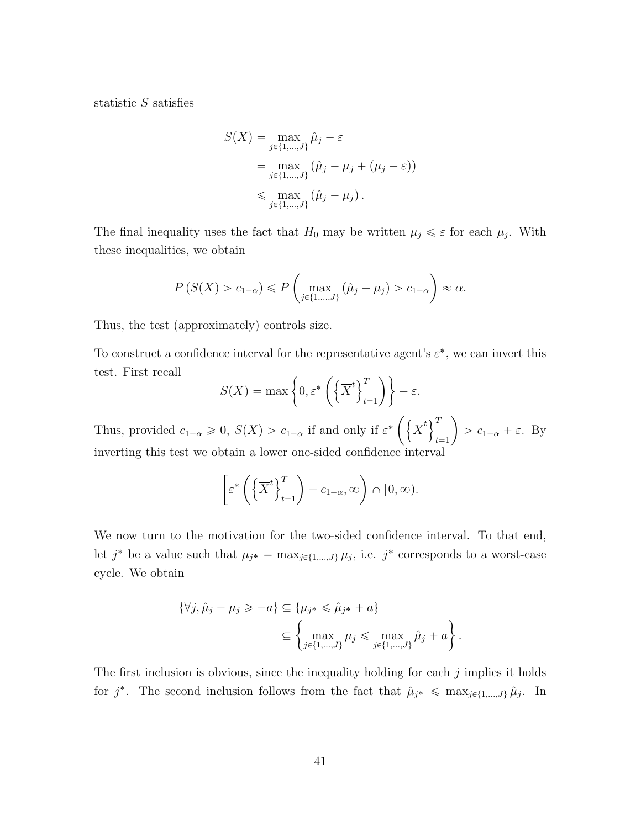statistic S satisfies

$$
S(X) = \max_{j \in \{1, ..., J\}} \hat{\mu}_j - \varepsilon
$$
  
= 
$$
\max_{j \in \{1, ..., J\}} (\hat{\mu}_j - \mu_j + (\mu_j - \varepsilon))
$$
  
\$\leq\$ 
$$
\max_{j \in \{1, ..., J\}} (\hat{\mu}_j - \mu_j).
$$

The final inequality uses the fact that  $H_0$  may be written  $\mu_j \leq \varepsilon$  for each  $\mu_j$ . With these inequalities, we obtain

$$
P(S(X) > c_{1-\alpha}) \le P\left(\max_{j \in \{1,\dots,J\}} (\hat{\mu}_j - \mu_j) > c_{1-\alpha}\right) \approx \alpha.
$$

Thus, the test (approximately) controls size.

To construct a confidence interval for the representative agent's  $\varepsilon^*$ , we can invert this test. First recall  $\overline{1}$  $\sqrt{T}$ ˙\*

$$
S(X) = \max\left\{0, \varepsilon^* \left(\left\{\overline{X}^t\right\}_{t=1}^T\right)\right\} - \varepsilon.
$$

˙

Thus, provided  $c_{1-\alpha} \geq 0$ ,  $S(X) > c_{1-\alpha}$  if and only if  $\varepsilon^*$  $\overline{X}^t$ <sup>T</sup>  $t = 1$  $> c_{1-\alpha} + \varepsilon$ . By inverting this test we obtain a lower one-sided confidence interval

$$
\[ \varepsilon^* \left( \left\{ \overline{X}^t \right\}_{t=1}^T \right) - c_{1-\alpha}, \infty \right) \cap [0, \infty).
$$

We now turn to the motivation for the two-sided confidence interval. To that end, let  $j^*$  be a value such that  $\mu_{j^*} = \max_{j \in \{1,\dots,J\}} \mu_j$ , i.e.  $j^*$  corresponds to a worst-case cycle. We obtain

$$
\{\forall j, \hat{\mu}_j - \mu_j \geq -a\} \subseteq \{\mu_{j^*} \leq \hat{\mu}_{j^*} + a\}
$$

$$
\subseteq \left\{\max_{j \in \{1, \dots, J\}} \mu_j \leq \max_{j \in \{1, \dots, J\}} \hat{\mu}_j + a\right\}.
$$

The first inclusion is obvious, since the inequality holding for each  $j$  implies it holds for  $j^*$ . The second inclusion follows from the fact that  $\hat{\mu}_{j^*} \leq \max_{j \in \{1,\dots,J\}} \hat{\mu}_j$ . In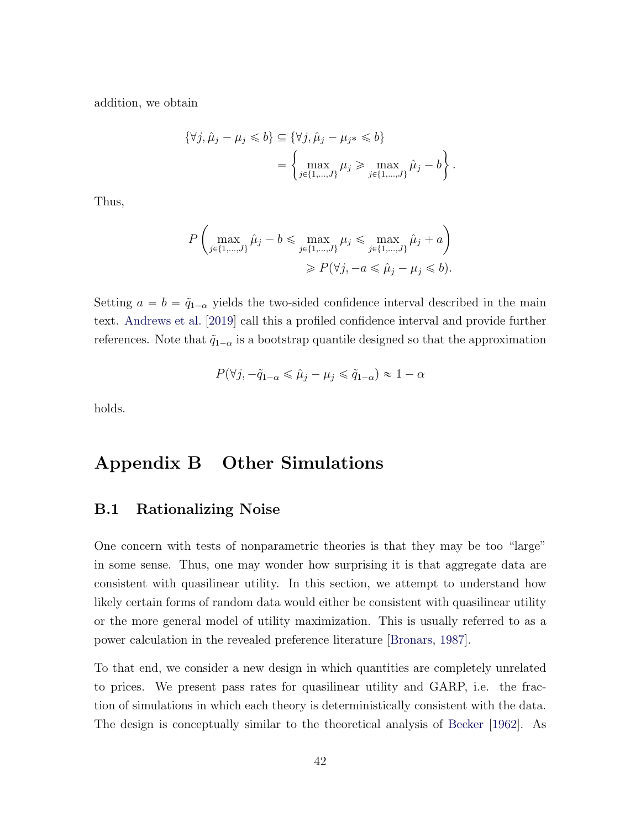addition, we obtain

$$
\{\forall j, \hat{\mu}_j - \mu_j \leq b\} \subseteq \{\forall j, \hat{\mu}_j - \mu_{j*} \leq b\}
$$

$$
= \left\{\max_{j \in \{1, \dots, J\}} \mu_j \geq \max_{j \in \{1, \dots, J\}} \hat{\mu}_j - b\right\}.
$$

Thus,

$$
P\left(\max_{j\in\{1,\dots,J\}}\hat{\mu}_j - b \le \max_{j\in\{1,\dots,J\}}\mu_j \le \max_{j\in\{1,\dots,J\}}\hat{\mu}_j + a\right)
$$

$$
\ge P(\forall j, -a \le \hat{\mu}_j - \mu_j \le b).
$$

Setting  $a = b = \tilde{q}_{1-\alpha}$  yields the two-sided confidence interval described in the main text. [Andrews et al.](#page-52-10) [\[2019\]](#page-52-10) call this a profiled confidence interval and provide further references. Note that  $\tilde{q}_{1-\alpha}$  is a bootstrap quantile designed so that the approximation

$$
P(\forall j, -\tilde{q}_{1-\alpha} \leq \hat{\mu}_j - \mu_j \leq \tilde{q}_{1-\alpha}) \approx 1 - \alpha
$$

holds.

### <span id="page-43-0"></span>Appendix B Other Simulations

#### <span id="page-43-1"></span>B.1 Rationalizing Noise

One concern with tests of nonparametric theories is that they may be too "large" in some sense. Thus, one may wonder how surprising it is that aggregate data are consistent with quasilinear utility. In this section, we attempt to understand how likely certain forms of random data would either be consistent with quasilinear utility or the more general model of utility maximization. This is usually referred to as a power calculation in the revealed preference literature [\[Bronars,](#page-53-6) [1987\]](#page-53-6).

To that end, we consider a new design in which quantities are completely unrelated to prices. We present pass rates for quasilinear utility and GARP, i.e. the fraction of simulations in which each theory is deterministically consistent with the data. The design is conceptually similar to the theoretical analysis of [Becker](#page-52-0) [\[1962\]](#page-52-0). As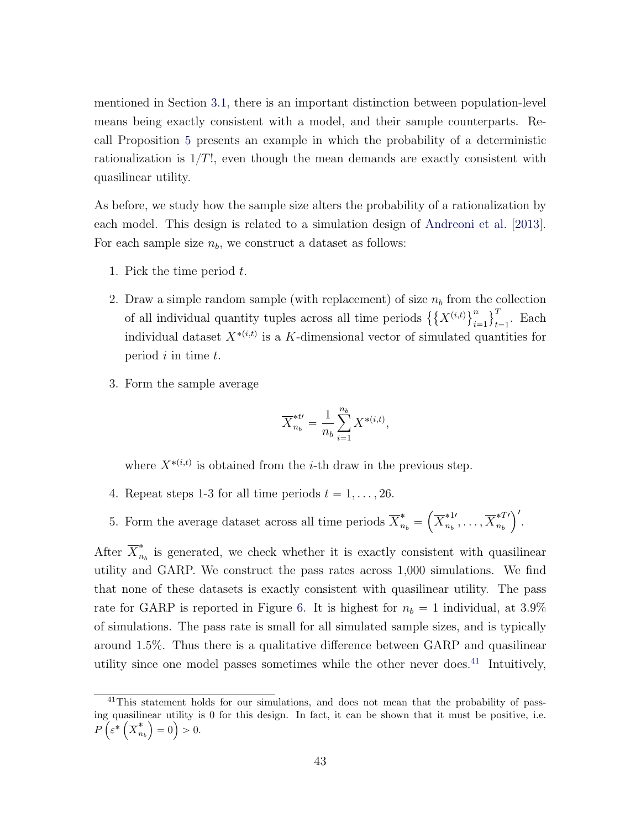mentioned in Section [3.1,](#page-15-2) there is an important distinction between population-level means being exactly consistent with a model, and their sample counterparts. Recall Proposition [5](#page-15-1) presents an example in which the probability of a deterministic rationalization is  $1/T!$ , even though the mean demands are exactly consistent with quasilinear utility.

As before, we study how the sample size alters the probability of a rationalization by each model. This design is related to a simulation design of [Andreoni et al.](#page-52-12) [\[2013\]](#page-52-12). For each sample size  $n_b$ , we construct a dataset as follows:

- 1. Pick the time period t.
- 2. Draw a simple random sample (with replacement) of size  $n_b$  from the collection Draw a simple random sample (with replacement) of size  $n_b$  from the periods  $\{X^{(i,t)}\}_{t}$  $i=1$  $\frac{e}{\sqrt{T}}$  $t_{t=1}^{\prime}$ . Each individual dataset  $X^{*(i,t)}$  is a K-dimensional vector of simulated quantities for period  $i$  in time  $t$ .
- 3. Form the sample average

$$
\overline{X}_{n_b}^{*t\prime} = \frac{1}{n_b} \sum_{i=1}^{n_b} X^{*(i,t)},
$$

where  $X^{*(i,t)}$  is obtained from the *i*-th draw in the previous step.

- 4. Repeat steps 1-3 for all time periods  $t = 1, \ldots, 26$ .
- 5. Form the average dataset across all time periods  $\overline{X}_{n_b}^* =$  $\overline{X}^{*1 \prime}_{n_{\scriptscriptstyle\!+}}$  $_{n_b}^{*1},\ldots,\overline{X}_{n_b}^{*T}{}'$  $n_b$  $\sqrt{2}$ .

After  $\overline{X}_n^*$  $n_b$  is generated, we check whether it is exactly consistent with quasilinear utility and GARP. We construct the pass rates across 1,000 simulations. We find that none of these datasets is exactly consistent with quasilinear utility. The pass rate for GARP is reported in Figure [6.](#page-46-0) It is highest for  $n_b = 1$  individual, at 3.9% of simulations. The pass rate is small for all simulated sample sizes, and is typically around 1.5%. Thus there is a qualitative difference between GARP and quasilinear utility since one model passes sometimes while the other never does.<sup>[41](#page-44-0)</sup> Intuitively,

<span id="page-44-0"></span><sup>&</sup>lt;sup>41</sup>This statement holds for our simulations, and does not mean that the probability of passing quasilinear utility is 0 for this design. In fact, it can be shown that it must be positive, i.e.  $P\left(\varepsilon^*\left(\overline{X}_n^*\right)\right)$  $\binom{2}{n_b} = 0 > 0.$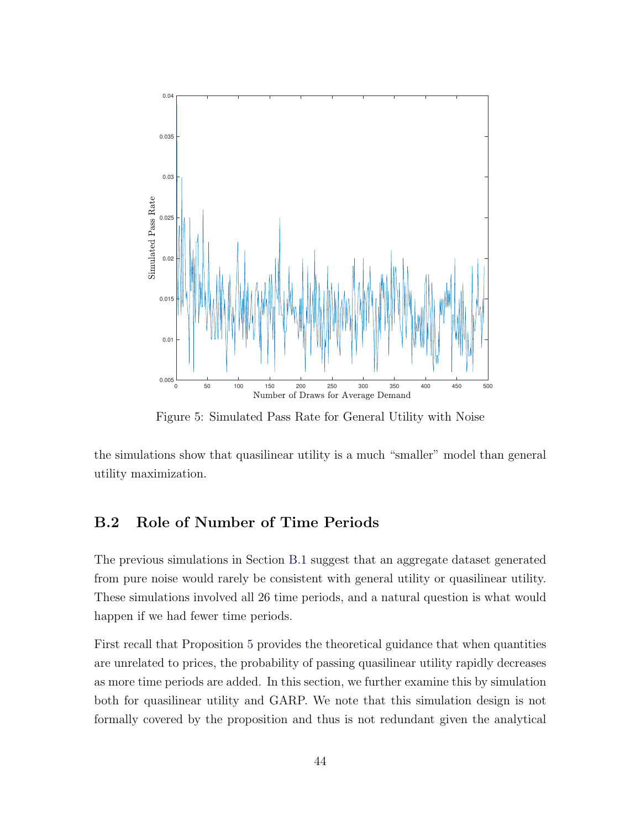

Figure 5: Simulated Pass Rate for General Utility with Noise

the simulations show that quasilinear utility is a much "smaller" model than general utility maximization.

#### B.2 Role of Number of Time Periods

The previous simulations in Section [B.1](#page-43-1) suggest that an aggregate dataset generated from pure noise would rarely be consistent with general utility or quasilinear utility. These simulations involved all 26 time periods, and a natural question is what would happen if we had fewer time periods.

First recall that Proposition [5](#page-15-1) provides the theoretical guidance that when quantities are unrelated to prices, the probability of passing quasilinear utility rapidly decreases as more time periods are added. In this section, we further examine this by simulation both for quasilinear utility and GARP. We note that this simulation design is not formally covered by the proposition and thus is not redundant given the analytical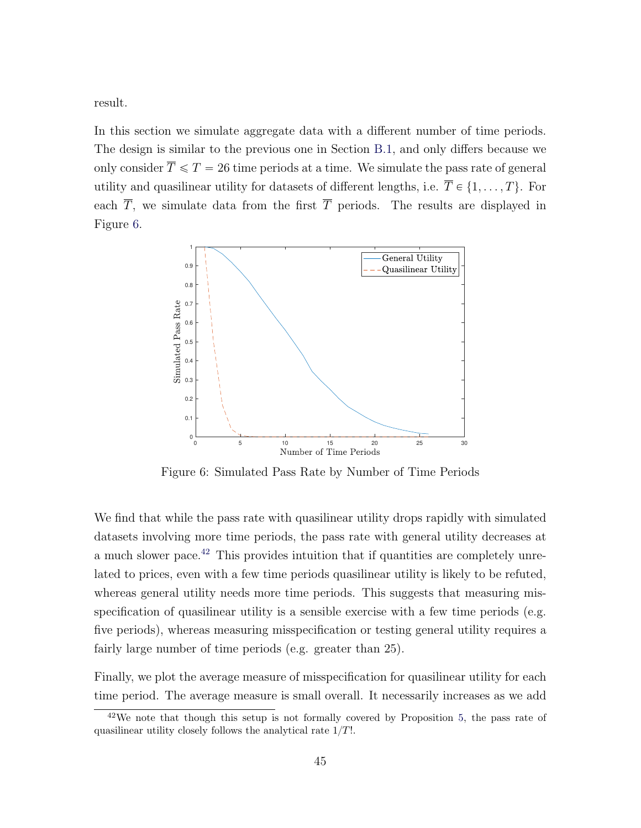result.

In this section we simulate aggregate data with a different number of time periods. The design is similar to the previous one in Section [B.1,](#page-43-1) and only differs because we only consider  $\overline{T} \le T = 26$  time periods at a time. We simulate the pass rate of general utility and quasilinear utility for datasets of different lengths, i.e.  $\overline{T} \in \{1, \ldots, T\}$ . For each  $\overline{T}$ , we simulate data from the first  $\overline{T}$  periods. The results are displayed in Figure [6.](#page-46-0)

<span id="page-46-0"></span>

Figure 6: Simulated Pass Rate by Number of Time Periods

We find that while the pass rate with quasilinear utility drops rapidly with simulated datasets involving more time periods, the pass rate with general utility decreases at a much slower pace.[42](#page-46-1) This provides intuition that if quantities are completely unrelated to prices, even with a few time periods quasilinear utility is likely to be refuted, whereas general utility needs more time periods. This suggests that measuring misspecification of quasilinear utility is a sensible exercise with a few time periods (e.g. five periods), whereas measuring misspecification or testing general utility requires a fairly large number of time periods (e.g. greater than 25).

Finally, we plot the average measure of misspecification for quasilinear utility for each time period. The average measure is small overall. It necessarily increases as we add

<span id="page-46-1"></span> $42$ We note that though this setup is not formally covered by Proposition [5,](#page-15-1) the pass rate of quasilinear utility closely follows the analytical rate  $1/T!$ .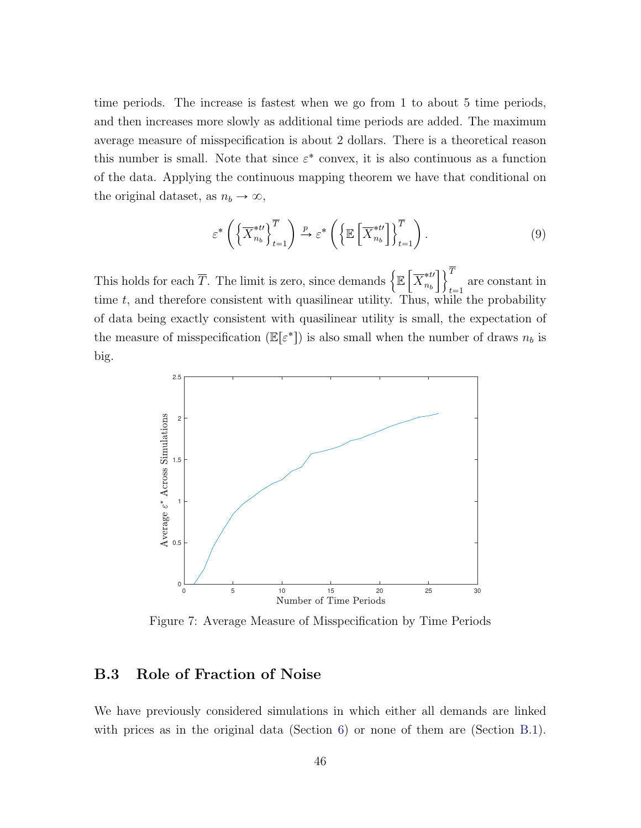time periods. The increase is fastest when we go from 1 to about 5 time periods, and then increases more slowly as additional time periods are added. The maximum average measure of misspecification is about 2 dollars. There is a theoretical reason this number is small. Note that since  $\varepsilon^*$  convex, it is also continuous as a function of the data. Applying the continuous mapping theorem we have that conditional on the original dataset, as  $n_b \to \infty$ ,

<span id="page-47-0"></span>
$$
\varepsilon^* \left( \left\{ \overline{X}_{n_b}^{*t} \right\}_{t=1}^{\overline{T}} \right) \xrightarrow{p} \varepsilon^* \left( \left\{ \mathbb{E} \left[ \overline{X}_{n_b}^{*t} \right] \right\}_{t=1}^{\overline{T}} \right). \tag{9}
$$

This holds for each  $\overline{T}$ . The limit is zero, since demands  $\big\{\mathbb{E}\left[\tilde{\sigma}^2\right]$ .<br>...  $\overline{X}^{* t \prime}_{n}$  $n_b$  $\overline{1}$ וך  $t = 1$ are constant in time  $t$ , and therefore consistent with quasilinear utility. Thus, while the probability of data being exactly consistent with quasilinear utility is small, the expectation of the measure of misspecification  $(\mathbb{E}[\varepsilon^*])$  is also small when the number of draws  $n_b$  is big.



Figure 7: Average Measure of Misspecification by Time Periods

#### B.3 Role of Fraction of Noise

We have previously considered simulations in which either all demands are linked with prices as in the original data (Section [6\)](#page-27-0) or none of them are (Section [B.1\)](#page-43-1).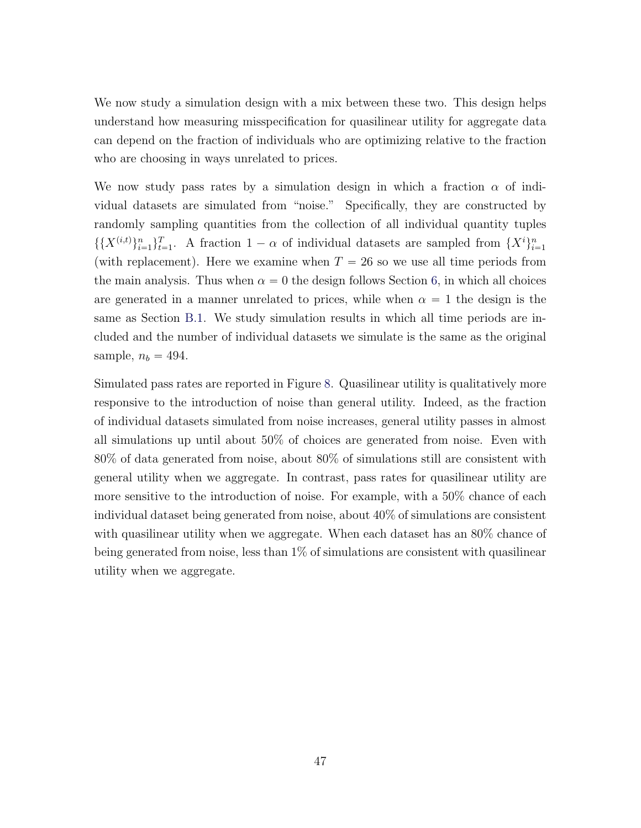We now study a simulation design with a mix between these two. This design helps understand how measuring misspecification for quasilinear utility for aggregate data can depend on the fraction of individuals who are optimizing relative to the fraction who are choosing in ways unrelated to prices.

We now study pass rates by a simulation design in which a fraction  $\alpha$  of individual datasets are simulated from "noise." Specifically, they are constructed by randomly sampling quantities from the collection of all individual quantity tuples  $\{X^{(i,t)}\}_{i=1}^n\}_{t=1}^T$ . A fraction  $1-\alpha$  of individual datasets are sampled from  $\{X^i\}_{i=1}^n$ (with replacement). Here we examine when  $T = 26$  so we use all time periods from the main analysis. Thus when  $\alpha = 0$  the design follows Section [6,](#page-27-0) in which all choices are generated in a manner unrelated to prices, while when  $\alpha = 1$  the design is the same as Section [B.1.](#page-43-1) We study simulation results in which all time periods are included and the number of individual datasets we simulate is the same as the original sample,  $n_b = 494$ .

Simulated pass rates are reported in Figure [8.](#page-49-0) Quasilinear utility is qualitatively more responsive to the introduction of noise than general utility. Indeed, as the fraction of individual datasets simulated from noise increases, general utility passes in almost all simulations up until about 50% of choices are generated from noise. Even with 80% of data generated from noise, about 80% of simulations still are consistent with general utility when we aggregate. In contrast, pass rates for quasilinear utility are more sensitive to the introduction of noise. For example, with a 50% chance of each individual dataset being generated from noise, about 40% of simulations are consistent with quasilinear utility when we aggregate. When each dataset has an  $80\%$  chance of being generated from noise, less than 1% of simulations are consistent with quasilinear utility when we aggregate.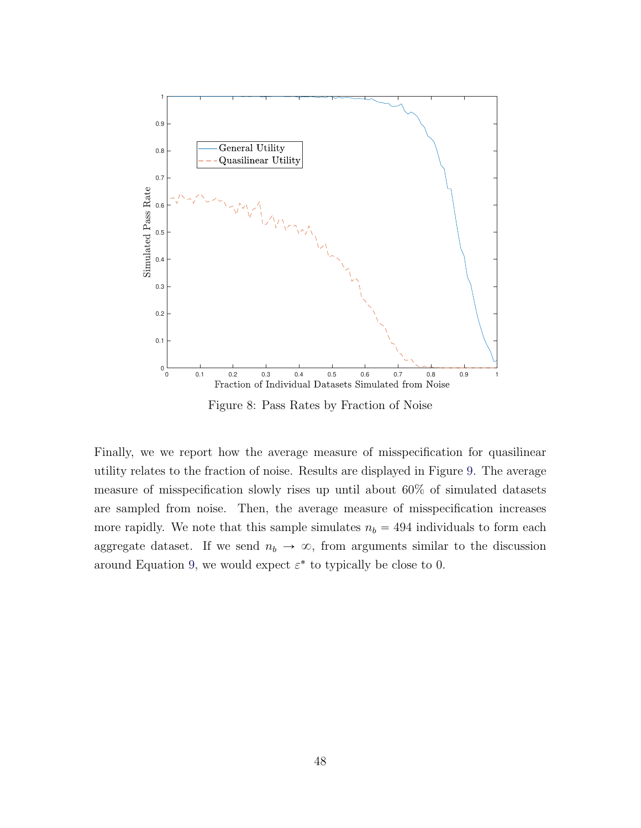<span id="page-49-0"></span>

Figure 8: Pass Rates by Fraction of Noise

Finally, we we report how the average measure of misspecification for quasilinear utility relates to the fraction of noise. Results are displayed in Figure [9.](#page-50-1) The average measure of misspecification slowly rises up until about 60% of simulated datasets are sampled from noise. Then, the average measure of misspecification increases more rapidly. We note that this sample simulates  $n_b = 494$  individuals to form each aggregate dataset. If we send  $n_b \to \infty$ , from arguments similar to the discussion around Equation [9,](#page-47-0) we would expect  $\varepsilon^*$  to typically be close to 0.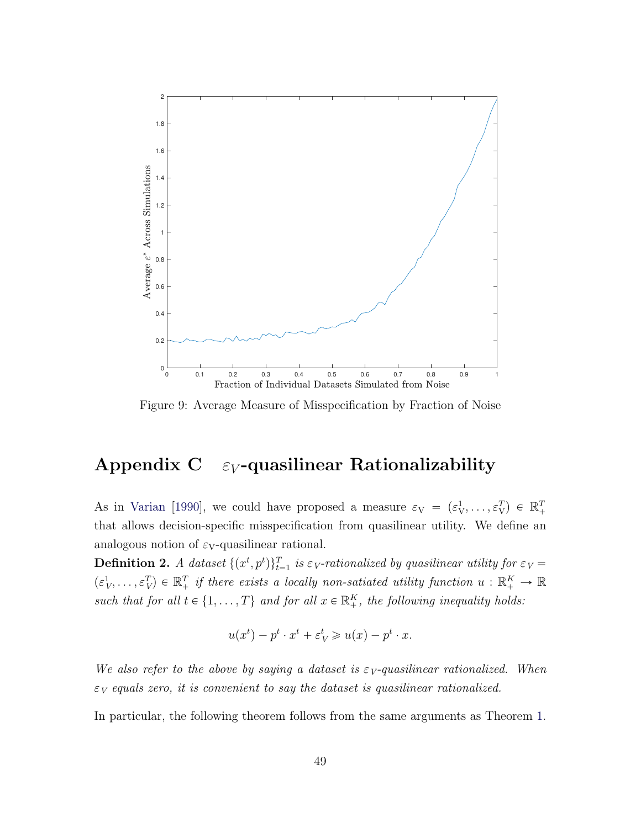<span id="page-50-1"></span>

Figure 9: Average Measure of Misspecification by Fraction of Noise

### <span id="page-50-0"></span>Appendix C  $\varepsilon_V$ -quasilinear Rationalizability

As in [Varian](#page-57-2) [\[1990\]](#page-57-2), we could have proposed a measure  $\varepsilon_{V} = (\varepsilon_{V}^{1}, \ldots, \varepsilon_{V}^{T}) \in \mathbb{R}_{+}^{T}$ that allows decision-specific misspecification from quasilinear utility. We define an analogous notion of  $\varepsilon_V$ -quasilinear rational.

**Definition 2.** A dataset  $\{(x^t, p^t)\}_{t=1}^T$  is  $\varepsilon_V$ -rationalized by quasilinear utility for  $\varepsilon_V$  =  $(\varepsilon_V^1,\ldots,\varepsilon_V^T) \in \mathbb{R}_+^T$  if there exists a locally non-satiated utility function  $u : \mathbb{R}_+^K \to \mathbb{R}$ such that for all  $t \in \{1, ..., T\}$  and for all  $x \in \mathbb{R}^K_+$ , the following inequality holds:

$$
u(x^{t}) - p^{t} \cdot x^{t} + \varepsilon_{V}^{t} \geq u(x) - p^{t} \cdot x.
$$

We also refer to the above by saying a dataset is  $\varepsilon_V$ -quasilinear rationalized. When  $\varepsilon_V$  equals zero, it is convenient to say the dataset is quasilinear rationalized.

In particular, the following theorem follows from the same arguments as Theorem [1.](#page-9-1)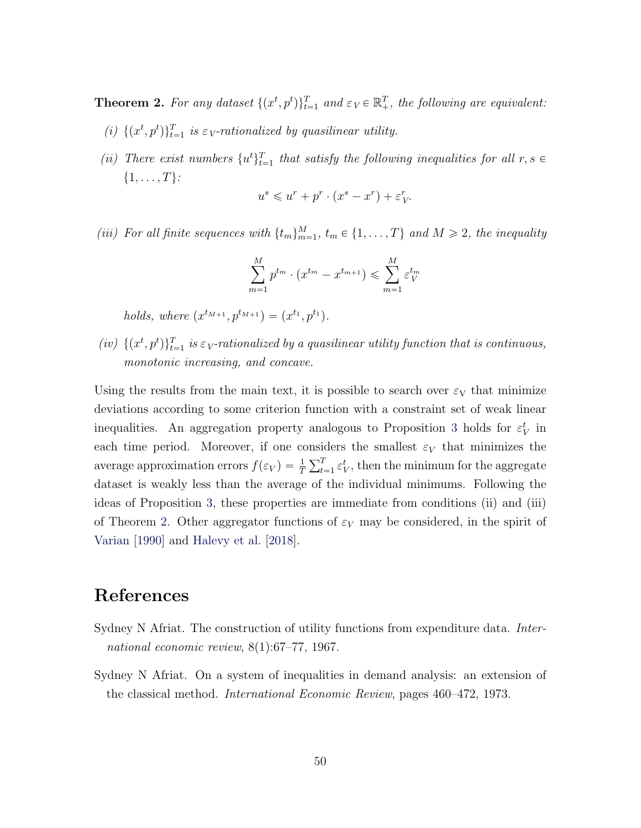<span id="page-51-1"></span>**Theorem 2.** For any dataset  $\{(x^t, p^t)\}_{t=1}^T$  and  $\varepsilon_V \in \mathbb{R}^T_+$ , the following are equivalent:

- (i)  $\{(x^t, p^t)\}_{t=1}^T$  is  $\varepsilon_V$ -rationalized by quasilinear utility.
- (ii) There exist numbers  $\{u^t\}_{t=1}^T$  that satisfy the following inequalities for all  $r, s \in$  $\{1, \ldots, T\}$ :

$$
u^s \leqslant u^r + p^r \cdot (x^s - x^r) + \varepsilon_V^r.
$$

(iii) For all finite sequences with  $\{t_m\}_{m=1}^M$ ,  $t_m \in \{1, \ldots, T\}$  and  $M \geq 2$ , the inequality

$$
\sum_{m=1}^{M} p^{t_m} \cdot (x^{t_m} - x^{t_{m+1}}) \leq \sum_{m=1}^{M} \varepsilon_V^{t_m}
$$

holds, where  $(x^{t_{M+1}}, p^{t_{M+1}}) = (x^{t_1}, p^{t_1}).$ 

(iv)  $\{(x^t, p^t)\}_{t=1}^T$  is  $\varepsilon_V$ -rationalized by a quasilinear utility function that is continuous, monotonic increasing, and concave.

Using the results from the main text, it is possible to search over  $\varepsilon_V$  that minimize deviations according to some criterion function with a constraint set of weak linear inequalities. An aggregation property analogous to Proposition [3](#page-2-0) holds for  $\varepsilon_V^t$  in each time period. Moreover, if one considers the smallest  $\varepsilon_V$  that minimizes the average approximation errors  $f(\varepsilon_V) = \frac{1}{T}$ יומוו $\frac{\nabla^T}{\nabla^T}$  $_{t=1}^{T} \varepsilon_{V}^{t}$ , then the minimum for the aggregate dataset is weakly less than the average of the individual minimums. Following the ideas of Proposition [3,](#page-2-0) these properties are immediate from conditions (ii) and (iii) of Theorem [2.](#page-51-1) Other aggregator functions of  $\varepsilon_V$  may be considered, in the spirit of [Varian](#page-57-2) [\[1990\]](#page-57-2) and [Halevy et al.](#page-55-12) [\[2018\]](#page-55-12).

### References

- <span id="page-51-2"></span>Sydney N Afriat. The construction of utility functions from expenditure data. *Inter*national economic review, 8(1):67–77, 1967.
- <span id="page-51-0"></span>Sydney N Afriat. On a system of inequalities in demand analysis: an extension of the classical method. International Economic Review, pages 460–472, 1973.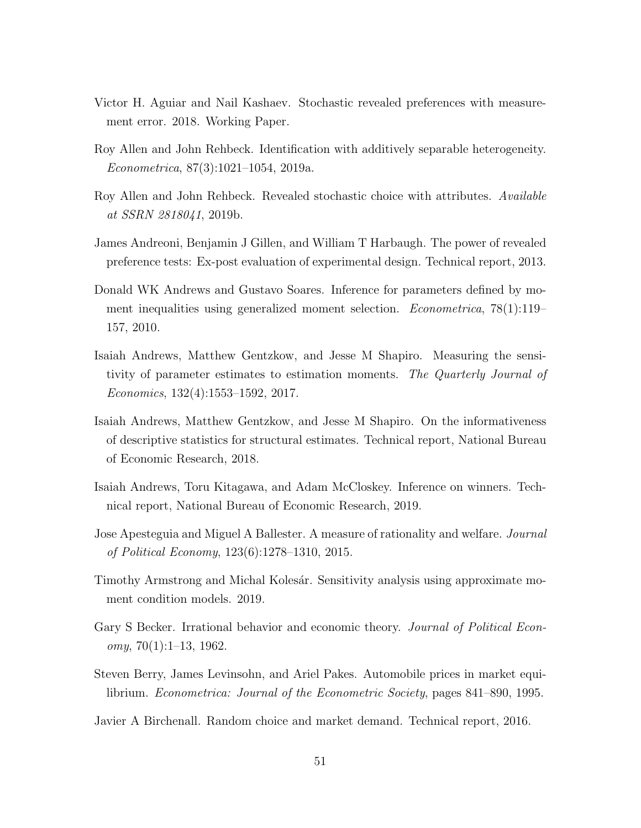- <span id="page-52-7"></span>Victor H. Aguiar and Nail Kashaev. Stochastic revealed preferences with measurement error. 2018. Working Paper.
- <span id="page-52-2"></span>Roy Allen and John Rehbeck. Identification with additively separable heterogeneity. Econometrica, 87(3):1021–1054, 2019a.
- <span id="page-52-8"></span>Roy Allen and John Rehbeck. Revealed stochastic choice with attributes. Available at SSRN 2818041, 2019b.
- <span id="page-52-12"></span>James Andreoni, Benjamin J Gillen, and William T Harbaugh. The power of revealed preference tests: Ex-post evaluation of experimental design. Technical report, 2013.
- <span id="page-52-9"></span>Donald WK Andrews and Gustavo Soares. Inference for parameters defined by moment inequalities using generalized moment selection. Econometrica, 78(1):119– 157, 2010.
- <span id="page-52-3"></span>Isaiah Andrews, Matthew Gentzkow, and Jesse M Shapiro. Measuring the sensitivity of parameter estimates to estimation moments. The Quarterly Journal of Economics, 132(4):1553–1592, 2017.
- <span id="page-52-4"></span>Isaiah Andrews, Matthew Gentzkow, and Jesse M Shapiro. On the informativeness of descriptive statistics for structural estimates. Technical report, National Bureau of Economic Research, 2018.
- <span id="page-52-10"></span>Isaiah Andrews, Toru Kitagawa, and Adam McCloskey. Inference on winners. Technical report, National Bureau of Economic Research, 2019.
- <span id="page-52-11"></span>Jose Apesteguia and Miguel A Ballester. A measure of rationality and welfare. Journal of Political Economy, 123(6):1278–1310, 2015.
- <span id="page-52-5"></span>Timothy Armstrong and Michal Kolesár. Sensitivity analysis using approximate moment condition models. 2019.
- <span id="page-52-0"></span>Gary S Becker. Irrational behavior and economic theory. *Journal of Political Econ* $omy, 70(1):1-13, 1962.$
- <span id="page-52-1"></span>Steven Berry, James Levinsohn, and Ariel Pakes. Automobile prices in market equilibrium. Econometrica: Journal of the Econometric Society, pages 841–890, 1995.
- <span id="page-52-6"></span>Javier A Birchenall. Random choice and market demand. Technical report, 2016.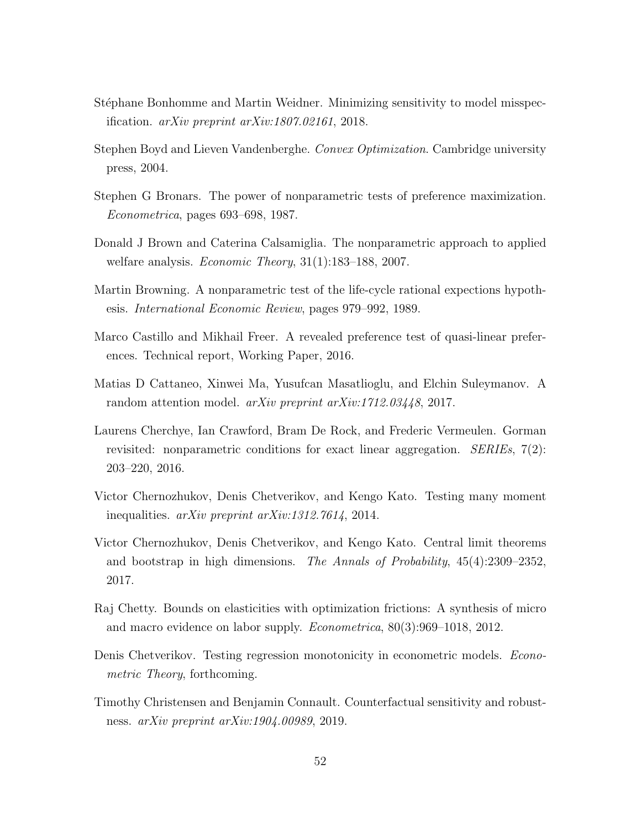- <span id="page-53-3"></span>Stéphane Bonhomme and Martin Weidner. Minimizing sensitivity to model misspecification. arXiv preprint arXiv:1807.02161, 2018.
- <span id="page-53-12"></span>Stephen Boyd and Lieven Vandenberghe. Convex Optimization. Cambridge university press, 2004.
- <span id="page-53-6"></span>Stephen G Bronars. The power of nonparametric tests of preference maximization. Econometrica, pages 693–698, 1987.
- <span id="page-53-5"></span>Donald J Brown and Caterina Calsamiglia. The nonparametric approach to applied welfare analysis. Economic Theory, 31(1):183–188, 2007.
- <span id="page-53-2"></span>Martin Browning. A nonparametric test of the life-cycle rational expections hypothesis. International Economic Review, pages 979–992, 1989.
- <span id="page-53-8"></span>Marco Castillo and Mikhail Freer. A revealed preference test of quasi-linear preferences. Technical report, Working Paper, 2016.
- <span id="page-53-9"></span>Matias D Cattaneo, Xinwei Ma, Yusufcan Masatlioglu, and Elchin Suleymanov. A random attention model. arXiv preprint arXiv:1712.03448, 2017.
- <span id="page-53-11"></span>Laurens Cherchye, Ian Crawford, Bram De Rock, and Frederic Vermeulen. Gorman revisited: nonparametric conditions for exact linear aggregation. SERIEs, 7(2): 203–220, 2016.
- <span id="page-53-1"></span>Victor Chernozhukov, Denis Chetverikov, and Kengo Kato. Testing many moment inequalities. arXiv preprint arXiv:1312.7614, 2014.
- <span id="page-53-7"></span>Victor Chernozhukov, Denis Chetverikov, and Kengo Kato. Central limit theorems and bootstrap in high dimensions. The Annals of Probability, 45(4):2309–2352, 2017.
- <span id="page-53-0"></span>Raj Chetty. Bounds on elasticities with optimization frictions: A synthesis of micro and macro evidence on labor supply. Econometrica, 80(3):969–1018, 2012.
- <span id="page-53-10"></span>Denis Chetverikov. Testing regression monotonicity in econometric models. *Econo*metric Theory, forthcoming.
- <span id="page-53-4"></span>Timothy Christensen and Benjamin Connault. Counterfactual sensitivity and robustness. arXiv preprint arXiv:1904.00989, 2019.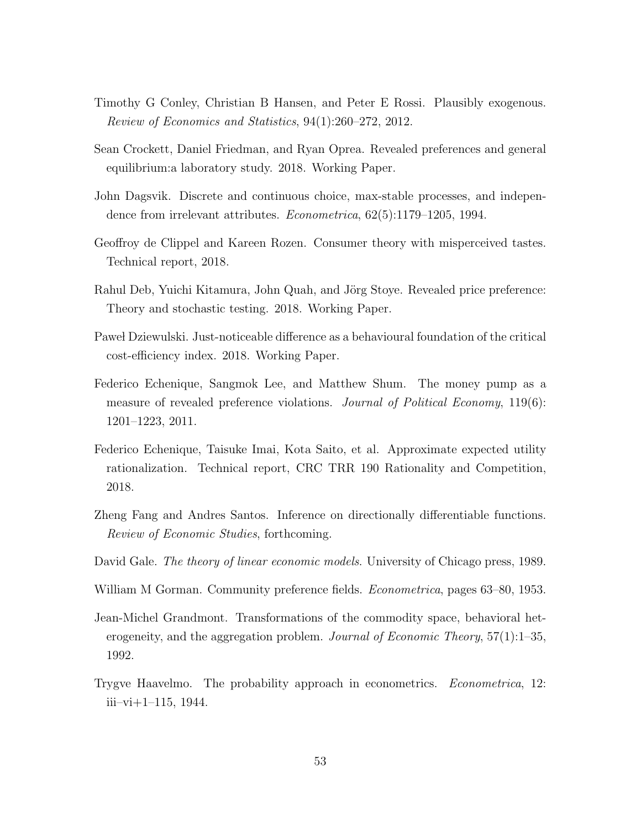- <span id="page-54-4"></span>Timothy G Conley, Christian B Hansen, and Peter E Rossi. Plausibly exogenous. Review of Economics and Statistics, 94(1):260–272, 2012.
- <span id="page-54-11"></span>Sean Crockett, Daniel Friedman, and Ryan Oprea. Revealed preferences and general equilibrium:a laboratory study. 2018. Working Paper.
- <span id="page-54-5"></span>John Dagsvik. Discrete and continuous choice, max-stable processes, and independence from irrelevant attributes. Econometrica, 62(5):1179–1205, 1994.
- <span id="page-54-9"></span>Geoffroy de Clippel and Kareen Rozen. Consumer theory with misperceived tastes. Technical report, 2018.
- <span id="page-54-10"></span>Rahul Deb, Yuichi Kitamura, John Quah, and Jörg Stoye. Revealed price preference: Theory and stochastic testing. 2018. Working Paper.
- <span id="page-54-6"></span>Pawe Dziewulski. Just-noticeable difference as a behavioural foundation of the critical cost-efficiency index. 2018. Working Paper.
- <span id="page-54-1"></span>Federico Echenique, Sangmok Lee, and Matthew Shum. The money pump as a measure of revealed preference violations. *Journal of Political Economy*, 119(6): 1201–1223, 2011.
- <span id="page-54-2"></span>Federico Echenique, Taisuke Imai, Kota Saito, et al. Approximate expected utility rationalization. Technical report, CRC TRR 190 Rationality and Competition, 2018.
- <span id="page-54-8"></span>Zheng Fang and Andres Santos. Inference on directionally differentiable functions. Review of Economic Studies, forthcoming.
- <span id="page-54-12"></span>David Gale. The theory of linear economic models. University of Chicago press, 1989.
- <span id="page-54-0"></span>William M Gorman. Community preference fields. *Econometrica*, pages 63–80, 1953.
- <span id="page-54-7"></span>Jean-Michel Grandmont. Transformations of the commodity space, behavioral heterogeneity, and the aggregation problem. Journal of Economic Theory,  $57(1):1-35$ , 1992.
- <span id="page-54-3"></span>Trygve Haavelmo. The probability approach in econometrics. Econometrica, 12:  $iii-vi+1-115$ , 1944.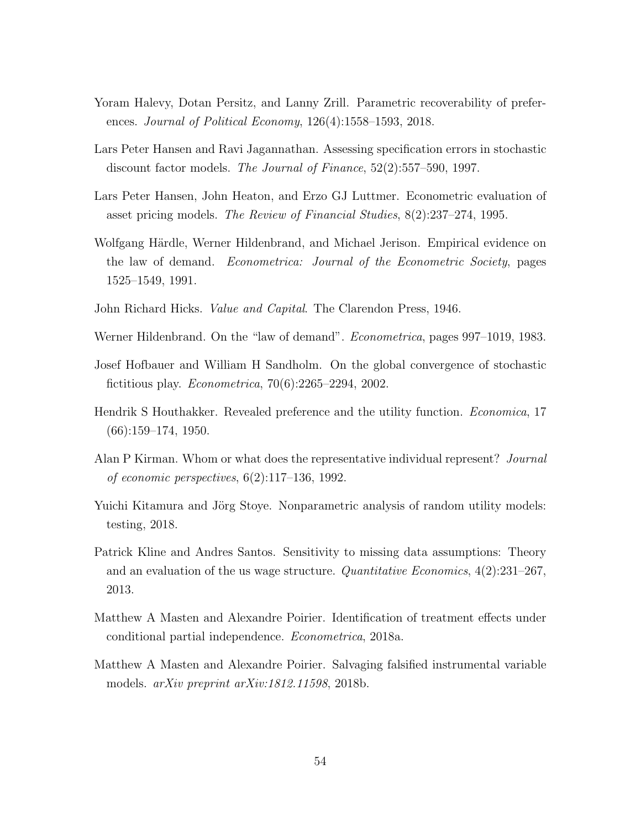- <span id="page-55-12"></span>Yoram Halevy, Dotan Persitz, and Lanny Zrill. Parametric recoverability of preferences. Journal of Political Economy, 126(4):1558–1593, 2018.
- <span id="page-55-3"></span>Lars Peter Hansen and Ravi Jagannathan. Assessing specification errors in stochastic discount factor models. The Journal of Finance, 52(2):557–590, 1997.
- <span id="page-55-2"></span>Lars Peter Hansen, John Heaton, and Erzo GJ Luttmer. Econometric evaluation of asset pricing models. The Review of Financial Studies, 8(2):237–274, 1995.
- <span id="page-55-10"></span>Wolfgang Härdle, Werner Hildenbrand, and Michael Jerison. Empirical evidence on the law of demand. Econometrica: Journal of the Econometric Society, pages 1525–1549, 1991.
- <span id="page-55-0"></span>John Richard Hicks. Value and Capital. The Clarendon Press, 1946.
- <span id="page-55-11"></span>Werner Hildenbrand. On the "law of demand". *Econometrica*, pages 997–1019, 1983.
- <span id="page-55-9"></span>Josef Hofbauer and William H Sandholm. On the global convergence of stochastic fictitious play. Econometrica, 70(6):2265–2294, 2002.
- <span id="page-55-8"></span>Hendrik S Houthakker. Revealed preference and the utility function. Economica, 17  $(66):159-174, 1950.$
- <span id="page-55-7"></span>Alan P Kirman. Whom or what does the representative individual represent? Journal of economic perspectives, 6(2):117–136, 1992.
- <span id="page-55-1"></span>Yuichi Kitamura and Jörg Stoye. Nonparametric analysis of random utility models: testing, 2018.
- <span id="page-55-5"></span>Patrick Kline and Andres Santos. Sensitivity to missing data assumptions: Theory and an evaluation of the us wage structure. Quantitative Economics, 4(2):231–267, 2013.
- <span id="page-55-6"></span>Matthew A Masten and Alexandre Poirier. Identification of treatment effects under conditional partial independence. Econometrica, 2018a.
- <span id="page-55-4"></span>Matthew A Masten and Alexandre Poirier. Salvaging falsified instrumental variable models. arXiv preprint arXiv:1812.11598, 2018b.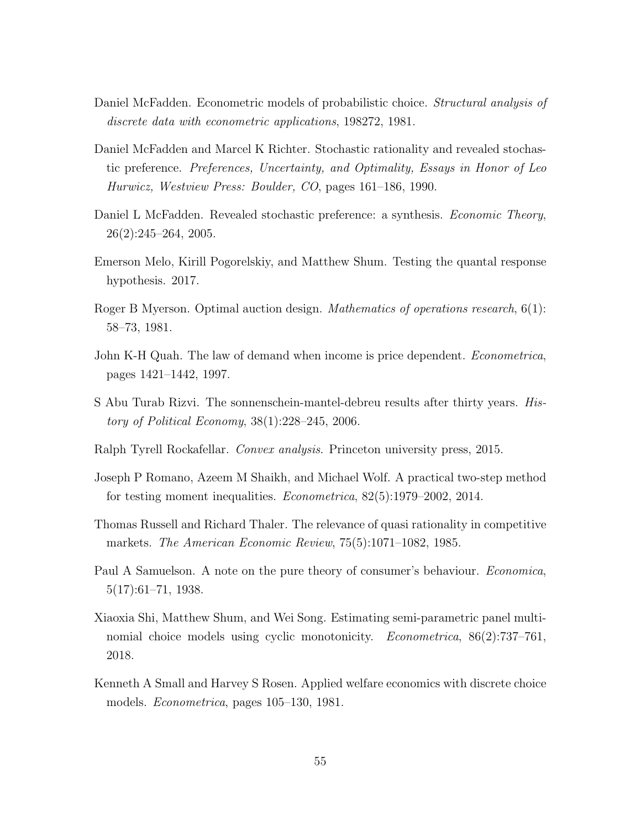- <span id="page-56-3"></span>Daniel McFadden. Econometric models of probabilistic choice. *Structural analysis of* discrete data with econometric applications, 198272, 1981.
- <span id="page-56-5"></span>Daniel McFadden and Marcel K Richter. Stochastic rationality and revealed stochastic preference. Preferences, Uncertainty, and Optimality, Essays in Honor of Leo Hurwicz, Westview Press: Boulder, CO, pages 161–186, 1990.
- <span id="page-56-6"></span>Daniel L McFadden. Revealed stochastic preference: a synthesis. *Economic Theory*, 26(2):245–264, 2005.
- <span id="page-56-11"></span>Emerson Melo, Kirill Pogorelskiy, and Matthew Shum. Testing the quantal response hypothesis. 2017.
- <span id="page-56-2"></span>Roger B Myerson. Optimal auction design. *Mathematics of operations research*, 6(1): 58–73, 1981.
- <span id="page-56-12"></span>John K-H Quah. The law of demand when income is price dependent. *Econometrica*, pages 1421–1442, 1997.
- <span id="page-56-4"></span>S Abu Turab Rizvi. The sonnenschein-mantel-debreu results after thirty years. History of Political Economy, 38(1):228–245, 2006.
- <span id="page-56-9"></span>Ralph Tyrell Rockafellar. Convex analysis. Princeton university press, 2015.
- <span id="page-56-0"></span>Joseph P Romano, Azeem M Shaikh, and Michael Wolf. A practical two-step method for testing moment inequalities. Econometrica, 82(5):1979–2002, 2014.
- <span id="page-56-1"></span>Thomas Russell and Richard Thaler. The relevance of quasi rationality in competitive markets. The American Economic Review, 75(5):1071–1082, 1985.
- <span id="page-56-8"></span>Paul A Samuelson. A note on the pure theory of consumer's behaviour. *Economica*, 5(17):61–71, 1938.
- <span id="page-56-10"></span>Xiaoxia Shi, Matthew Shum, and Wei Song. Estimating semi-parametric panel multinomial choice models using cyclic monotonicity. *Econometrica*, 86(2):737–761, 2018.
- <span id="page-56-7"></span>Kenneth A Small and Harvey S Rosen. Applied welfare economics with discrete choice models. Econometrica, pages 105–130, 1981.